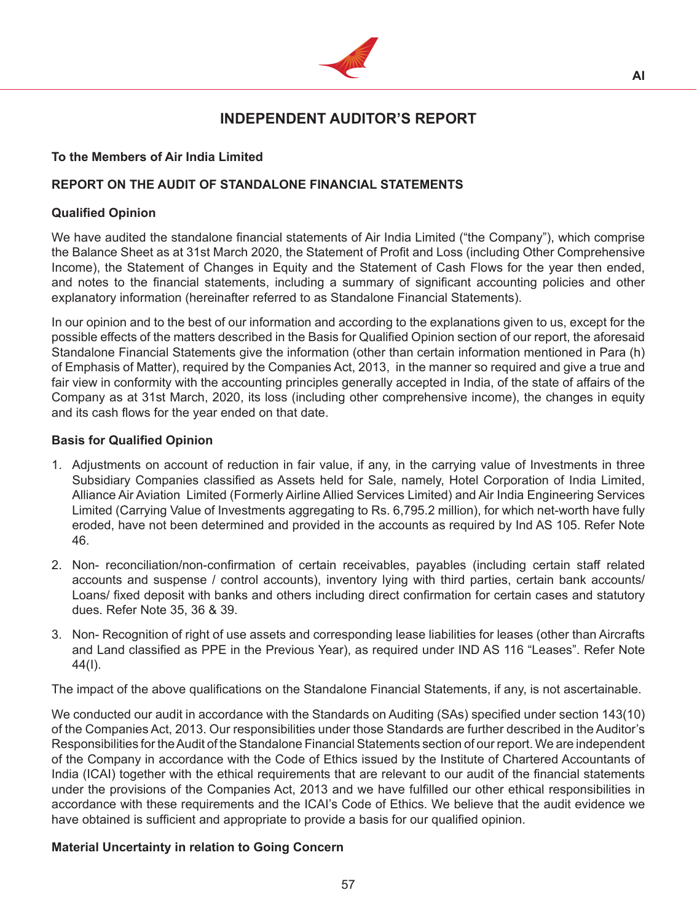

# **INDEPENDENT AUDITOR'S REPORT**

# **To the Members of Air India Limited**

# **REPORT ON THE AUDIT OF STANDALONE FINANCIAL STATEMENTS**

# **Qualified Opinion**

We have audited the standalone financial statements of Air India Limited ("the Company"), which comprise the Balance Sheet as at 31st March 2020, the Statement of Profit and Loss (including Other Comprehensive Income), the Statement of Changes in Equity and the Statement of Cash Flows for the year then ended, and notes to the financial statements, including a summary of significant accounting policies and other explanatory information (hereinafter referred to as Standalone Financial Statements).

In our opinion and to the best of our information and according to the explanations given to us, except for the possible effects of the matters described in the Basis for Qualified Opinion section of our report, the aforesaid Standalone Financial Statements give the information (other than certain information mentioned in Para (h) of Emphasis of Matter), required by the Companies Act, 2013, in the manner so required and give a true and fair view in conformity with the accounting principles generally accepted in India, of the state of affairs of the Company as at 31st March, 2020, its loss (including other comprehensive income), the changes in equity and its cash flows for the year ended on that date.

# **Basis for Qualified Opinion**

- 1. Adjustments on account of reduction in fair value, if any, in the carrying value of Investments in three Subsidiary Companies classified as Assets held for Sale, namely, Hotel Corporation of India Limited, Alliance Air Aviation Limited (Formerly Airline Allied Services Limited) and Air India Engineering Services Limited (Carrying Value of Investments aggregating to Rs. 6,795.2 million), for which net-worth have fully eroded, have not been determined and provided in the accounts as required by Ind AS 105. Refer Note 46.
- 2. Non- reconciliation/non-confirmation of certain receivables, payables (including certain staff related accounts and suspense / control accounts), inventory lying with third parties, certain bank accounts/ Loans/ fixed deposit with banks and others including direct confirmation for certain cases and statutory dues. Refer Note 35, 36 & 39.
- 3. Non- Recognition of right of use assets and corresponding lease liabilities for leases (other than Aircrafts and Land classified as PPE in the Previous Year), as required under IND AS 116 "Leases". Refer Note 44(I).

The impact of the above qualifications on the Standalone Financial Statements, if any, is not ascertainable.

We conducted our audit in accordance with the Standards on Auditing (SAs) specified under section 143(10) of the Companies Act, 2013. Our responsibilities under those Standards are further described in the Auditor's Responsibilities for theAudit of the Standalone Financial Statements section of our report. We are independent of the Company in accordance with the Code of Ethics issued by the Institute of Chartered Accountants of India (ICAI) together with the ethical requirements that are relevant to our audit of the financial statements under the provisions of the Companies Act, 2013 and we have fulfilled our other ethical responsibilities in accordance with these requirements and the ICAI's Code of Ethics. We believe that the audit evidence we have obtained is sufficient and appropriate to provide a basis for our qualified opinion.

# **Material Uncertainty in relation to Going Concern**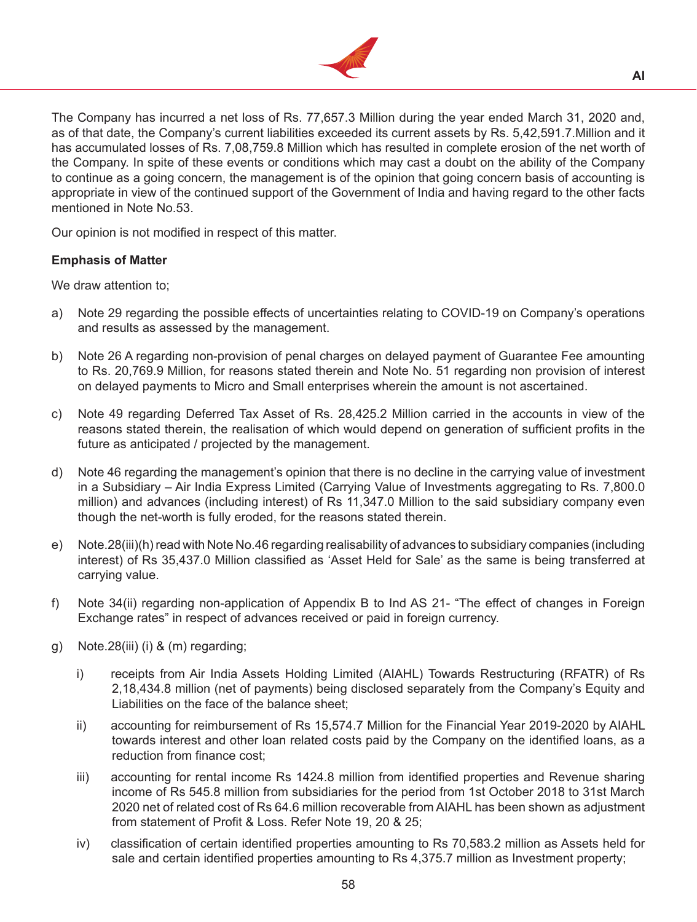

The Company has incurred a net loss of Rs. 77,657.3 Million during the year ended March 31, 2020 and, as of that date, the Company's current liabilities exceeded its current assets by Rs. 5,42,591.7.Million and it has accumulated losses of Rs. 7,08,759.8 Million which has resulted in complete erosion of the net worth of the Company. In spite of these events or conditions which may cast a doubt on the ability of the Company to continue as a going concern, the management is of the opinion that going concern basis of accounting is appropriate in view of the continued support of the Government of India and having regard to the other facts mentioned in Note No.53.

Our opinion is not modified in respect of this matter.

# **Emphasis of Matter**

We draw attention to;

- a) Note 29 regarding the possible effects of uncertainties relating to COVID-19 on Company's operations and results as assessed by the management.
- b) Note 26 A regarding non-provision of penal charges on delayed payment of Guarantee Fee amounting to Rs. 20,769.9 Million, for reasons stated therein and Note No. 51 regarding non provision of interest on delayed payments to Micro and Small enterprises wherein the amount is not ascertained.
- c) Note 49 regarding Deferred Tax Asset of Rs. 28,425.2 Million carried in the accounts in view of the reasons stated therein, the realisation of which would depend on generation of sufficient profits in the future as anticipated / projected by the management.
- d) Note 46 regarding the management's opinion that there is no decline in the carrying value of investment in a Subsidiary – Air India Express Limited (Carrying Value of Investments aggregating to Rs. 7,800.0 million) and advances (including interest) of Rs 11,347.0 Million to the said subsidiary company even though the net-worth is fully eroded, for the reasons stated therein.
- e) Note.28(iii)(h) read with Note No.46 regarding realisability of advances to subsidiary companies (including interest) of Rs 35,437.0 Million classified as 'Asset Held for Sale' as the same is being transferred at carrying value.
- f) Note 34(ii) regarding non-application of Appendix B to Ind AS 21- "The effect of changes in Foreign Exchange rates" in respect of advances received or paid in foreign currency.
- g) Note.28(iii) (i)  $&$  (m) regarding;
	- i) receipts from Air India Assets Holding Limited (AIAHL) Towards Restructuring (RFATR) of Rs 2,18,434.8 million (net of payments) being disclosed separately from the Company's Equity and Liabilities on the face of the balance sheet;
	- ii) accounting for reimbursement of Rs 15,574.7 Million for the Financial Year 2019-2020 by AIAHL towards interest and other loan related costs paid by the Company on the identified loans, as a reduction from finance cost;
	- iii) accounting for rental income Rs 1424.8 million from identified properties and Revenue sharing income of Rs 545.8 million from subsidiaries for the period from 1st October 2018 to 31st March 2020 net of related cost of Rs 64.6 million recoverable from AIAHL has been shown as adjustment from statement of Profit & Loss. Refer Note 19, 20 & 25;
	- iv) classification of certain identified properties amounting to Rs 70,583.2 million as Assets held for sale and certain identified properties amounting to Rs 4,375.7 million as Investment property;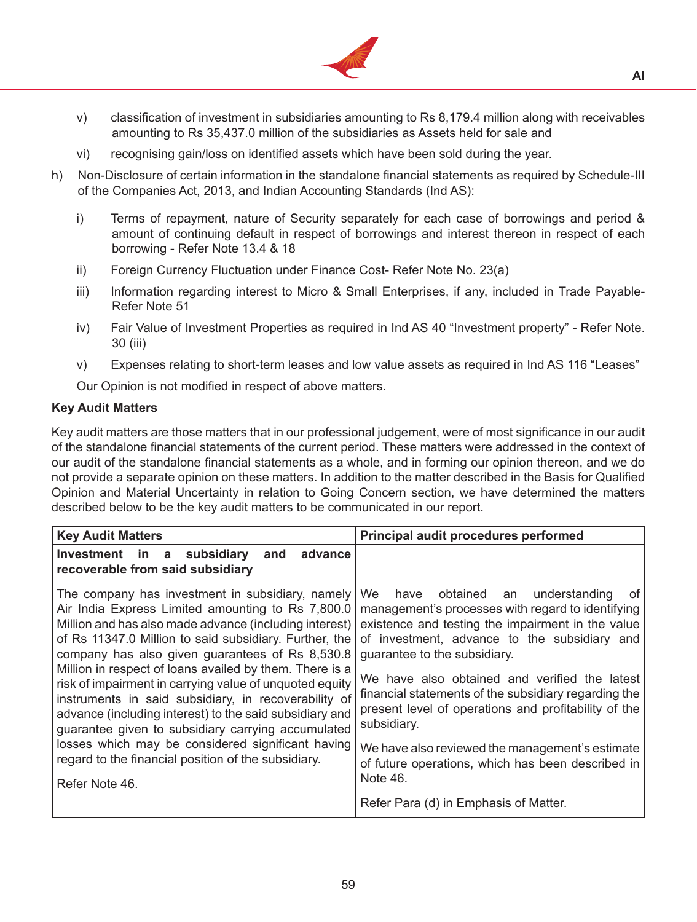

- v) classification of investment in subsidiaries amounting to Rs 8,179.4 million along with receivables amounting to Rs 35,437.0 million of the subsidiaries as Assets held for sale and
- vi) recognising gain/loss on identified assets which have been sold during the year.
- h) Non-Disclosure of certain information in the standalone financial statements as required by Schedule-III of the Companies Act, 2013, and Indian Accounting Standards (Ind AS):
	- i) Terms of repayment, nature of Security separately for each case of borrowings and period  $\&$ amount of continuing default in respect of borrowings and interest thereon in respect of each borrowing - Refer Note 13.4 & 18
	- ii) Foreign Currency Fluctuation under Finance Cost- Refer Note No. 23(a)
	- iii) Information regarding interest to Micro & Small Enterprises, if any, included in Trade Payable-Refer Note 51
	- iv) Fair Value of Investment Properties as required in Ind AS 40 "Investment property" Refer Note. 30 (iii)
	- v) Expenses relating to short-term leases and low value assets as required in Ind AS 116 "Leases"

Our Opinion is not modified in respect of above matters.

#### **Key Audit Matters**

Key audit matters are those matters that in our professional judgement, were of most significance in our audit of the standalone financial statements of the current period. These matters were addressed in the context of our audit of the standalone financial statements as a whole, and in forming our opinion thereon, and we do not provide a separate opinion on these matters. In addition to the matter described in the Basis for Qualified Opinion and Material Uncertainty in relation to Going Concern section, we have determined the matters described below to be the key audit matters to be communicated in our report.

| <b>Key Audit Matters</b>                                                                                                                                                                                                                                                                                                                                                                                                                                                                                                                                                                                                                                                                                  | Principal audit procedures performed                                                                                                                                                                                                                                                                                                                                                                                                                                                                                                  |
|-----------------------------------------------------------------------------------------------------------------------------------------------------------------------------------------------------------------------------------------------------------------------------------------------------------------------------------------------------------------------------------------------------------------------------------------------------------------------------------------------------------------------------------------------------------------------------------------------------------------------------------------------------------------------------------------------------------|---------------------------------------------------------------------------------------------------------------------------------------------------------------------------------------------------------------------------------------------------------------------------------------------------------------------------------------------------------------------------------------------------------------------------------------------------------------------------------------------------------------------------------------|
| advance<br>Investment in a subsidiary<br>and<br>recoverable from said subsidiary                                                                                                                                                                                                                                                                                                                                                                                                                                                                                                                                                                                                                          |                                                                                                                                                                                                                                                                                                                                                                                                                                                                                                                                       |
| The company has investment in subsidiary, namely<br>Air India Express Limited amounting to Rs 7,800.0<br>Million and has also made advance (including interest)<br>of Rs 11347.0 Million to said subsidiary. Further, the<br>company has also given guarantees of Rs 8,530.8<br>Million in respect of loans availed by them. There is a<br>risk of impairment in carrying value of unquoted equity<br>instruments in said subsidiary, in recoverability of<br>advance (including interest) to the said subsidiary and<br>guarantee given to subsidiary carrying accumulated<br>losses which may be considered significant having<br>regard to the financial position of the subsidiary.<br>Refer Note 46. | We have obtained an understanding<br>0t<br>management's processes with regard to identifying<br>existence and testing the impairment in the value<br>of investment, advance to the subsidiary and<br>quarantee to the subsidiary.<br>We have also obtained and verified the latest<br>financial statements of the subsidiary regarding the<br>present level of operations and profitability of the<br>subsidiary.<br>We have also reviewed the management's estimate<br>of future operations, which has been described in<br>Note 46. |
|                                                                                                                                                                                                                                                                                                                                                                                                                                                                                                                                                                                                                                                                                                           | Refer Para (d) in Emphasis of Matter.                                                                                                                                                                                                                                                                                                                                                                                                                                                                                                 |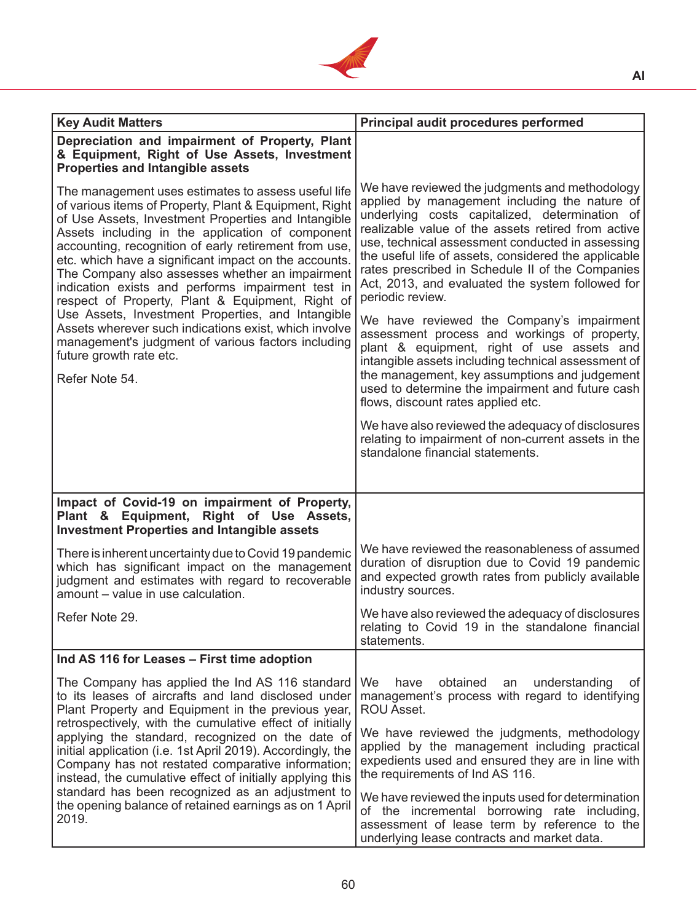

| <b>Key Audit Matters</b>                                                                                                                                                                                                                                                                                                                                                                                                                                                                               | Principal audit procedures performed                                                                                                                                                                                                                                                                                                                                                                                                            |
|--------------------------------------------------------------------------------------------------------------------------------------------------------------------------------------------------------------------------------------------------------------------------------------------------------------------------------------------------------------------------------------------------------------------------------------------------------------------------------------------------------|-------------------------------------------------------------------------------------------------------------------------------------------------------------------------------------------------------------------------------------------------------------------------------------------------------------------------------------------------------------------------------------------------------------------------------------------------|
| Depreciation and impairment of Property, Plant<br>& Equipment, Right of Use Assets, Investment<br><b>Properties and Intangible assets</b>                                                                                                                                                                                                                                                                                                                                                              |                                                                                                                                                                                                                                                                                                                                                                                                                                                 |
| The management uses estimates to assess useful life<br>of various items of Property, Plant & Equipment, Right<br>of Use Assets, Investment Properties and Intangible<br>Assets including in the application of component<br>accounting, recognition of early retirement from use,<br>etc. which have a significant impact on the accounts.<br>The Company also assesses whether an impairment<br>indication exists and performs impairment test in<br>respect of Property, Plant & Equipment, Right of | We have reviewed the judgments and methodology<br>applied by management including the nature of<br>underlying costs capitalized, determination of<br>realizable value of the assets retired from active<br>use, technical assessment conducted in assessing<br>the useful life of assets, considered the applicable<br>rates prescribed in Schedule II of the Companies<br>Act, 2013, and evaluated the system followed for<br>periodic review. |
| Use Assets, Investment Properties, and Intangible<br>Assets wherever such indications exist, which involve<br>management's judgment of various factors including<br>future growth rate etc.<br>Refer Note 54.                                                                                                                                                                                                                                                                                          | We have reviewed the Company's impairment<br>assessment process and workings of property,<br>plant & equipment, right of use assets and<br>intangible assets including technical assessment of<br>the management, key assumptions and judgement<br>used to determine the impairment and future cash<br>flows, discount rates applied etc.                                                                                                       |
|                                                                                                                                                                                                                                                                                                                                                                                                                                                                                                        | We have also reviewed the adequacy of disclosures<br>relating to impairment of non-current assets in the<br>standalone financial statements.                                                                                                                                                                                                                                                                                                    |
| Impact of Covid-19 on impairment of Property,<br>Plant & Equipment, Right of Use Assets,<br><b>Investment Properties and Intangible assets</b>                                                                                                                                                                                                                                                                                                                                                         |                                                                                                                                                                                                                                                                                                                                                                                                                                                 |
| There is inherent uncertainty due to Covid 19 pandemic<br>which has significant impact on the management<br>judgment and estimates with regard to recoverable<br>amount – value in use calculation.                                                                                                                                                                                                                                                                                                    | We have reviewed the reasonableness of assumed<br>duration of disruption due to Covid 19 pandemic<br>and expected growth rates from publicly available<br>industry sources.                                                                                                                                                                                                                                                                     |
| Refer Note 29                                                                                                                                                                                                                                                                                                                                                                                                                                                                                          | We have also reviewed the adequacy of disclosures<br>relating to Covid 19 in the standalone financial<br>statements.                                                                                                                                                                                                                                                                                                                            |
| Ind AS 116 for Leases - First time adoption                                                                                                                                                                                                                                                                                                                                                                                                                                                            |                                                                                                                                                                                                                                                                                                                                                                                                                                                 |
| The Company has applied the Ind AS 116 standard<br>to its leases of aircrafts and land disclosed under<br>Plant Property and Equipment in the previous year,<br>retrospectively, with the cumulative effect of initially                                                                                                                                                                                                                                                                               | We<br>obtained<br>understanding<br>have<br>of<br>an<br>management's process with regard to identifying<br>ROU Asset.                                                                                                                                                                                                                                                                                                                            |
| applying the standard, recognized on the date of<br>initial application (i.e. 1st April 2019). Accordingly, the<br>Company has not restated comparative information;<br>instead, the cumulative effect of initially applying this                                                                                                                                                                                                                                                                      | We have reviewed the judgments, methodology<br>applied by the management including practical<br>expedients used and ensured they are in line with<br>the requirements of Ind AS 116.                                                                                                                                                                                                                                                            |
| standard has been recognized as an adjustment to<br>the opening balance of retained earnings as on 1 April<br>2019.                                                                                                                                                                                                                                                                                                                                                                                    | We have reviewed the inputs used for determination<br>of the incremental borrowing rate including,<br>assessment of lease term by reference to the<br>underlying lease contracts and market data.                                                                                                                                                                                                                                               |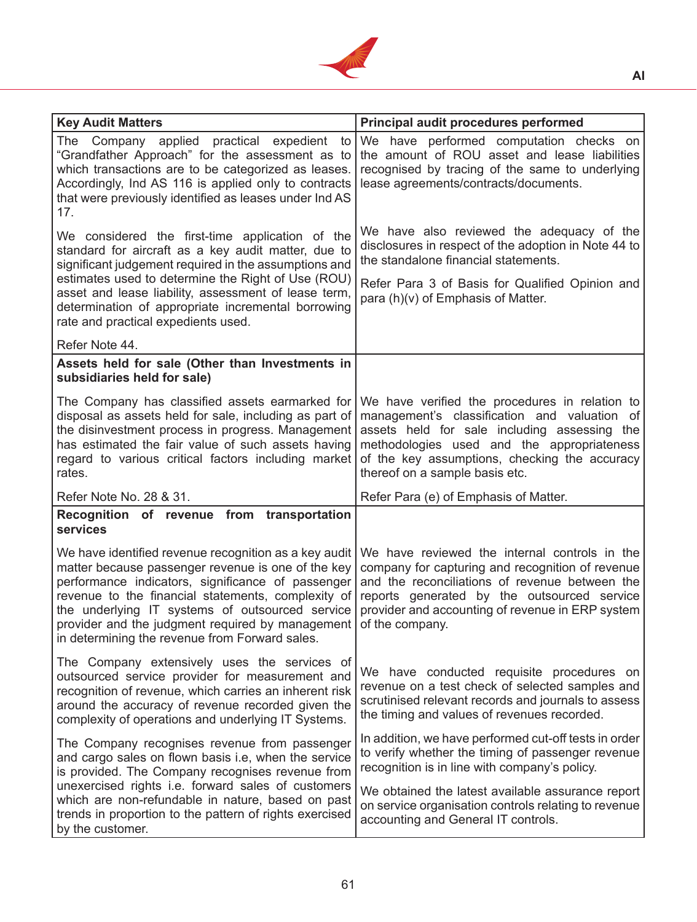

| <b>Key Audit Matters</b>                                                                                                                                                                                                                                                                                                                                                                        | Principal audit procedures performed                                                                                                                                                                                                                                                                            |
|-------------------------------------------------------------------------------------------------------------------------------------------------------------------------------------------------------------------------------------------------------------------------------------------------------------------------------------------------------------------------------------------------|-----------------------------------------------------------------------------------------------------------------------------------------------------------------------------------------------------------------------------------------------------------------------------------------------------------------|
| The Company applied practical expedient to<br>"Grandfather Approach" for the assessment as to<br>which transactions are to be categorized as leases.<br>Accordingly, Ind AS 116 is applied only to contracts<br>that were previously identified as leases under Ind AS<br>17.                                                                                                                   | We have performed computation checks on<br>the amount of ROU asset and lease liabilities<br>recognised by tracing of the same to underlying<br>lease agreements/contracts/documents.                                                                                                                            |
| We considered the first-time application of the<br>standard for aircraft as a key audit matter, due to<br>significant judgement required in the assumptions and<br>estimates used to determine the Right of Use (ROU)<br>asset and lease liability, assessment of lease term,<br>determination of appropriate incremental borrowing<br>rate and practical expedients used.                      | We have also reviewed the adequacy of the<br>disclosures in respect of the adoption in Note 44 to<br>the standalone financial statements.<br>Refer Para 3 of Basis for Qualified Opinion and<br>para (h)(v) of Emphasis of Matter.                                                                              |
| Refer Note 44.                                                                                                                                                                                                                                                                                                                                                                                  |                                                                                                                                                                                                                                                                                                                 |
| Assets held for sale (Other than Investments in<br>subsidiaries held for sale)                                                                                                                                                                                                                                                                                                                  |                                                                                                                                                                                                                                                                                                                 |
| The Company has classified assets earmarked for<br>disposal as assets held for sale, including as part of<br>the disinvestment process in progress. Management<br>has estimated the fair value of such assets having<br>regard to various critical factors including market<br>rates.                                                                                                           | We have verified the procedures in relation to<br>management's classification and valuation of<br>assets held for sale including assessing the<br>methodologies used and the appropriateness<br>of the key assumptions, checking the accuracy<br>thereof on a sample basis etc.                                 |
| Refer Note No. 28 & 31.                                                                                                                                                                                                                                                                                                                                                                         | Refer Para (e) of Emphasis of Matter.                                                                                                                                                                                                                                                                           |
| Recognition of revenue from transportation<br>services                                                                                                                                                                                                                                                                                                                                          |                                                                                                                                                                                                                                                                                                                 |
| We have identified revenue recognition as a key audit<br>matter because passenger revenue is one of the key<br>performance indicators, significance of passenger<br>revenue to the financial statements, complexity of<br>the underlying IT systems of outsourced service<br>provider and the judgment required by management of the company.<br>in determining the revenue from Forward sales. | We have reviewed the internal controls in the<br>company for capturing and recognition of revenue<br>and the reconciliations of revenue between the<br>reports generated by the outsourced service<br>provider and accounting of revenue in ERP system                                                          |
| The Company extensively uses the services of<br>outsourced service provider for measurement and<br>recognition of revenue, which carries an inherent risk<br>around the accuracy of revenue recorded given the<br>complexity of operations and underlying IT Systems.                                                                                                                           | We have conducted requisite procedures on<br>revenue on a test check of selected samples and<br>scrutinised relevant records and journals to assess<br>the timing and values of revenues recorded.                                                                                                              |
| The Company recognises revenue from passenger<br>and cargo sales on flown basis i.e, when the service<br>is provided. The Company recognises revenue from<br>unexercised rights i.e. forward sales of customers<br>which are non-refundable in nature, based on past<br>trends in proportion to the pattern of rights exercised<br>by the customer.                                             | In addition, we have performed cut-off tests in order<br>to verify whether the timing of passenger revenue<br>recognition is in line with company's policy.<br>We obtained the latest available assurance report<br>on service organisation controls relating to revenue<br>accounting and General IT controls. |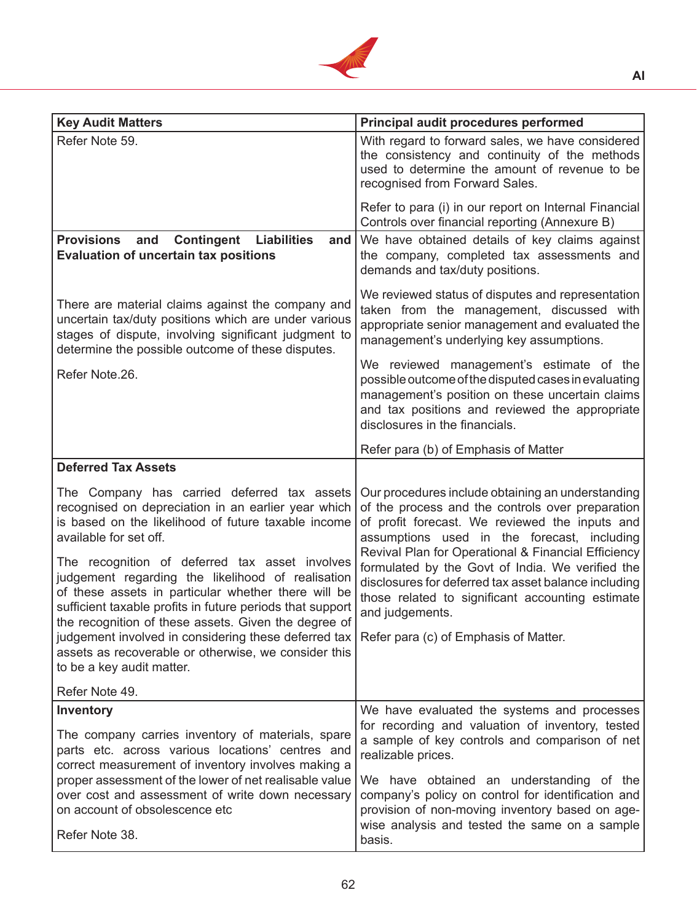

| <b>Key Audit Matters</b>                                                                                                                                                                                                                                                                                                                                                                                       | Principal audit procedures performed                                                                                                                                                                                                                                                                                                                                                                                          |
|----------------------------------------------------------------------------------------------------------------------------------------------------------------------------------------------------------------------------------------------------------------------------------------------------------------------------------------------------------------------------------------------------------------|-------------------------------------------------------------------------------------------------------------------------------------------------------------------------------------------------------------------------------------------------------------------------------------------------------------------------------------------------------------------------------------------------------------------------------|
| Refer Note 59.                                                                                                                                                                                                                                                                                                                                                                                                 | With regard to forward sales, we have considered<br>the consistency and continuity of the methods<br>used to determine the amount of revenue to be<br>recognised from Forward Sales.                                                                                                                                                                                                                                          |
|                                                                                                                                                                                                                                                                                                                                                                                                                | Refer to para (i) in our report on Internal Financial<br>Controls over financial reporting (Annexure B)                                                                                                                                                                                                                                                                                                                       |
| <b>Provisions</b><br><b>Contingent Liabilities</b><br>and<br>and<br><b>Evaluation of uncertain tax positions</b>                                                                                                                                                                                                                                                                                               | We have obtained details of key claims against<br>the company, completed tax assessments and<br>demands and tax/duty positions.                                                                                                                                                                                                                                                                                               |
| There are material claims against the company and<br>uncertain tax/duty positions which are under various<br>stages of dispute, involving significant judgment to<br>determine the possible outcome of these disputes.                                                                                                                                                                                         | We reviewed status of disputes and representation<br>taken from the management, discussed with<br>appropriate senior management and evaluated the<br>management's underlying key assumptions.                                                                                                                                                                                                                                 |
| Refer Note.26.                                                                                                                                                                                                                                                                                                                                                                                                 | We reviewed management's estimate of the<br>possible outcome of the disputed cases in evaluating<br>management's position on these uncertain claims<br>and tax positions and reviewed the appropriate<br>disclosures in the financials.                                                                                                                                                                                       |
|                                                                                                                                                                                                                                                                                                                                                                                                                | Refer para (b) of Emphasis of Matter                                                                                                                                                                                                                                                                                                                                                                                          |
| <b>Deferred Tax Assets</b>                                                                                                                                                                                                                                                                                                                                                                                     |                                                                                                                                                                                                                                                                                                                                                                                                                               |
| The Company has carried deferred tax assets<br>recognised on depreciation in an earlier year which<br>is based on the likelihood of future taxable income<br>available for set off.<br>The recognition of deferred tax asset involves<br>judgement regarding the likelihood of realisation<br>of these assets in particular whether there will be<br>sufficient taxable profits in future periods that support | Our procedures include obtaining an understanding<br>of the process and the controls over preparation<br>of profit forecast. We reviewed the inputs and<br>assumptions used in the forecast, including<br>Revival Plan for Operational & Financial Efficiency<br>formulated by the Govt of India. We verified the<br>disclosures for deferred tax asset balance including<br>those related to significant accounting estimate |
| the recognition of these assets. Given the degree of                                                                                                                                                                                                                                                                                                                                                           | and judgements.                                                                                                                                                                                                                                                                                                                                                                                                               |
| judgement involved in considering these deferred tax<br>assets as recoverable or otherwise, we consider this<br>to be a key audit matter.                                                                                                                                                                                                                                                                      | Refer para (c) of Emphasis of Matter.                                                                                                                                                                                                                                                                                                                                                                                         |
| Refer Note 49.                                                                                                                                                                                                                                                                                                                                                                                                 |                                                                                                                                                                                                                                                                                                                                                                                                                               |
| Inventory<br>The company carries inventory of materials, spare<br>parts etc. across various locations' centres and<br>correct measurement of inventory involves making a<br>proper assessment of the lower of net realisable value<br>over cost and assessment of write down necessary                                                                                                                         | We have evaluated the systems and processes<br>for recording and valuation of inventory, tested<br>a sample of key controls and comparison of net<br>realizable prices.<br>We have obtained an understanding of the<br>company's policy on control for identification and                                                                                                                                                     |
| on account of obsolescence etc<br>Refer Note 38.                                                                                                                                                                                                                                                                                                                                                               | provision of non-moving inventory based on age-<br>wise analysis and tested the same on a sample<br>basis.                                                                                                                                                                                                                                                                                                                    |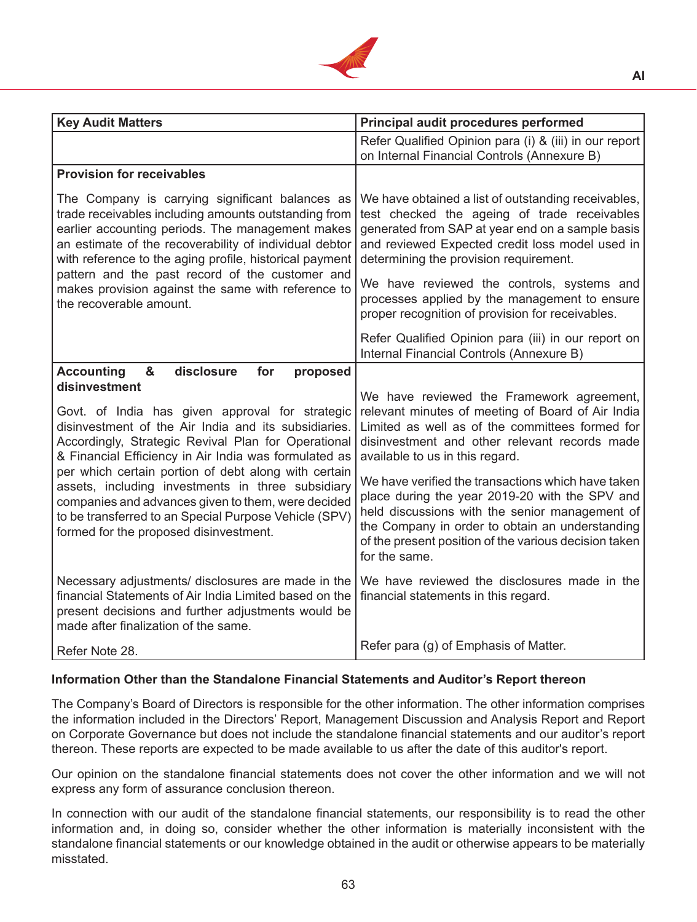

| <b>Key Audit Matters</b>                                                                                                                                                                                                                                                                                                                                                                                                                                                                      | Principal audit procedures performed                                                                                                                                                                                                                                                                                                                                                                                                                                                                                         |
|-----------------------------------------------------------------------------------------------------------------------------------------------------------------------------------------------------------------------------------------------------------------------------------------------------------------------------------------------------------------------------------------------------------------------------------------------------------------------------------------------|------------------------------------------------------------------------------------------------------------------------------------------------------------------------------------------------------------------------------------------------------------------------------------------------------------------------------------------------------------------------------------------------------------------------------------------------------------------------------------------------------------------------------|
|                                                                                                                                                                                                                                                                                                                                                                                                                                                                                               | Refer Qualified Opinion para (i) & (iii) in our report<br>on Internal Financial Controls (Annexure B)                                                                                                                                                                                                                                                                                                                                                                                                                        |
| <b>Provision for receivables</b>                                                                                                                                                                                                                                                                                                                                                                                                                                                              |                                                                                                                                                                                                                                                                                                                                                                                                                                                                                                                              |
| The Company is carrying significant balances as<br>trade receivables including amounts outstanding from<br>earlier accounting periods. The management makes<br>an estimate of the recoverability of individual debtor<br>with reference to the aging profile, historical payment                                                                                                                                                                                                              | We have obtained a list of outstanding receivables,<br>test checked the ageing of trade receivables<br>generated from SAP at year end on a sample basis<br>and reviewed Expected credit loss model used in<br>determining the provision requirement.                                                                                                                                                                                                                                                                         |
| pattern and the past record of the customer and<br>makes provision against the same with reference to<br>the recoverable amount.                                                                                                                                                                                                                                                                                                                                                              | We have reviewed the controls, systems and<br>processes applied by the management to ensure<br>proper recognition of provision for receivables.                                                                                                                                                                                                                                                                                                                                                                              |
|                                                                                                                                                                                                                                                                                                                                                                                                                                                                                               | Refer Qualified Opinion para (iii) in our report on<br>Internal Financial Controls (Annexure B)                                                                                                                                                                                                                                                                                                                                                                                                                              |
| <b>Accounting</b><br>&<br>disclosure<br>for<br>proposed<br>disinvestment                                                                                                                                                                                                                                                                                                                                                                                                                      |                                                                                                                                                                                                                                                                                                                                                                                                                                                                                                                              |
| Govt. of India has given approval for strategic<br>disinvestment of the Air India and its subsidiaries.<br>Accordingly, Strategic Revival Plan for Operational<br>& Financial Efficiency in Air India was formulated as<br>per which certain portion of debt along with certain<br>assets, including investments in three subsidiary<br>companies and advances given to them, were decided<br>to be transferred to an Special Purpose Vehicle (SPV)<br>formed for the proposed disinvestment. | We have reviewed the Framework agreement,<br>relevant minutes of meeting of Board of Air India<br>Limited as well as of the committees formed for<br>disinvestment and other relevant records made<br>available to us in this regard.<br>We have verified the transactions which have taken<br>place during the year 2019-20 with the SPV and<br>held discussions with the senior management of<br>the Company in order to obtain an understanding<br>of the present position of the various decision taken<br>for the same. |
| Necessary adjustments/ disclosures are made in the<br>financial Statements of Air India Limited based on the<br>present decisions and further adjustments would be<br>made after finalization of the same.                                                                                                                                                                                                                                                                                    | We have reviewed the disclosures made in the<br>financial statements in this regard.                                                                                                                                                                                                                                                                                                                                                                                                                                         |
| Refer Note 28.                                                                                                                                                                                                                                                                                                                                                                                                                                                                                | Refer para (g) of Emphasis of Matter.                                                                                                                                                                                                                                                                                                                                                                                                                                                                                        |

# **Information Other than the Standalone Financial Statements and Auditor's Report thereon**

The Company's Board of Directors is responsible for the other information. The other information comprises the information included in the Directors' Report, Management Discussion and Analysis Report and Report on Corporate Governance but does not include the standalone financial statements and our auditor's report thereon. These reports are expected to be made available to us after the date of this auditor's report.

Our opinion on the standalone financial statements does not cover the other information and we will not express any form of assurance conclusion thereon.

In connection with our audit of the standalone financial statements, our responsibility is to read the other information and, in doing so, consider whether the other information is materially inconsistent with the standalone financial statements or our knowledge obtained in the audit or otherwise appears to be materially misstated.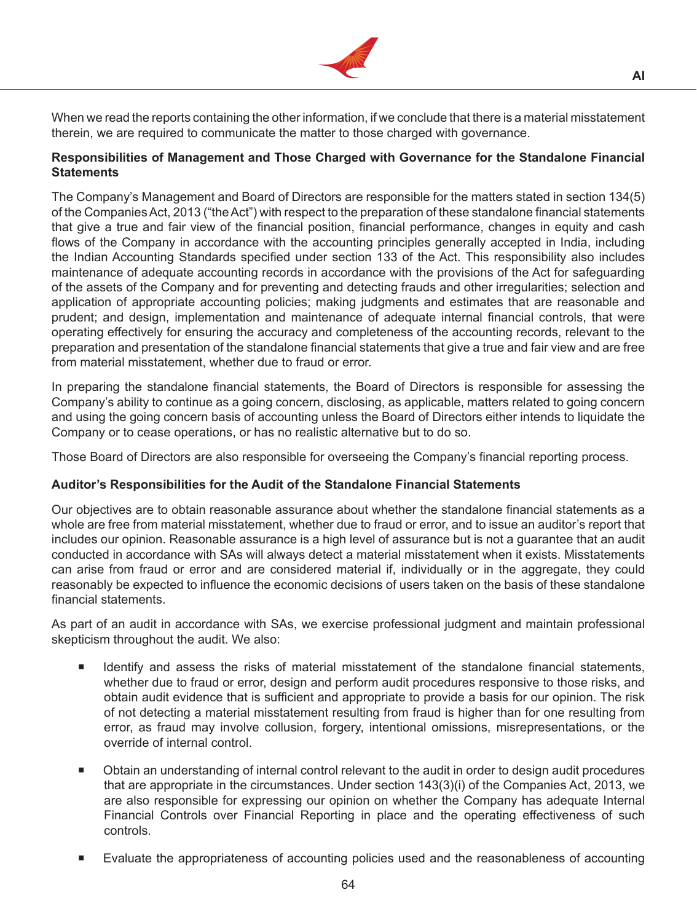

When we read the reports containing the other information, if we conclude that there is a material misstatement therein, we are required to communicate the matter to those charged with governance.

# **Responsibilities of Management and Those Charged with Governance for the Standalone Financial Statements**

The Company's Management and Board of Directors are responsible for the matters stated in section 134(5) of the CompaniesAct, 2013 ("theAct") with respect to the preparation of these standalone financial statements that give a true and fair view of the financial position, financial performance, changes in equity and cash flows of the Company in accordance with the accounting principles generally accepted in India, including the Indian Accounting Standards specified under section 133 of the Act. This responsibility also includes maintenance of adequate accounting records in accordance with the provisions of the Act for safeguarding of the assets of the Company and for preventing and detecting frauds and other irregularities; selection and application of appropriate accounting policies; making judgments and estimates that are reasonable and prudent; and design, implementation and maintenance of adequate internal financial controls, that were operating effectively for ensuring the accuracy and completeness of the accounting records, relevant to the preparation and presentation of the standalone financial statements that give a true and fair view and are free from material misstatement, whether due to fraud or error.

In preparing the standalone financial statements, the Board of Directors is responsible for assessing the Company's ability to continue as a going concern, disclosing, as applicable, matters related to going concern and using the going concern basis of accounting unless the Board of Directors either intends to liquidate the Company or to cease operations, or has no realistic alternative but to do so.

Those Board of Directors are also responsible for overseeing the Company's financial reporting process.

# **Auditor's Responsibilities for the Audit of the Standalone Financial Statements**

Our objectives are to obtain reasonable assurance about whether the standalone financial statements as a whole are free from material misstatement, whether due to fraud or error, and to issue an auditor's report that includes our opinion. Reasonable assurance is a high level of assurance but is not a guarantee that an audit conducted in accordance with SAs will always detect a material misstatement when it exists. Misstatements can arise from fraud or error and are considered material if, individually or in the aggregate, they could reasonably be expected to influence the economic decisions of users taken on the basis of these standalone financial statements.

As part of an audit in accordance with SAs, we exercise professional judgment and maintain professional skepticism throughout the audit. We also:

- Identify and assess the risks of material misstatement of the standalone financial statements, whether due to fraud or error, design and perform audit procedures responsive to those risks, and obtain audit evidence that is sufficient and appropriate to provide a basis for our opinion. The risk of not detecting a material misstatement resulting from fraud is higher than for one resulting from error, as fraud may involve collusion, forgery, intentional omissions, misrepresentations, or the override of internal control.
- **Dian and understanding of internal control relevant to the audit in order to design audit procedures** that are appropriate in the circumstances. Under section 143(3)(i) of the Companies Act, 2013, we are also responsible for expressing our opinion on whether the Company has adequate Internal Financial Controls over Financial Reporting in place and the operating effectiveness of such controls.
- Evaluate the appropriateness of accounting policies used and the reasonableness of accounting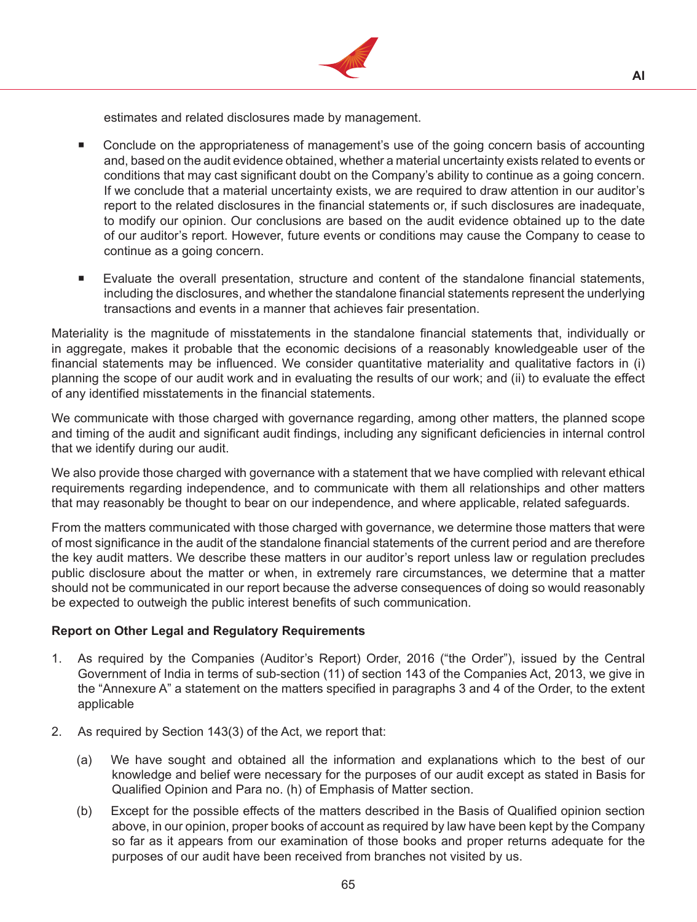

estimates and related disclosures made by management.

- Conclude on the appropriateness of management's use of the going concern basis of accounting and, based on the audit evidence obtained, whether a material uncertainty exists related to events or conditions that may cast significant doubt on the Company's ability to continue as a going concern. If we conclude that a material uncertainty exists, we are required to draw attention in our auditor's report to the related disclosures in the financial statements or, if such disclosures are inadequate, to modify our opinion. Our conclusions are based on the audit evidence obtained up to the date of our auditor's report. However, future events or conditions may cause the Company to cease to continue as a going concern.
- Evaluate the overall presentation, structure and content of the standalone financial statements, including the disclosures, and whether the standalone financial statements represent the underlying transactions and events in a manner that achieves fair presentation.

Materiality is the magnitude of misstatements in the standalone financial statements that, individually or in aggregate, makes it probable that the economic decisions of a reasonably knowledgeable user of the financial statements may be influenced. We consider quantitative materiality and qualitative factors in (i) planning the scope of our audit work and in evaluating the results of our work; and (ii) to evaluate the effect of any identified misstatements in the financial statements.

We communicate with those charged with governance regarding, among other matters, the planned scope and timing of the audit and significant audit findings, including any significant deficiencies in internal control that we identify during our audit.

We also provide those charged with governance with a statement that we have complied with relevant ethical requirements regarding independence, and to communicate with them all relationships and other matters that may reasonably be thought to bear on our independence, and where applicable, related safeguards.

From the matters communicated with those charged with governance, we determine those matters that were of most significance in the audit of the standalone financial statements of the current period and are therefore the key audit matters. We describe these matters in our auditor's report unless law or regulation precludes public disclosure about the matter or when, in extremely rare circumstances, we determine that a matter should not be communicated in our report because the adverse consequences of doing so would reasonably be expected to outweigh the public interest benefits of such communication.

# **Report on Other Legal and Regulatory Requirements**

- 1. As required by the Companies (Auditor's Report) Order, 2016 ("the Order"), issued by the Central Government of India in terms of sub-section (11) of section 143 of the Companies Act, 2013, we give in the "Annexure A" a statement on the matters specified in paragraphs 3 and 4 of the Order, to the extent applicable
- 2. As required by Section 143(3) of the Act, we report that:
	- (a) We have sought and obtained all the information and explanations which to the best of our knowledge and belief were necessary for the purposes of our audit except as stated in Basis for Qualified Opinion and Para no. (h) of Emphasis of Matter section.
	- (b) Except for the possible effects of the matters described in the Basis of Qualified opinion section above, in our opinion, proper books of account as required by law have been kept by the Company so far as it appears from our examination of those books and proper returns adequate for the purposes of our audit have been received from branches not visited by us.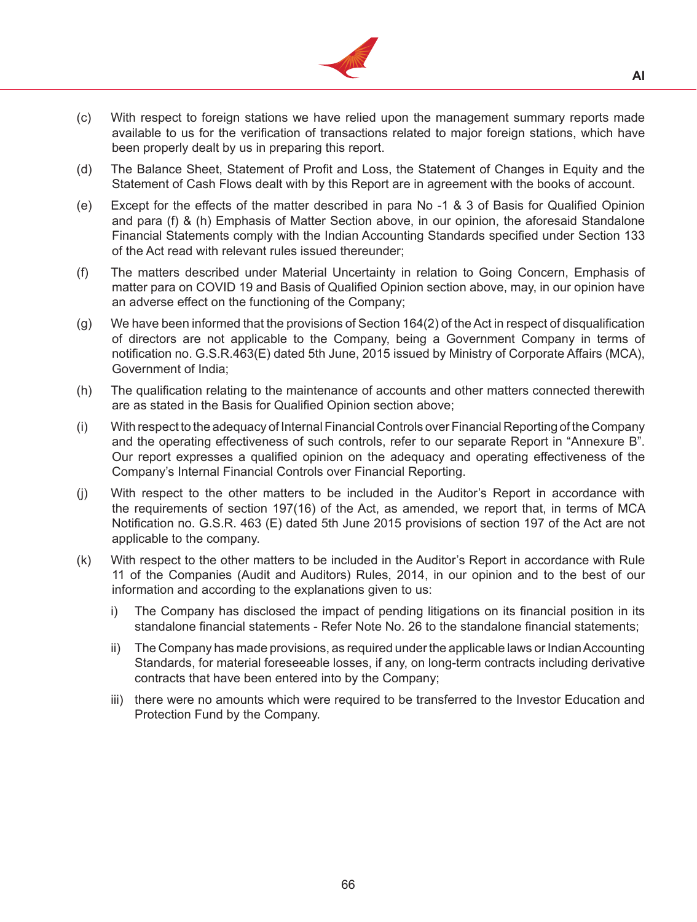

- (c) With respect to foreign stations we have relied upon the management summary reports made available to us for the verification of transactions related to major foreign stations, which have been properly dealt by us in preparing this report.
- (d) The Balance Sheet, Statement of Profit and Loss, the Statement of Changes in Equity and the Statement of Cash Flows dealt with by this Report are in agreement with the books of account.
- (e) Except for the effects of the matter described in para No -1 & 3 of Basis for Qualified Opinion and para (f) & (h) Emphasis of Matter Section above, in our opinion, the aforesaid Standalone Financial Statements comply with the Indian Accounting Standards specified under Section 133 of the Act read with relevant rules issued thereunder;
- (f) The matters described under Material Uncertainty in relation to Going Concern, Emphasis of matter para on COVID 19 and Basis of Qualified Opinion section above, may, in our opinion have an adverse effect on the functioning of the Company;
- (g) We have been informed that the provisions of Section 164(2) of the Act in respect of disqualification of directors are not applicable to the Company, being a Government Company in terms of notification no. G.S.R.463(E) dated 5th June, 2015 issued by Ministry of Corporate Affairs (MCA), Government of India;
- (h) The qualification relating to the maintenance of accounts and other matters connected therewith are as stated in the Basis for Qualified Opinion section above;
- (i) With respect to the adequacy of Internal Financial Controls over Financial Reporting of the Company and the operating effectiveness of such controls, refer to our separate Report in "Annexure B". Our report expresses a qualified opinion on the adequacy and operating effectiveness of the Company's Internal Financial Controls over Financial Reporting.
- (j) With respect to the other matters to be included in the Auditor's Report in accordance with the requirements of section 197(16) of the Act, as amended, we report that, in terms of MCA Notification no. G.S.R. 463 (E) dated 5th June 2015 provisions of section 197 of the Act are not applicable to the company.
- (k) With respect to the other matters to be included in the Auditor's Report in accordance with Rule 11 of the Companies (Audit and Auditors) Rules, 2014, in our opinion and to the best of our information and according to the explanations given to us:
	- i) The Company has disclosed the impact of pending litigations on its financial position in its standalone financial statements - Refer Note No. 26 to the standalone financial statements;
	- ii) The Company has made provisions, as required under the applicable laws or Indian Accounting Standards, for material foreseeable losses, if any, on long-term contracts including derivative contracts that have been entered into by the Company;
	- iii) there were no amounts which were required to be transferred to the Investor Education and Protection Fund by the Company.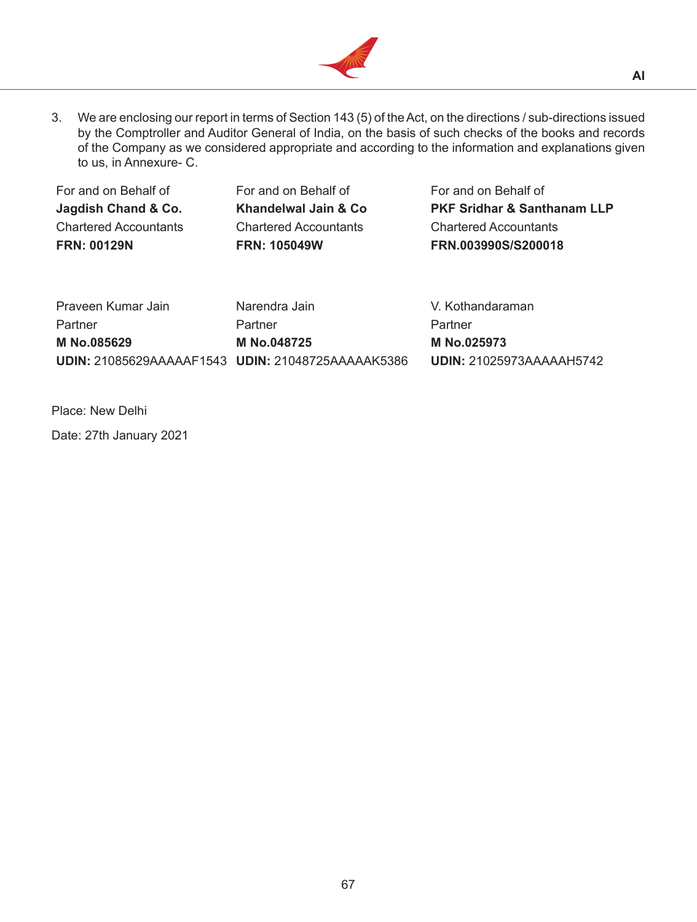

3. We are enclosing our report in terms of Section 143 (5) of the Act, on the directions / sub-directions issued by the Comptroller and Auditor General of India, on the basis of such checks of the books and records of the Company as we considered appropriate and according to the information and explanations given to us, in Annexure- C.

| For and on Behalf of         | For and on Behalf of         | For and on Behalf of                   |
|------------------------------|------------------------------|----------------------------------------|
| Jagdish Chand & Co.          | Khandelwal Jain & Co         | <b>PKF Sridhar &amp; Santhanam LLP</b> |
| <b>Chartered Accountants</b> | <b>Chartered Accountants</b> | <b>Chartered Accountants</b>           |
| <b>FRN: 00129N</b>           | <b>FRN: 105049W</b>          | FRN.003990S/S200018                    |
|                              |                              |                                        |

| Praveen Kumar Jain                                | Narendra Jain | V. Kothandaraman         |
|---------------------------------------------------|---------------|--------------------------|
| Partner                                           | Partner       | Partner                  |
| M No.085629                                       | M No.048725   | M No.025973              |
| UDIN: 21085629AAAAAF1543 UDIN: 21048725AAAAAK5386 |               | UDIN: 21025973AAAAAH5742 |

Place: New Delhi

Date: 27th January 2021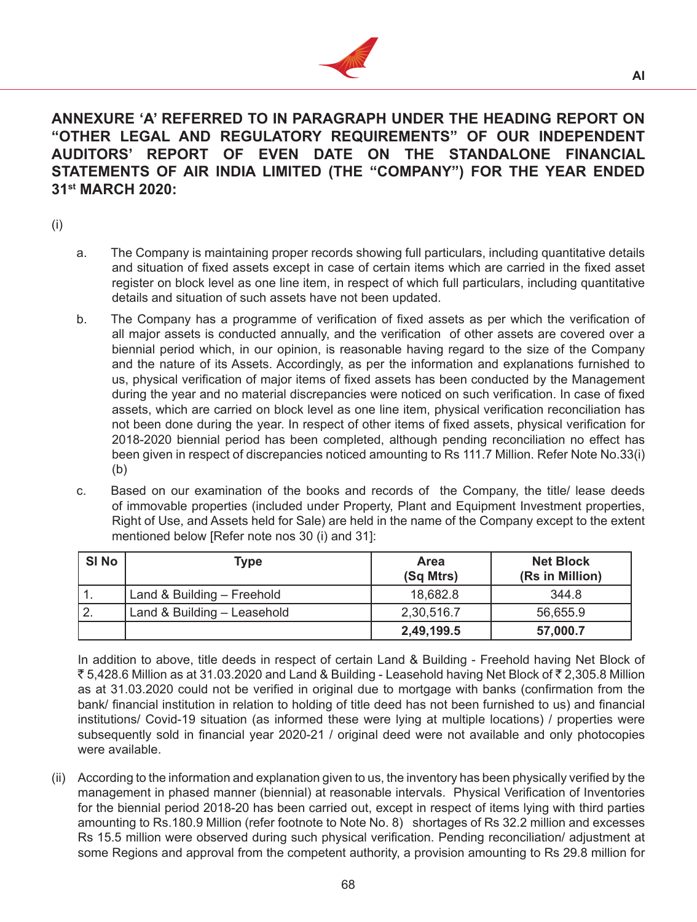

# **ANNEXURE 'A' REFERRED TO IN PARAGRAPH UNDER THE HEADING REPORT ON "OTHER LEGAL AND REGULATORY REQUIREMENTS" OF OUR INDEPENDENT AUDITORS' REPORT OF EVEN DATE ON THE STANDALONE FINANCIAL STATEMENTS OF AIR INDIA LIMITED (THE "COMPANY") FOR THE YEAR ENDED 31st MARCH 2020:**

- (i)
- a. The Company is maintaining proper records showing full particulars, including quantitative details and situation of fixed assets except in case of certain items which are carried in the fixed asset register on block level as one line item, in respect of which full particulars, including quantitative details and situation of such assets have not been updated.
- b. The Company has a programme of verification of fixed assets as per which the verification of all major assets is conducted annually, and the verification of other assets are covered over a biennial period which, in our opinion, is reasonable having regard to the size of the Company and the nature of its Assets. Accordingly, as per the information and explanations furnished to us, physical verification of major items of fixed assets has been conducted by the Management during the year and no material discrepancies were noticed on such verification. In case of fixed assets, which are carried on block level as one line item, physical verification reconciliation has not been done during the year. In respect of other items of fixed assets, physical verification for 2018-2020 biennial period has been completed, although pending reconciliation no effect has been given in respect of discrepancies noticed amounting to Rs 111.7 Million. Refer Note No.33(i) (b)
- c. Based on our examination of the books and records of the Company, the title/ lease deeds of immovable properties (included under Property, Plant and Equipment Investment properties, Right of Use, and Assets held for Sale) are held in the name of the Company except to the extent mentioned below [Refer note nos 30 (i) and 31]:

| SI No         | Type                        | Area<br>(Sq Mtrs) | <b>Net Block</b><br>(Rs in Million) |
|---------------|-----------------------------|-------------------|-------------------------------------|
|               | Land & Building - Freehold  | 18,682.8          | 344.8                               |
| $^{\circ}$ 2. | Land & Building - Leasehold | 2,30,516.7        | 56,655.9                            |
|               |                             | 2,49,199.5        | 57,000.7                            |

 In addition to above, title deeds in respect of certain Land & Building - Freehold having Net Block of ₹5,428.6 Million as at 31.03.2020 and Land & Building - Leasehold having Net Block of ₹2,305.8 Million as at 31.03.2020 could not be verified in original due to mortgage with banks (confirmation from the bank/ financial institution in relation to holding of title deed has not been furnished to us) and financial institutions/ Covid-19 situation (as informed these were lying at multiple locations) / properties were subsequently sold in financial year 2020-21 / original deed were not available and only photocopies were available.

(ii) According to the information and explanation given to us, the inventory has been physically verified by the management in phased manner (biennial) at reasonable intervals. Physical Verification of Inventories for the biennial period 2018-20 has been carried out, except in respect of items lying with third parties amounting to Rs.180.9 Million (refer footnote to Note No. 8) shortages of Rs 32.2 million and excesses Rs 15.5 million were observed during such physical verification. Pending reconciliation/ adjustment at some Regions and approval from the competent authority, a provision amounting to Rs 29.8 million for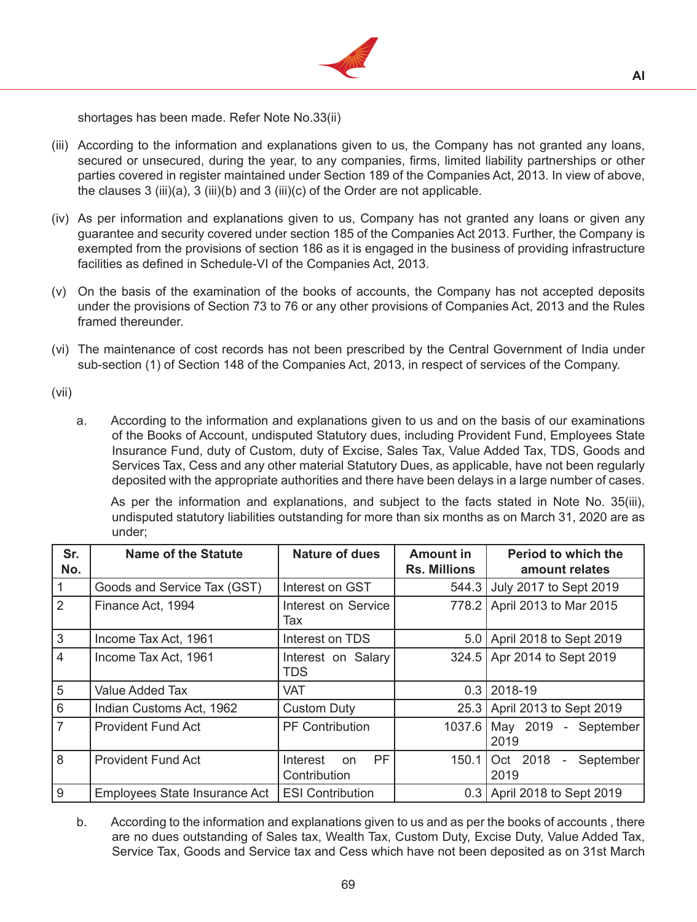

shortages has been made. Refer Note No.33(ii)

- (iii) According to the information and explanations given to us, the Company has not granted any loans, secured or unsecured, during the year, to any companies, firms, limited liability partnerships or other parties covered in register maintained under Section 189 of the Companies Act, 2013. In view of above, the clauses  $3$  (iii)(a),  $3$  (iii)(b) and  $3$  (iii)(c) of the Order are not applicable.
- (iv) As per information and explanations given to us, Company has not granted any loans or given any guarantee and security covered under section 185 of the Companies Act 2013. Further, the Company is exempted from the provisions of section 186 as it is engaged in the business of providing infrastructure facilities as defined in Schedule-VI of the Companies Act, 2013.
- (v) On the basis of the examination of the books of accounts, the Company has not accepted deposits under the provisions of Section 73 to 76 or any other provisions of Companies Act, 2013 and the Rules framed thereunder.
- (vi) The maintenance of cost records has not been prescribed by the Central Government of India under sub-section (1) of Section 148 of the Companies Act, 2013, in respect of services of the Company.

(vii)

a. According to the information and explanations given to us and on the basis of our examinations of the Books of Account, undisputed Statutory dues, including Provident Fund, Employees State Insurance Fund, duty of Custom, duty of Excise, Sales Tax, Value Added Tax, TDS, Goods and Services Tax, Cess and any other material Statutory Dues, as applicable, have not been regularly deposited with the appropriate authorities and there have been delays in a large number of cases.

 As per the information and explanations, and subject to the facts stated in Note No. 35(iii), undisputed statutory liabilities outstanding for more than six months as on March 31, 2020 are as under;

| Sr.<br>No.     | <b>Name of the Statute</b>    | <b>Nature of dues</b>                       | <b>Amount in</b><br><b>Rs. Millions</b> | <b>Period to which the</b><br>amount relates                  |
|----------------|-------------------------------|---------------------------------------------|-----------------------------------------|---------------------------------------------------------------|
| $\vert$ 1      | Goods and Service Tax (GST)   | Interest on GST                             | 544.3                                   | July 2017 to Sept 2019                                        |
| $\overline{2}$ | Finance Act, 1994             | Interest on Service<br>Tax                  | 778.2                                   | April 2013 to Mar 2015                                        |
| 3              | Income Tax Act, 1961          | Interest on TDS                             | 5.0                                     | April 2018 to Sept 2019                                       |
| $\overline{4}$ | Income Tax Act, 1961          | Interest on Salary<br><b>TDS</b>            | 324.5                                   | Apr 2014 to Sept 2019                                         |
| $\overline{5}$ | <b>Value Added Tax</b>        | <b>VAT</b>                                  | 0.3                                     | 2018-19                                                       |
| 6              | Indian Customs Act, 1962      | <b>Custom Duty</b>                          | 25.3                                    | April 2013 to Sept 2019                                       |
| $\overline{7}$ | <b>Provident Fund Act</b>     | <b>PF Contribution</b>                      | 1037.6                                  | May 2019 - September<br>2019                                  |
| 8              | <b>Provident Fund Act</b>     | <b>PF</b><br>Interest<br>on<br>Contribution | 150.1                                   | Oct 2018<br>September<br>$\qquad \qquad \blacksquare$<br>2019 |
| l 9            | Employees State Insurance Act | <b>ESI Contribution</b>                     | 0.3                                     | April 2018 to Sept 2019                                       |

b. According to the information and explanations given to us and as per the books of accounts, there are no dues outstanding of Sales tax, Wealth Tax, Custom Duty, Excise Duty, Value Added Tax, Service Tax, Goods and Service tax and Cess which have not been deposited as on 31st March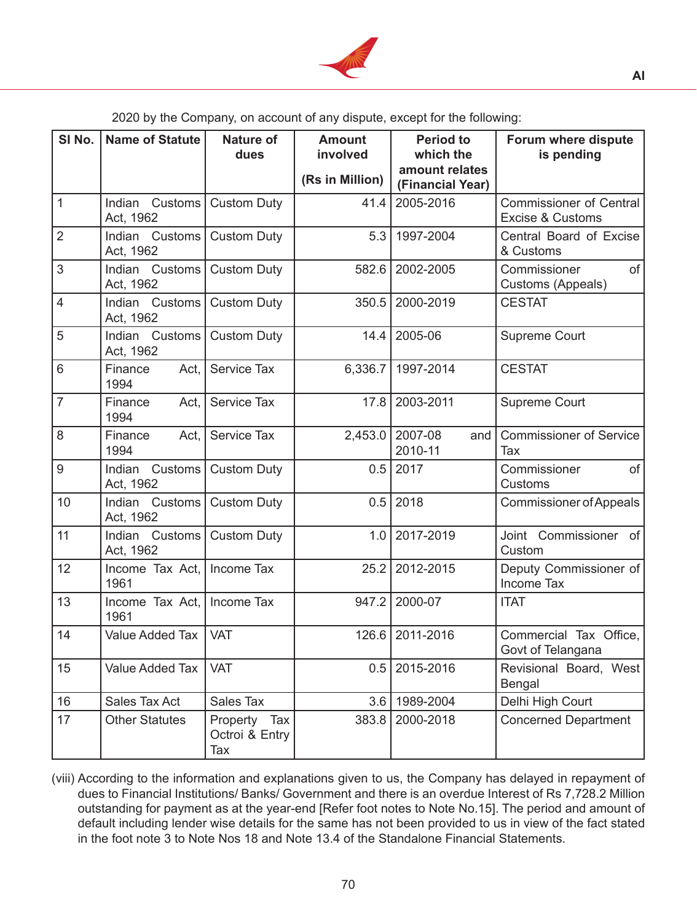

2020 by the Company, on account of any dispute, except for the following:

| SI No.         | <b>Name of Statute</b>         | <b>Nature of</b><br>dues              | <b>Amount</b><br>involved | <b>Period to</b><br>which the      | Forum where dispute<br>is pending                  |
|----------------|--------------------------------|---------------------------------------|---------------------------|------------------------------------|----------------------------------------------------|
|                |                                |                                       | (Rs in Million)           | amount relates<br>(Financial Year) |                                                    |
| $\mathbf{1}$   | Indian<br>Customs<br>Act, 1962 | <b>Custom Duty</b>                    | 41.4                      | 2005-2016                          | <b>Commissioner of Central</b><br>Excise & Customs |
| $\overline{2}$ | Indian Customs<br>Act, 1962    | <b>Custom Duty</b>                    | 5.3                       | 1997-2004                          | Central Board of Excise<br>& Customs               |
| 3              | Indian Customs<br>Act, 1962    | <b>Custom Duty</b>                    |                           | 582.6 2002-2005                    | of<br>Commissioner<br>Customs (Appeals)            |
| $\overline{4}$ | Indian Customs<br>Act, 1962    | <b>Custom Duty</b>                    | 350.5                     | 2000-2019                          | <b>CESTAT</b>                                      |
| 5              | Indian Customs<br>Act, 1962    | <b>Custom Duty</b>                    | 14.4                      | 2005-06                            | Supreme Court                                      |
| 6              | Finance<br>Act,<br>1994        | Service Tax                           | 6,336.7                   | 1997-2014                          | <b>CESTAT</b>                                      |
| $\overline{7}$ | Finance<br>Act,<br>1994        | Service Tax                           | 17.8                      | 2003-2011                          | Supreme Court                                      |
| 8              | Finance<br>Act,<br>1994        | Service Tax                           | 2,453.0                   | 2007-08<br>and<br>2010-11          | <b>Commissioner of Service</b><br>Tax              |
| 9              | Indian<br>Customs<br>Act, 1962 | <b>Custom Duty</b>                    | 0.5                       | 2017                               | Commissioner<br>of<br>Customs                      |
| 10             | Indian Customs<br>Act, 1962    | <b>Custom Duty</b>                    | 0.5                       | 2018                               | <b>Commissioner of Appeals</b>                     |
| 11             | Indian Customs<br>Act, 1962    | <b>Custom Duty</b>                    | 1.0                       | 2017-2019                          | Joint Commissioner of<br>Custom                    |
| 12             | Income Tax Act,<br>1961        | Income Tax                            |                           | 25.2 2012-2015                     | Deputy Commissioner of<br><b>Income Tax</b>        |
| 13             | Income Tax Act,<br>1961        | Income Tax                            | 947.2                     | 2000-07                            | <b>ITAT</b>                                        |
| 14             | Value Added Tax   VAT          |                                       |                           | 126.6 2011-2016                    | Commercial Tax Office,<br>Govt of Telangana        |
| 15             | Value Added Tax                | <b>VAT</b>                            | 0.5                       | 2015-2016                          | Revisional Board, West<br><b>Bengal</b>            |
| 16             | Sales Tax Act                  | Sales Tax                             | 3.6                       | 1989-2004                          | Delhi High Court                                   |
| 17             | <b>Other Statutes</b>          | Property Tax<br>Octroi & Entry<br>Tax | 383.8                     | 2000-2018                          | <b>Concerned Department</b>                        |

(viii) According to the information and explanations given to us, the Company has delayed in repayment of dues to Financial Institutions/ Banks/ Government and there is an overdue Interest of Rs 7,728.2 Million outstanding for payment as at the year-end [Refer foot notes to Note No.15]. The period and amount of default including lender wise details for the same has not been provided to us in view of the fact stated in the foot note 3 to Note Nos 18 and Note 13.4 of the Standalone Financial Statements.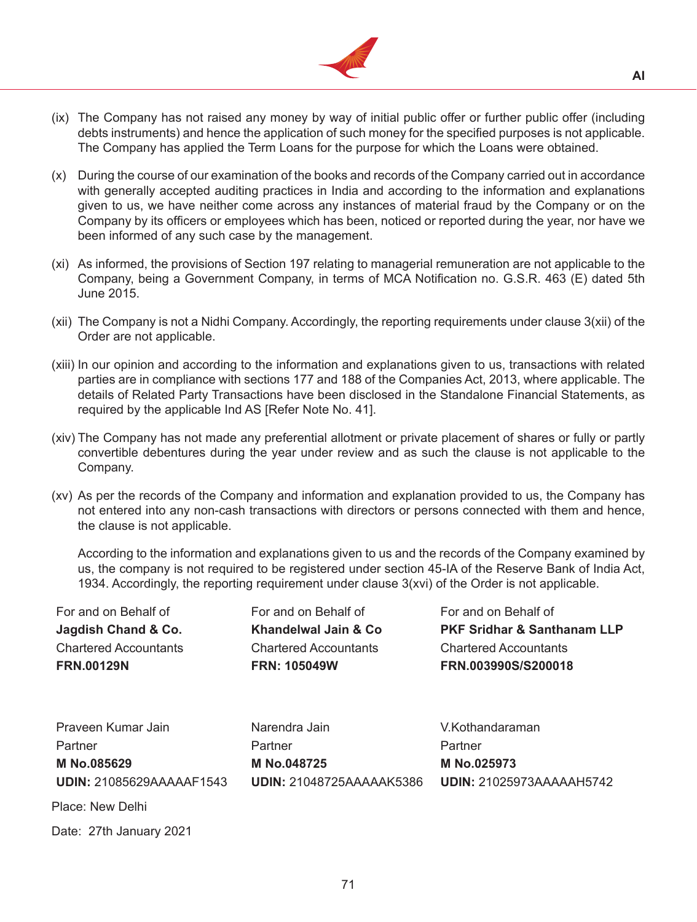

- (ix) The Company has not raised any money by way of initial public offer or further public offer (including debts instruments) and hence the application of such money for the specified purposes is not applicable. The Company has applied the Term Loans for the purpose for which the Loans were obtained.
- (x) During the course of our examination of the books and records of the Company carried out in accordance with generally accepted auditing practices in India and according to the information and explanations given to us, we have neither come across any instances of material fraud by the Company or on the Company by its officers or employees which has been, noticed or reported during the year, nor have we been informed of any such case by the management.
- (xi) As informed, the provisions of Section 197 relating to managerial remuneration are not applicable to the Company, being a Government Company, in terms of MCA Notification no. G.S.R. 463 (E) dated 5th June 2015.
- (xii) The Company is not a Nidhi Company. Accordingly, the reporting requirements under clause  $3(xii)$  of the Order are not applicable.
- (xiii) In our opinion and according to the information and explanations given to us, transactions with related parties are in compliance with sections 177 and 188 of the Companies Act, 2013, where applicable. The details of Related Party Transactions have been disclosed in the Standalone Financial Statements, as required by the applicable Ind AS [Refer Note No. 41].
- (xiv) The Company has not made any preferential allotment or private placement of shares or fully or partly convertible debentures during the year under review and as such the clause is not applicable to the Company.
- (xv) As per the records of the Company and information and explanation provided to us, the Company has not entered into any non-cash transactions with directors or persons connected with them and hence, the clause is not applicable.

 According to the information and explanations given to us and the records of the Company examined by us, the company is not required to be registered under section 45-IA of the Reserve Bank of India Act, 1934. Accordingly, the reporting requirement under clause 3(xvi) of the Order is not applicable.

| For and on Behalf of            | For and on Behalf of            | For and on Behalf of                   |
|---------------------------------|---------------------------------|----------------------------------------|
| Jagdish Chand & Co.             | Khandelwal Jain & Co.           | <b>PKF Sridhar &amp; Santhanam LLP</b> |
| <b>Chartered Accountants</b>    | <b>Chartered Accountants</b>    | <b>Chartered Accountants</b>           |
| <b>FRN.00129N</b>               | <b>FRN: 105049W</b>             | FRN.003990S/S200018                    |
|                                 |                                 |                                        |
| Praveen Kumar Jain              | Narendra Jain                   | V.Kothandaraman                        |
| Partner                         | Partner                         | Partner                                |
| M No.085629                     | M No.048725                     | M No.025973                            |
| <b>UDIN: 21085629AAAAAF1543</b> | <b>UDIN: 21048725AAAAAK5386</b> | <b>UDIN: 21025973AAAAAH5742</b>        |
| Place: New Delhi                |                                 |                                        |

Date: 27th January 2021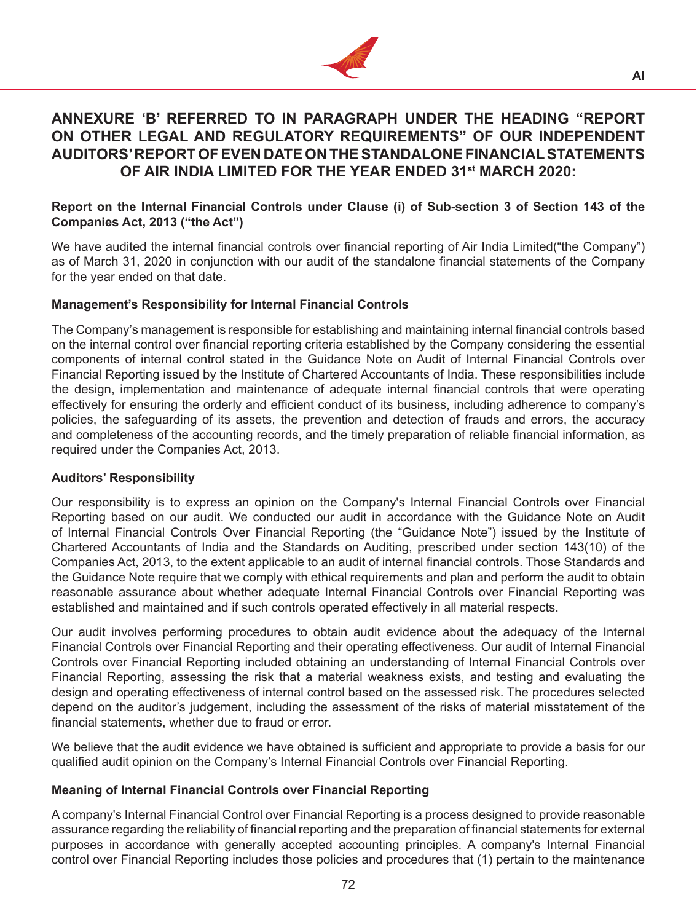

# **ANNEXURE 'B' REFERRED TO IN PARAGRAPH UNDER THE HEADING "REPORT ON OTHER LEGAL AND REGULATORY REQUIREMENTS" OF OUR INDEPENDENT AUDITORS' REPORT OF EVEN DATE ON THE STANDALONE FINANCIAL STATEMENTS OF AIR INDIA LIMITED FOR THE YEAR ENDED 31st MARCH 2020:**

### **Report on the Internal Financial Controls under Clause (i) of Sub-section 3 of Section 143 of the Companies Act, 2013 ("the Act")**

We have audited the internal financial controls over financial reporting of Air India Limited("the Company") as of March 31, 2020 in conjunction with our audit of the standalone financial statements of the Company for the year ended on that date.

# **Management's Responsibility for Internal Financial Controls**

The Company's management is responsible for establishing and maintaining internal financial controls based on the internal control over financial reporting criteria established by the Company considering the essential components of internal control stated in the Guidance Note on Audit of Internal Financial Controls over Financial Reporting issued by the Institute of Chartered Accountants of India. These responsibilities include the design, implementation and maintenance of adequate internal financial controls that were operating effectively for ensuring the orderly and efficient conduct of its business, including adherence to company's policies, the safeguarding of its assets, the prevention and detection of frauds and errors, the accuracy and completeness of the accounting records, and the timely preparation of reliable financial information, as required under the Companies Act, 2013.

# **Auditors' Responsibility**

Our responsibility is to express an opinion on the Company's Internal Financial Controls over Financial Reporting based on our audit. We conducted our audit in accordance with the Guidance Note on Audit of Internal Financial Controls Over Financial Reporting (the "Guidance Note") issued by the Institute of Chartered Accountants of India and the Standards on Auditing, prescribed under section 143(10) of the Companies Act, 2013, to the extent applicable to an audit of internal financial controls. Those Standards and the Guidance Note require that we comply with ethical requirements and plan and perform the audit to obtain reasonable assurance about whether adequate Internal Financial Controls over Financial Reporting was established and maintained and if such controls operated effectively in all material respects.

Our audit involves performing procedures to obtain audit evidence about the adequacy of the Internal Financial Controls over Financial Reporting and their operating effectiveness. Our audit of Internal Financial Controls over Financial Reporting included obtaining an understanding of Internal Financial Controls over Financial Reporting, assessing the risk that a material weakness exists, and testing and evaluating the design and operating effectiveness of internal control based on the assessed risk. The procedures selected depend on the auditor's judgement, including the assessment of the risks of material misstatement of the financial statements, whether due to fraud or error.

We believe that the audit evidence we have obtained is sufficient and appropriate to provide a basis for our qualified audit opinion on the Company's Internal Financial Controls over Financial Reporting.

# **Meaning of Internal Financial Controls over Financial Reporting**

A company's Internal Financial Control over Financial Reporting is a process designed to provide reasonable assurance regarding the reliability of financial reporting and the preparation of financial statements for external purposes in accordance with generally accepted accounting principles. A company's Internal Financial control over Financial Reporting includes those policies and procedures that (1) pertain to the maintenance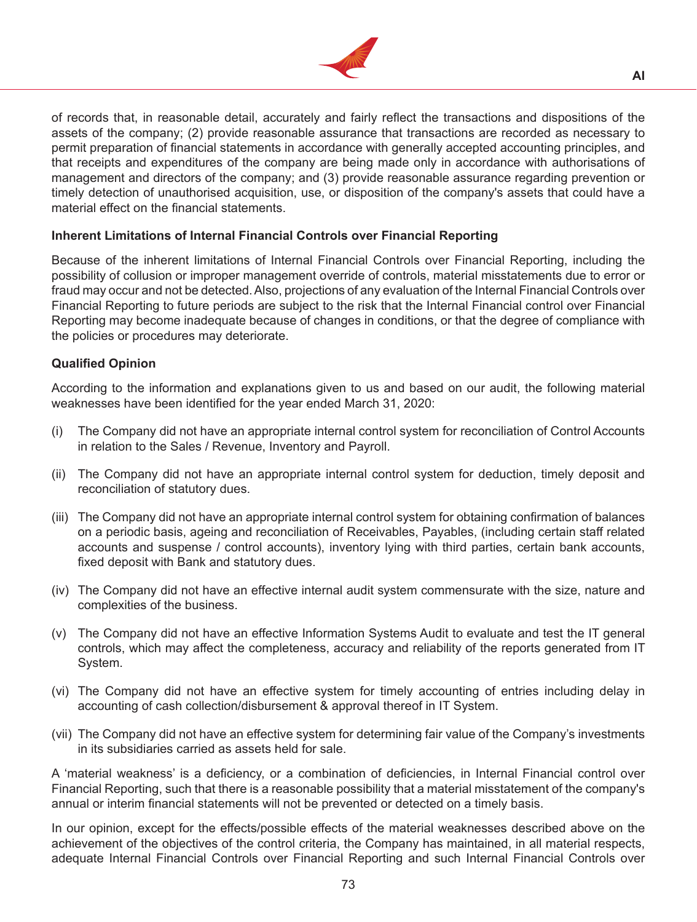

of records that, in reasonable detail, accurately and fairly reflect the transactions and dispositions of the assets of the company; (2) provide reasonable assurance that transactions are recorded as necessary to permit preparation of financial statements in accordance with generally accepted accounting principles, and that receipts and expenditures of the company are being made only in accordance with authorisations of management and directors of the company; and (3) provide reasonable assurance regarding prevention or timely detection of unauthorised acquisition, use, or disposition of the company's assets that could have a material effect on the financial statements.

# **Inherent Limitations of Internal Financial Controls over Financial Reporting**

Because of the inherent limitations of Internal Financial Controls over Financial Reporting, including the possibility of collusion or improper management override of controls, material misstatements due to error or fraud may occur and not be detected. Also, projections of any evaluation of the Internal Financial Controls over Financial Reporting to future periods are subject to the risk that the Internal Financial control over Financial Reporting may become inadequate because of changes in conditions, or that the degree of compliance with the policies or procedures may deteriorate.

# **Qualified Opinion**

According to the information and explanations given to us and based on our audit, the following material weaknesses have been identified for the year ended March 31, 2020:

- (i) The Company did not have an appropriate internal control system for reconciliation of Control Accounts in relation to the Sales / Revenue, Inventory and Payroll.
- (ii) The Company did not have an appropriate internal control system for deduction, timely deposit and reconciliation of statutory dues.
- (iii) The Company did not have an appropriate internal control system for obtaining confirmation of balances on a periodic basis, ageing and reconciliation of Receivables, Payables, (including certain staff related accounts and suspense / control accounts), inventory lying with third parties, certain bank accounts, fixed deposit with Bank and statutory dues.
- (iv) The Company did not have an effective internal audit system commensurate with the size, nature and complexities of the business.
- (v) The Company did not have an effective Information Systems Audit to evaluate and test the IT general controls, which may affect the completeness, accuracy and reliability of the reports generated from IT System.
- (vi) The Company did not have an effective system for timely accounting of entries including delay in accounting of cash collection/disbursement & approval thereof in IT System.
- (vii) The Company did not have an effective system for determining fair value of the Company's investments in its subsidiaries carried as assets held for sale.

A 'material weakness' is a deficiency, or a combination of deficiencies, in Internal Financial control over Financial Reporting, such that there is a reasonable possibility that a material misstatement of the company's annual or interim financial statements will not be prevented or detected on a timely basis.

In our opinion, except for the effects/possible effects of the material weaknesses described above on the achievement of the objectives of the control criteria, the Company has maintained, in all material respects, adequate Internal Financial Controls over Financial Reporting and such Internal Financial Controls over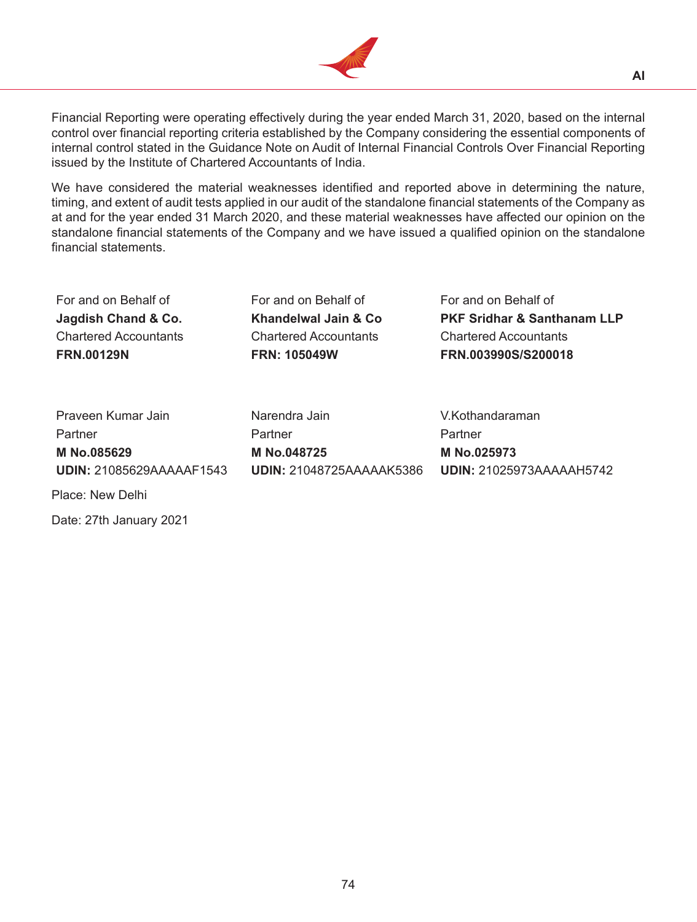

Financial Reporting were operating effectively during the year ended March 31, 2020, based on the internal control over financial reporting criteria established by the Company considering the essential components of internal control stated in the Guidance Note on Audit of Internal Financial Controls Over Financial Reporting issued by the Institute of Chartered Accountants of India.

We have considered the material weaknesses identified and reported above in determining the nature, timing, and extent of audit tests applied in our audit of the standalone financial statements of the Company as at and for the year ended 31 March 2020, and these material weaknesses have affected our opinion on the standalone financial statements of the Company and we have issued a qualified opinion on the standalone financial statements.

For and on Behalf of For and on Behalf of For and on Behalf of Chartered Accountants Chartered Accountants Chartered Accountants

**Jagdish Chand & Co. Khandelwal Jain & Co PKF Sridhar & Santhanam LLP FRN.00129N FRN: 105049W FRN.003990S/S200018**

Praveen Kumar Jain Narendra Jain V.Kothandaraman Partner Partner Partner Partner Partner **M No.085629 M No.048725 M No.025973 UDIN:** 21085629AAAAAF1543 **UDIN:** 21048725AAAAAK5386 **UDIN:** 21025973AAAAAH5742

Place: New Delhi

Date: 27th January 2021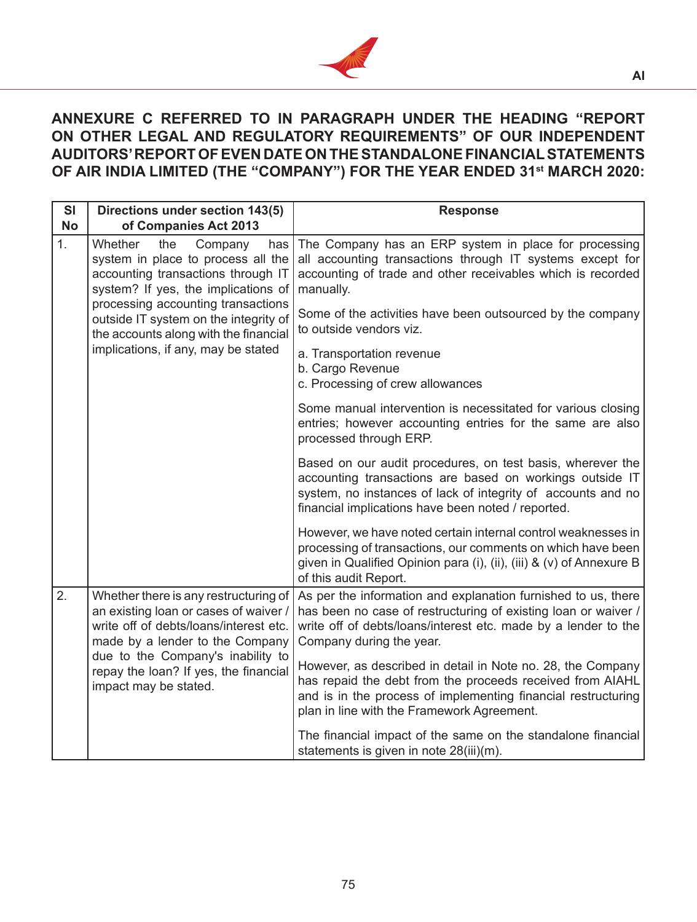

# **ANNEXURE C REFERRED TO IN PARAGRAPH UNDER THE HEADING "REPORT ON OTHER LEGAL AND REGULATORY REQUIREMENTS" OF OUR INDEPENDENT AUDITORS' REPORT OF EVEN DATE ON THE STANDALONE FINANCIAL STATEMENTS OF AIR INDIA LIMITED (THE "COMPANY") FOR THE YEAR ENDED 31st MARCH 2020:**

| <b>SI</b><br><b>No</b> | Directions under section 143(5)<br>of Companies Act 2013                                                                                                                                  | <b>Response</b>                                                                                                                                                                                                                                              |
|------------------------|-------------------------------------------------------------------------------------------------------------------------------------------------------------------------------------------|--------------------------------------------------------------------------------------------------------------------------------------------------------------------------------------------------------------------------------------------------------------|
| 1 <sub>1</sub>         | Whether<br>the<br>Company<br>has<br>system in place to process all the<br>accounting transactions through IT<br>system? If yes, the implications of<br>processing accounting transactions | The Company has an ERP system in place for processing<br>all accounting transactions through IT systems except for<br>accounting of trade and other receivables which is recorded<br>manually.<br>Some of the activities have been outsourced by the company |
|                        | outside IT system on the integrity of<br>the accounts along with the financial<br>implications, if any, may be stated                                                                     | to outside vendors viz.                                                                                                                                                                                                                                      |
|                        |                                                                                                                                                                                           | a. Transportation revenue<br>b. Cargo Revenue<br>c. Processing of crew allowances                                                                                                                                                                            |
|                        |                                                                                                                                                                                           | Some manual intervention is necessitated for various closing<br>entries; however accounting entries for the same are also<br>processed through ERP.                                                                                                          |
|                        |                                                                                                                                                                                           | Based on our audit procedures, on test basis, wherever the<br>accounting transactions are based on workings outside IT<br>system, no instances of lack of integrity of accounts and no<br>financial implications have been noted / reported.                 |
|                        |                                                                                                                                                                                           | However, we have noted certain internal control weaknesses in<br>processing of transactions, our comments on which have been<br>given in Qualified Opinion para (i), (ii), (iii) & (v) of Annexure B<br>of this audit Report.                                |
| 2.                     | Whether there is any restructuring of<br>an existing loan or cases of waiver /<br>write off of debts/loans/interest etc.<br>made by a lender to the Company                               | As per the information and explanation furnished to us, there<br>has been no case of restructuring of existing loan or waiver /<br>write off of debts/loans/interest etc. made by a lender to the<br>Company during the year.                                |
|                        | due to the Company's inability to<br>repay the loan? If yes, the financial<br>impact may be stated.                                                                                       | However, as described in detail in Note no. 28, the Company<br>has repaid the debt from the proceeds received from AIAHL<br>and is in the process of implementing financial restructuring<br>plan in line with the Framework Agreement.                      |
|                        |                                                                                                                                                                                           | The financial impact of the same on the standalone financial<br>statements is given in note 28(iii)(m).                                                                                                                                                      |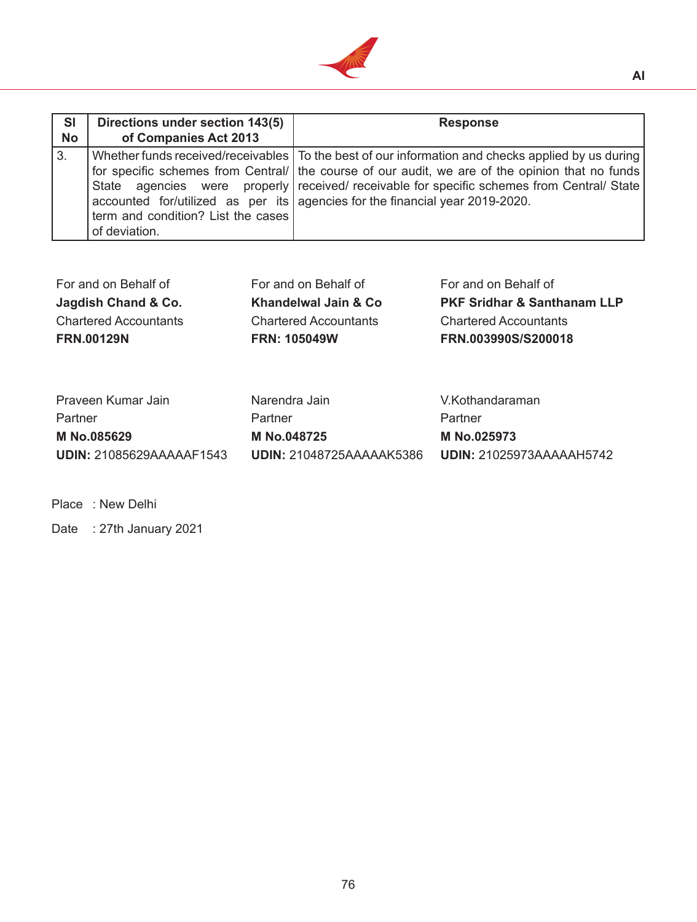

| <b>SI</b><br><b>No</b> | Directions under section 143(5)<br>of Companies Act 2013 | <b>Response</b>                                                                                                                                                                                                                                                                                                                                                                        |
|------------------------|----------------------------------------------------------|----------------------------------------------------------------------------------------------------------------------------------------------------------------------------------------------------------------------------------------------------------------------------------------------------------------------------------------------------------------------------------------|
| 3.                     | term and condition? List the cases<br>of deviation.      | Whether funds received/receivables   To the best of our information and checks applied by us during<br>for specific schemes from Central/ the course of our audit, we are of the opinion that no funds<br>State agencies were properly received/ receivable for specific schemes from Central/ State<br>accounted for/utilized as per its   agencies for the financial year 2019-2020. |

| For and on Behalf of         | For and on Behalf of         | For and on Behalf of                   |
|------------------------------|------------------------------|----------------------------------------|
| Jagdish Chand & Co.          | Khandelwal Jain & Co         | <b>PKF Sridhar &amp; Santhanam LLP</b> |
| <b>Chartered Accountants</b> | <b>Chartered Accountants</b> | <b>Chartered Accountants</b>           |
| <b>FRN.00129N</b>            | <b>FRN: 105049W</b>          | FRN.003990S/S200018                    |
|                              |                              |                                        |

| Narendra Jain            | V.Kothandaraman                 |
|--------------------------|---------------------------------|
| Partner                  | Partner                         |
| M No.048725              | M No.025973                     |
| UDIN: 21048725AAAAAK5386 | <b>UDIN:</b> 21025973AAAAAH5742 |
|                          |                                 |

Place : New Delhi

Date : 27th January 2021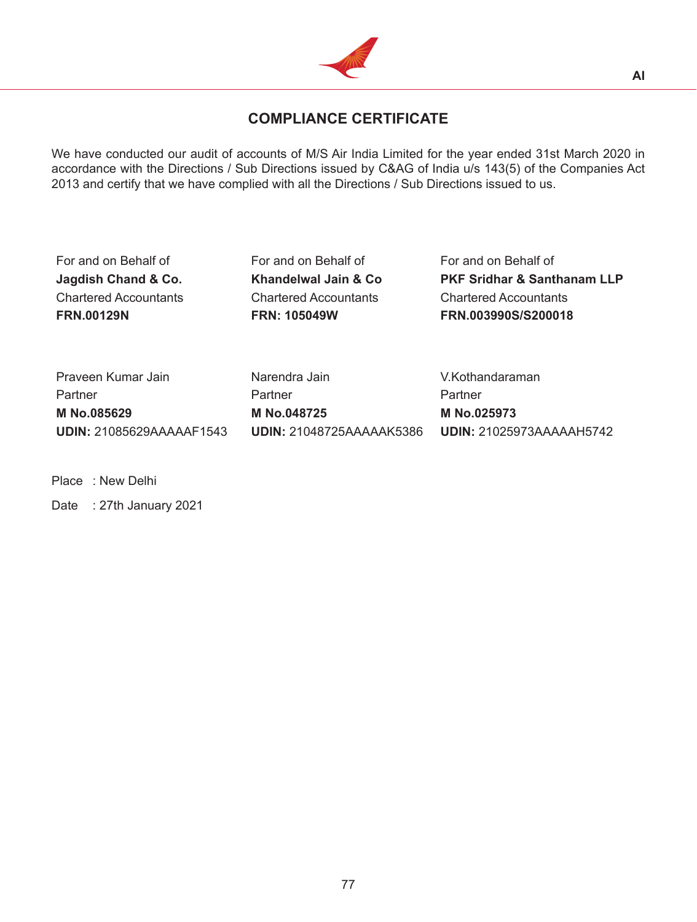

# **COMPLIANCE CERTIFICATE**

We have conducted our audit of accounts of M/S Air India Limited for the year ended 31st March 2020 in accordance with the Directions / Sub Directions issued by C&AG of India u/s 143(5) of the Companies Act 2013 and certify that we have complied with all the Directions / Sub Directions issued to us.

For and on Behalf of For and on Behalf of For and on Behalf of

Chartered Accountants Chartered Accountants Chartered Accountants

**Jagdish Chand & Co. Khandelwal Jain & Co PKF Sridhar & Santhanam LLP FRN.00129N FRN: 105049W FRN.003990S/S200018**

Praveen Kumar Jain **Narendra Jain** Narendra Jain V.Kothandaraman Partner Partner Partner Partner Partner **M No.085629 M No.048725 M No.025973 UDIN:** 21085629AAAAAF1543 **UDIN:** 21048725AAAAAK5386 **UDIN:** 21025973AAAAAH5742

Place : New Delhi

Date : 27th January 2021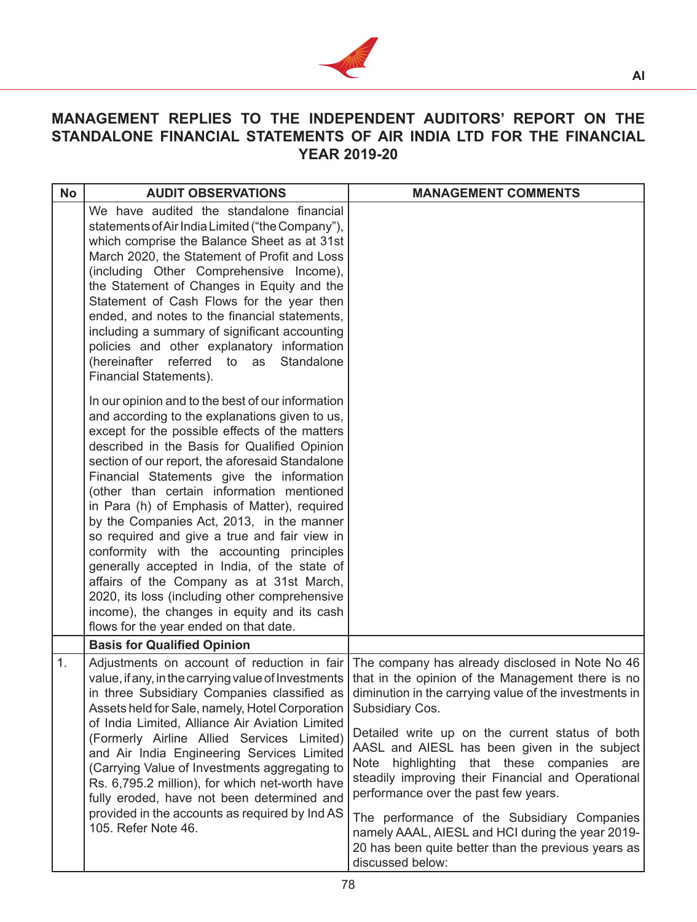

# **MANAGEMENT REPLIES TO THE INDEPENDENT AUDITORS' REPORT ON THE STANDALONE FINANCIAL STATEMENTS OF AIR INDIA LTD FOR THE FINANCIAL YEAR 2019-20**

| <b>No</b> | <b>AUDIT OBSERVATIONS</b>                                                                                                                                                                                                                                                                                                                                                                                                                                                                                                                                                                                                                                                                                                                                                          | <b>MANAGEMENT COMMENTS</b>                                                                                                                                                                                                                                                                                                                                                                                                                                                                                                                                                                                                                   |
|-----------|------------------------------------------------------------------------------------------------------------------------------------------------------------------------------------------------------------------------------------------------------------------------------------------------------------------------------------------------------------------------------------------------------------------------------------------------------------------------------------------------------------------------------------------------------------------------------------------------------------------------------------------------------------------------------------------------------------------------------------------------------------------------------------|----------------------------------------------------------------------------------------------------------------------------------------------------------------------------------------------------------------------------------------------------------------------------------------------------------------------------------------------------------------------------------------------------------------------------------------------------------------------------------------------------------------------------------------------------------------------------------------------------------------------------------------------|
|           | We have audited the standalone financial<br>statements of Air India Limited ("the Company"),<br>which comprise the Balance Sheet as at 31st<br>March 2020, the Statement of Profit and Loss<br>(including Other Comprehensive Income),<br>the Statement of Changes in Equity and the<br>Statement of Cash Flows for the year then<br>ended, and notes to the financial statements,<br>including a summary of significant accounting<br>policies and other explanatory information<br>(hereinafter<br>referred to<br>Standalone<br>as<br>Financial Statements).                                                                                                                                                                                                                     |                                                                                                                                                                                                                                                                                                                                                                                                                                                                                                                                                                                                                                              |
|           | In our opinion and to the best of our information<br>and according to the explanations given to us,<br>except for the possible effects of the matters<br>described in the Basis for Qualified Opinion<br>section of our report, the aforesaid Standalone<br>Financial Statements give the information<br>(other than certain information mentioned<br>in Para (h) of Emphasis of Matter), required<br>by the Companies Act, 2013, in the manner<br>so required and give a true and fair view in<br>conformity with the accounting principles<br>generally accepted in India, of the state of<br>affairs of the Company as at 31st March,<br>2020, its loss (including other comprehensive<br>income), the changes in equity and its cash<br>flows for the year ended on that date. |                                                                                                                                                                                                                                                                                                                                                                                                                                                                                                                                                                                                                                              |
|           | <b>Basis for Qualified Opinion</b>                                                                                                                                                                                                                                                                                                                                                                                                                                                                                                                                                                                                                                                                                                                                                 |                                                                                                                                                                                                                                                                                                                                                                                                                                                                                                                                                                                                                                              |
| 1.        | in three Subsidiary Companies classified as<br>Assets held for Sale, namely, Hotel Corporation<br>of India Limited, Alliance Air Aviation Limited<br>(Formerly Airline Allied Services Limited)<br>and Air India Engineering Services Limited<br>(Carrying Value of Investments aggregating to<br>Rs. 6,795.2 million), for which net-worth have<br>fully eroded, have not been determined and<br>provided in the accounts as required by Ind AS<br>105. Refer Note 46.                                                                                                                                                                                                                                                                                                            | Adjustments on account of reduction in fair   The company has already disclosed in Note No 46<br>value, if any, in the carrying value of Investments   that in the opinion of the Management there is no<br>diminution in the carrying value of the investments in  <br>Subsidiary Cos.<br>Detailed write up on the current status of both<br>AASL and AIESL has been given in the subject<br>Note<br>highlighting that these companies are<br>steadily improving their Financial and Operational<br>performance over the past few years.<br>The performance of the Subsidiary Companies<br>namely AAAL, AIESL and HCI during the year 2019- |
|           |                                                                                                                                                                                                                                                                                                                                                                                                                                                                                                                                                                                                                                                                                                                                                                                    | 20 has been quite better than the previous years as<br>discussed below:                                                                                                                                                                                                                                                                                                                                                                                                                                                                                                                                                                      |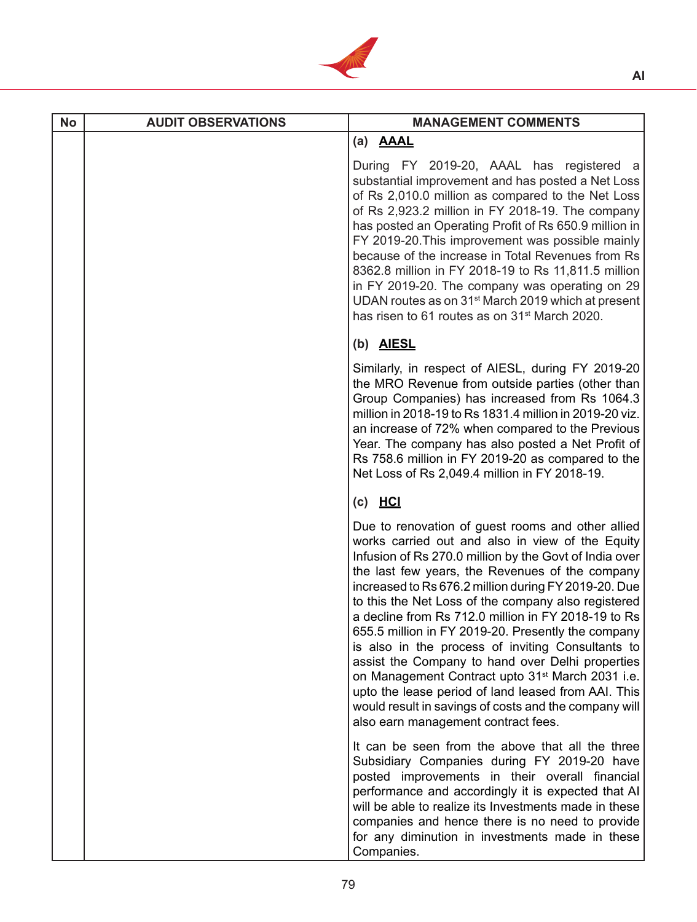

| <b>No</b> | <b>AUDIT OBSERVATIONS</b> | <b>MANAGEMENT COMMENTS</b>                                                                                                                                                                                                                                                                                                                                                                                                                                                                                                                                                                                                                                                                                                                                                     |
|-----------|---------------------------|--------------------------------------------------------------------------------------------------------------------------------------------------------------------------------------------------------------------------------------------------------------------------------------------------------------------------------------------------------------------------------------------------------------------------------------------------------------------------------------------------------------------------------------------------------------------------------------------------------------------------------------------------------------------------------------------------------------------------------------------------------------------------------|
|           |                           | (a) <b>AAAL</b>                                                                                                                                                                                                                                                                                                                                                                                                                                                                                                                                                                                                                                                                                                                                                                |
|           |                           | During FY 2019-20, AAAL has registered a<br>substantial improvement and has posted a Net Loss<br>of Rs 2,010.0 million as compared to the Net Loss<br>of Rs 2,923.2 million in FY 2018-19. The company<br>has posted an Operating Profit of Rs 650.9 million in<br>FY 2019-20. This improvement was possible mainly<br>because of the increase in Total Revenues from Rs<br>8362.8 million in FY 2018-19 to Rs 11,811.5 million<br>in FY 2019-20. The company was operating on 29<br>UDAN routes as on 31 <sup>st</sup> March 2019 which at present<br>has risen to 61 routes as on 31 <sup>st</sup> March 2020.                                                                                                                                                               |
|           |                           | (b) AIESL                                                                                                                                                                                                                                                                                                                                                                                                                                                                                                                                                                                                                                                                                                                                                                      |
|           |                           | Similarly, in respect of AIESL, during FY 2019-20<br>the MRO Revenue from outside parties (other than<br>Group Companies) has increased from Rs 1064.3<br>million in 2018-19 to Rs 1831.4 million in 2019-20 viz.<br>an increase of 72% when compared to the Previous<br>Year. The company has also posted a Net Profit of<br>Rs 758.6 million in FY 2019-20 as compared to the<br>Net Loss of Rs 2,049.4 million in FY 2018-19.                                                                                                                                                                                                                                                                                                                                               |
|           |                           | $(c)$ HCI                                                                                                                                                                                                                                                                                                                                                                                                                                                                                                                                                                                                                                                                                                                                                                      |
|           |                           | Due to renovation of guest rooms and other allied<br>works carried out and also in view of the Equity<br>Infusion of Rs 270.0 million by the Govt of India over<br>the last few years, the Revenues of the company<br>increased to Rs 676.2 million during FY 2019-20. Due<br>to this the Net Loss of the company also registered<br>a decline from Rs 712.0 million in FY 2018-19 to Rs<br>655.5 million in FY 2019-20. Presently the company<br>is also in the process of inviting Consultants to<br>assist the Company to hand over Delhi properties<br>on Management Contract upto 31 <sup>st</sup> March 2031 i.e.<br>upto the lease period of land leased from AAI. This<br>would result in savings of costs and the company will<br>also earn management contract fees. |
|           |                           | It can be seen from the above that all the three<br>Subsidiary Companies during FY 2019-20 have<br>posted improvements in their overall financial<br>performance and accordingly it is expected that AI<br>will be able to realize its Investments made in these<br>companies and hence there is no need to provide<br>for any diminution in investments made in these<br>Companies.                                                                                                                                                                                                                                                                                                                                                                                           |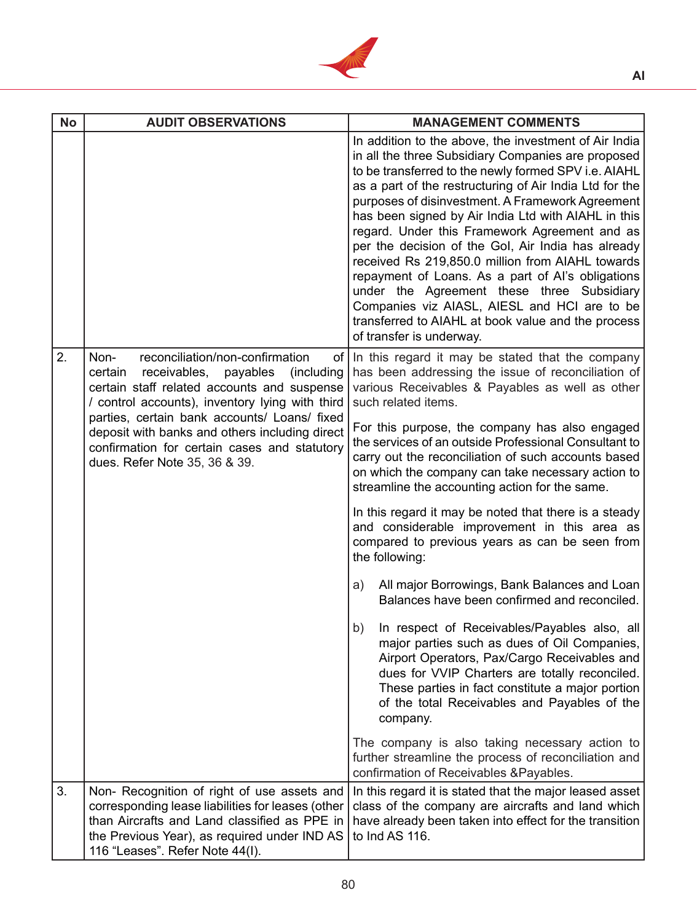

| <b>No</b> | <b>AUDIT OBSERVATIONS</b>                                                                                                                                                                                                                                                                                                                                                         | <b>MANAGEMENT COMMENTS</b>                                                                                                                                                                                                                                                                                                                                                                                                                                                                                                                                                                                                                                                                                                                                                                                                                                                                                                                                                                                                                                                                                                                                                        |
|-----------|-----------------------------------------------------------------------------------------------------------------------------------------------------------------------------------------------------------------------------------------------------------------------------------------------------------------------------------------------------------------------------------|-----------------------------------------------------------------------------------------------------------------------------------------------------------------------------------------------------------------------------------------------------------------------------------------------------------------------------------------------------------------------------------------------------------------------------------------------------------------------------------------------------------------------------------------------------------------------------------------------------------------------------------------------------------------------------------------------------------------------------------------------------------------------------------------------------------------------------------------------------------------------------------------------------------------------------------------------------------------------------------------------------------------------------------------------------------------------------------------------------------------------------------------------------------------------------------|
|           |                                                                                                                                                                                                                                                                                                                                                                                   | In addition to the above, the investment of Air India<br>in all the three Subsidiary Companies are proposed<br>to be transferred to the newly formed SPV i.e. AIAHL<br>as a part of the restructuring of Air India Ltd for the<br>purposes of disinvestment. A Framework Agreement<br>has been signed by Air India Ltd with AIAHL in this<br>regard. Under this Framework Agreement and as<br>per the decision of the Gol, Air India has already<br>received Rs 219,850.0 million from AIAHL towards<br>repayment of Loans. As a part of AI's obligations<br>under the Agreement these three Subsidiary<br>Companies viz AIASL, AIESL and HCI are to be<br>transferred to AIAHL at book value and the process<br>of transfer is underway.                                                                                                                                                                                                                                                                                                                                                                                                                                         |
| 2.        | reconciliation/non-confirmation<br>Non-<br>receivables,<br>payables<br>(including<br>certain<br>certain staff related accounts and suspense<br>/ control accounts), inventory lying with third<br>parties, certain bank accounts/ Loans/ fixed<br>deposit with banks and others including direct<br>confirmation for certain cases and statutory<br>dues. Refer Note 35, 36 & 39. | of In this regard it may be stated that the company<br>has been addressing the issue of reconciliation of<br>various Receivables & Payables as well as other<br>such related items.<br>For this purpose, the company has also engaged<br>the services of an outside Professional Consultant to<br>carry out the reconciliation of such accounts based<br>on which the company can take necessary action to<br>streamline the accounting action for the same.<br>In this regard it may be noted that there is a steady<br>and considerable improvement in this area as<br>compared to previous years as can be seen from<br>the following:<br>All major Borrowings, Bank Balances and Loan<br>a)<br>Balances have been confirmed and reconciled.<br>b)<br>In respect of Receivables/Payables also, all<br>major parties such as dues of Oil Companies,<br>Airport Operators, Pax/Cargo Receivables and<br>dues for VVIP Charters are totally reconciled.<br>These parties in fact constitute a major portion<br>of the total Receivables and Payables of the<br>company.<br>The company is also taking necessary action to<br>further streamline the process of reconciliation and |
| 3.        | Non- Recognition of right of use assets and<br>corresponding lease liabilities for leases (other<br>than Aircrafts and Land classified as PPE in<br>the Previous Year), as required under IND AS<br>116 "Leases". Refer Note 44(I).                                                                                                                                               | confirmation of Receivables & Payables.<br>In this regard it is stated that the major leased asset<br>class of the company are aircrafts and land which<br>have already been taken into effect for the transition<br>to Ind AS 116.                                                                                                                                                                                                                                                                                                                                                                                                                                                                                                                                                                                                                                                                                                                                                                                                                                                                                                                                               |
|           |                                                                                                                                                                                                                                                                                                                                                                                   |                                                                                                                                                                                                                                                                                                                                                                                                                                                                                                                                                                                                                                                                                                                                                                                                                                                                                                                                                                                                                                                                                                                                                                                   |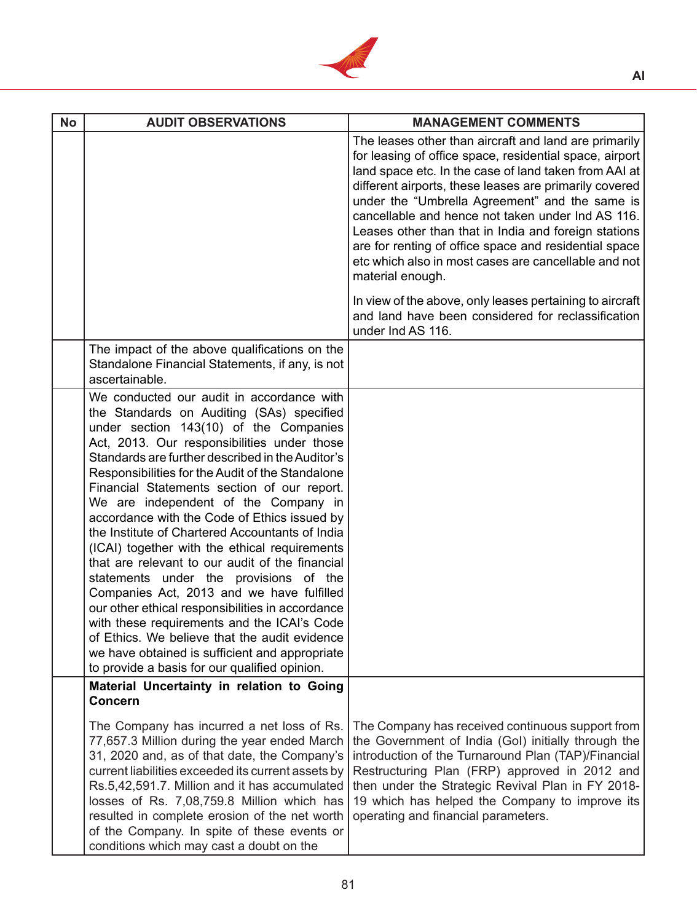

| <b>No</b> | <b>AUDIT OBSERVATIONS</b>                                                                                                                                                                                                                                                                                                                                                                                                                                                                                                                                                                                                                                                                                                                                                                                                                                                                                                           | <b>MANAGEMENT COMMENTS</b>                                                                                                                                                                                                                                                                                                                                                                                                                                                                                                                                                                                                                                |
|-----------|-------------------------------------------------------------------------------------------------------------------------------------------------------------------------------------------------------------------------------------------------------------------------------------------------------------------------------------------------------------------------------------------------------------------------------------------------------------------------------------------------------------------------------------------------------------------------------------------------------------------------------------------------------------------------------------------------------------------------------------------------------------------------------------------------------------------------------------------------------------------------------------------------------------------------------------|-----------------------------------------------------------------------------------------------------------------------------------------------------------------------------------------------------------------------------------------------------------------------------------------------------------------------------------------------------------------------------------------------------------------------------------------------------------------------------------------------------------------------------------------------------------------------------------------------------------------------------------------------------------|
|           |                                                                                                                                                                                                                                                                                                                                                                                                                                                                                                                                                                                                                                                                                                                                                                                                                                                                                                                                     | The leases other than aircraft and land are primarily<br>for leasing of office space, residential space, airport<br>land space etc. In the case of land taken from AAI at<br>different airports, these leases are primarily covered<br>under the "Umbrella Agreement" and the same is<br>cancellable and hence not taken under Ind AS 116.<br>Leases other than that in India and foreign stations<br>are for renting of office space and residential space<br>etc which also in most cases are cancellable and not<br>material enough.<br>In view of the above, only leases pertaining to aircraft<br>and land have been considered for reclassification |
|           | The impact of the above qualifications on the<br>Standalone Financial Statements, if any, is not<br>ascertainable.                                                                                                                                                                                                                                                                                                                                                                                                                                                                                                                                                                                                                                                                                                                                                                                                                  | under Ind AS 116.                                                                                                                                                                                                                                                                                                                                                                                                                                                                                                                                                                                                                                         |
|           | We conducted our audit in accordance with<br>the Standards on Auditing (SAs) specified<br>under section 143(10) of the Companies<br>Act, 2013. Our responsibilities under those<br>Standards are further described in the Auditor's<br>Responsibilities for the Audit of the Standalone<br>Financial Statements section of our report.<br>We are independent of the Company in<br>accordance with the Code of Ethics issued by<br>the Institute of Chartered Accountants of India<br>(ICAI) together with the ethical requirements<br>that are relevant to our audit of the financial<br>statements under the provisions of the<br>Companies Act, 2013 and we have fulfilled<br>our other ethical responsibilities in accordance<br>with these requirements and the ICAI's Code<br>of Ethics. We believe that the audit evidence<br>we have obtained is sufficient and appropriate<br>to provide a basis for our qualified opinion. |                                                                                                                                                                                                                                                                                                                                                                                                                                                                                                                                                                                                                                                           |
|           | Material Uncertainty in relation to Going<br><b>Concern</b>                                                                                                                                                                                                                                                                                                                                                                                                                                                                                                                                                                                                                                                                                                                                                                                                                                                                         |                                                                                                                                                                                                                                                                                                                                                                                                                                                                                                                                                                                                                                                           |
|           | The Company has incurred a net loss of Rs.<br>77,657.3 Million during the year ended March<br>31, 2020 and, as of that date, the Company's<br>current liabilities exceeded its current assets by<br>Rs.5,42,591.7. Million and it has accumulated<br>losses of Rs. 7,08,759.8 Million which has<br>resulted in complete erosion of the net worth<br>of the Company. In spite of these events or<br>conditions which may cast a doubt on the                                                                                                                                                                                                                                                                                                                                                                                                                                                                                         | The Company has received continuous support from<br>the Government of India (GoI) initially through the<br>introduction of the Turnaround Plan (TAP)/Financial<br>Restructuring Plan (FRP) approved in 2012 and<br>then under the Strategic Revival Plan in FY 2018-<br>19 which has helped the Company to improve its<br>operating and financial parameters.                                                                                                                                                                                                                                                                                             |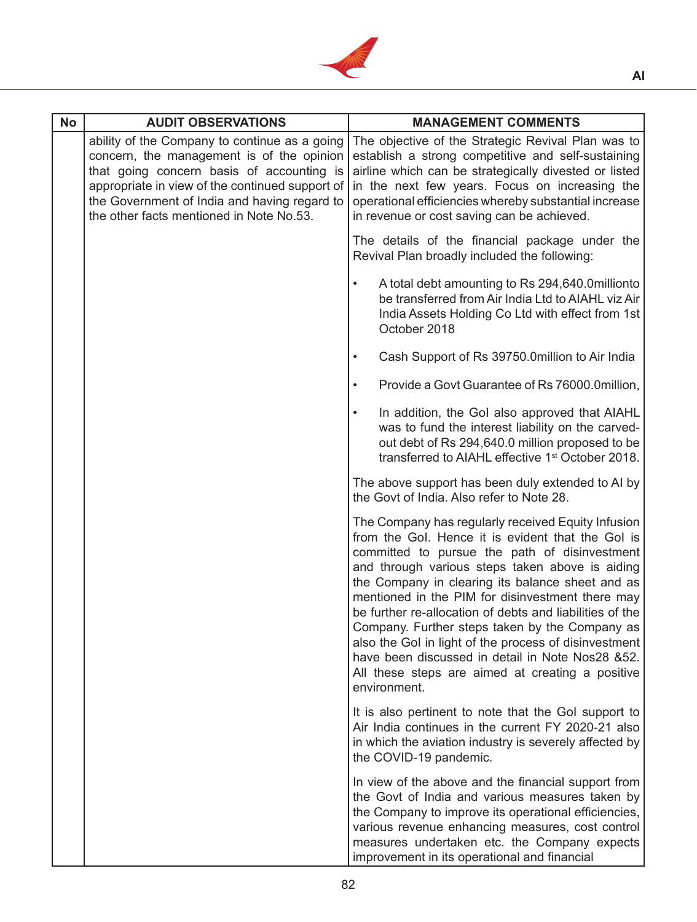

| <b>No</b> | <b>AUDIT OBSERVATIONS</b>                                                                                                                                                                                                                                                              | <b>MANAGEMENT COMMENTS</b>                                                                                                                                                                                                                                                                                                                                                                                                                                                                                                                                                                                         |
|-----------|----------------------------------------------------------------------------------------------------------------------------------------------------------------------------------------------------------------------------------------------------------------------------------------|--------------------------------------------------------------------------------------------------------------------------------------------------------------------------------------------------------------------------------------------------------------------------------------------------------------------------------------------------------------------------------------------------------------------------------------------------------------------------------------------------------------------------------------------------------------------------------------------------------------------|
|           | ability of the Company to continue as a going<br>concern, the management is of the opinion<br>that going concern basis of accounting is<br>appropriate in view of the continued support of<br>the Government of India and having regard to<br>the other facts mentioned in Note No.53. | The objective of the Strategic Revival Plan was to<br>establish a strong competitive and self-sustaining<br>airline which can be strategically divested or listed<br>in the next few years. Focus on increasing the<br>operational efficiencies whereby substantial increase<br>in revenue or cost saving can be achieved.                                                                                                                                                                                                                                                                                         |
|           |                                                                                                                                                                                                                                                                                        | The details of the financial package under the<br>Revival Plan broadly included the following:                                                                                                                                                                                                                                                                                                                                                                                                                                                                                                                     |
|           |                                                                                                                                                                                                                                                                                        | A total debt amounting to Rs 294,640.0millionto<br>be transferred from Air India Ltd to AIAHL viz Air<br>India Assets Holding Co Ltd with effect from 1st<br>October 2018                                                                                                                                                                                                                                                                                                                                                                                                                                          |
|           |                                                                                                                                                                                                                                                                                        | Cash Support of Rs 39750.0million to Air India                                                                                                                                                                                                                                                                                                                                                                                                                                                                                                                                                                     |
|           |                                                                                                                                                                                                                                                                                        | Provide a Govt Guarantee of Rs 76000.0million,                                                                                                                                                                                                                                                                                                                                                                                                                                                                                                                                                                     |
|           |                                                                                                                                                                                                                                                                                        | In addition, the Gol also approved that AIAHL<br>was to fund the interest liability on the carved-<br>out debt of Rs 294,640.0 million proposed to be<br>transferred to AIAHL effective 1 <sup>st</sup> October 2018.                                                                                                                                                                                                                                                                                                                                                                                              |
|           |                                                                                                                                                                                                                                                                                        | The above support has been duly extended to AI by<br>the Govt of India. Also refer to Note 28.                                                                                                                                                                                                                                                                                                                                                                                                                                                                                                                     |
|           |                                                                                                                                                                                                                                                                                        | The Company has regularly received Equity Infusion<br>from the Gol. Hence it is evident that the Gol is<br>committed to pursue the path of disinvestment<br>and through various steps taken above is aiding<br>the Company in clearing its balance sheet and as<br>mentioned in the PIM for disinvestment there may<br>be further re-allocation of debts and liabilities of the<br>Company. Further steps taken by the Company as<br>also the Gol in light of the process of disinvestment<br>have been discussed in detail in Note Nos28 &52.<br>All these steps are aimed at creating a positive<br>environment. |
|           |                                                                                                                                                                                                                                                                                        | It is also pertinent to note that the Gol support to<br>Air India continues in the current FY 2020-21 also<br>in which the aviation industry is severely affected by<br>the COVID-19 pandemic.                                                                                                                                                                                                                                                                                                                                                                                                                     |
|           |                                                                                                                                                                                                                                                                                        | In view of the above and the financial support from<br>the Govt of India and various measures taken by<br>the Company to improve its operational efficiencies,<br>various revenue enhancing measures, cost control<br>measures undertaken etc. the Company expects<br>improvement in its operational and financial                                                                                                                                                                                                                                                                                                 |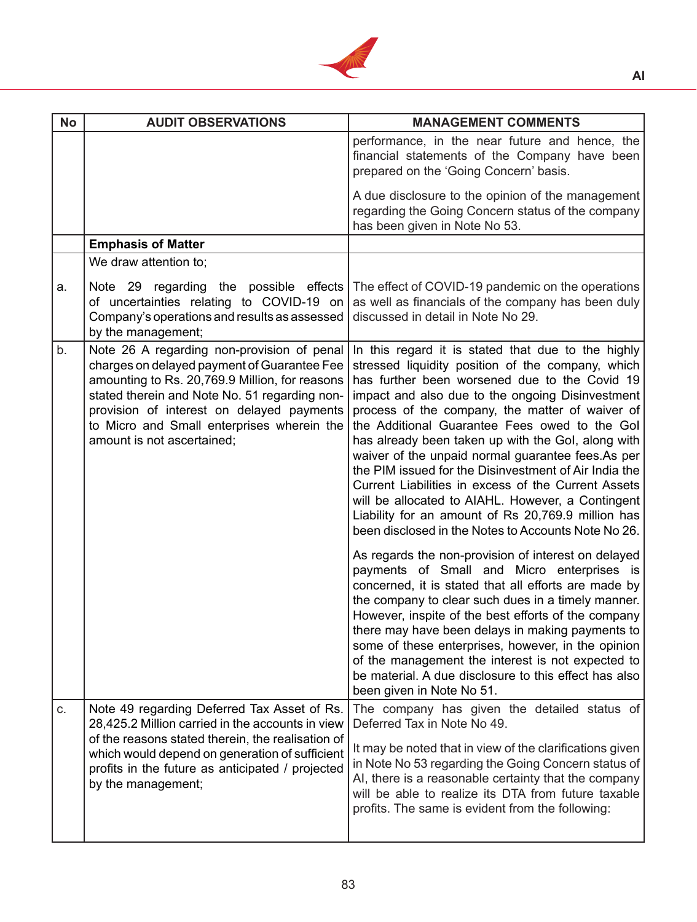

| <b>No</b> | <b>AUDIT OBSERVATIONS</b>                                                                                                                                                                                                                                                                                             | <b>MANAGEMENT COMMENTS</b>                                                                                                                                                                                                                                                                                                                                                                                                                                                                                                                                                                                                                                                                                                                                                                                                                                                                                                                                                                                                                                                                                                                                                                                                                    |
|-----------|-----------------------------------------------------------------------------------------------------------------------------------------------------------------------------------------------------------------------------------------------------------------------------------------------------------------------|-----------------------------------------------------------------------------------------------------------------------------------------------------------------------------------------------------------------------------------------------------------------------------------------------------------------------------------------------------------------------------------------------------------------------------------------------------------------------------------------------------------------------------------------------------------------------------------------------------------------------------------------------------------------------------------------------------------------------------------------------------------------------------------------------------------------------------------------------------------------------------------------------------------------------------------------------------------------------------------------------------------------------------------------------------------------------------------------------------------------------------------------------------------------------------------------------------------------------------------------------|
|           |                                                                                                                                                                                                                                                                                                                       | performance, in the near future and hence, the<br>financial statements of the Company have been<br>prepared on the 'Going Concern' basis.                                                                                                                                                                                                                                                                                                                                                                                                                                                                                                                                                                                                                                                                                                                                                                                                                                                                                                                                                                                                                                                                                                     |
|           |                                                                                                                                                                                                                                                                                                                       | A due disclosure to the opinion of the management<br>regarding the Going Concern status of the company<br>has been given in Note No 53.                                                                                                                                                                                                                                                                                                                                                                                                                                                                                                                                                                                                                                                                                                                                                                                                                                                                                                                                                                                                                                                                                                       |
|           | <b>Emphasis of Matter</b>                                                                                                                                                                                                                                                                                             |                                                                                                                                                                                                                                                                                                                                                                                                                                                                                                                                                                                                                                                                                                                                                                                                                                                                                                                                                                                                                                                                                                                                                                                                                                               |
|           | We draw attention to;                                                                                                                                                                                                                                                                                                 |                                                                                                                                                                                                                                                                                                                                                                                                                                                                                                                                                                                                                                                                                                                                                                                                                                                                                                                                                                                                                                                                                                                                                                                                                                               |
| a.        | Note 29 regarding the possible effects<br>of uncertainties relating to COVID-19 on<br>Company's operations and results as assessed<br>by the management;                                                                                                                                                              | The effect of COVID-19 pandemic on the operations<br>as well as financials of the company has been duly<br>discussed in detail in Note No 29.                                                                                                                                                                                                                                                                                                                                                                                                                                                                                                                                                                                                                                                                                                                                                                                                                                                                                                                                                                                                                                                                                                 |
| b.        | Note 26 A regarding non-provision of penal<br>charges on delayed payment of Guarantee Fee<br>amounting to Rs. 20,769.9 Million, for reasons<br>stated therein and Note No. 51 regarding non-<br>provision of interest on delayed payments<br>to Micro and Small enterprises wherein the<br>amount is not ascertained; | In this regard it is stated that due to the highly<br>stressed liquidity position of the company, which<br>has further been worsened due to the Covid 19<br>impact and also due to the ongoing Disinvestment<br>process of the company, the matter of waiver of<br>the Additional Guarantee Fees owed to the Gol<br>has already been taken up with the Gol, along with<br>waiver of the unpaid normal guarantee fees. As per<br>the PIM issued for the Disinvestment of Air India the<br>Current Liabilities in excess of the Current Assets<br>will be allocated to AIAHL. However, a Contingent<br>Liability for an amount of Rs 20,769.9 million has<br>been disclosed in the Notes to Accounts Note No 26.<br>As regards the non-provision of interest on delayed<br>payments of Small and Micro enterprises is<br>concerned, it is stated that all efforts are made by<br>the company to clear such dues in a timely manner.<br>However, inspite of the best efforts of the company<br>there may have been delays in making payments to<br>some of these enterprises, however, in the opinion<br>of the management the interest is not expected to<br>be material. A due disclosure to this effect has also<br>been given in Note No 51. |
| C.        | Note 49 regarding Deferred Tax Asset of Rs.<br>28,425.2 Million carried in the accounts in view<br>of the reasons stated therein, the realisation of<br>which would depend on generation of sufficient<br>profits in the future as anticipated / projected<br>by the management;                                      | The company has given the detailed status of<br>Deferred Tax in Note No 49.<br>It may be noted that in view of the clarifications given<br>in Note No 53 regarding the Going Concern status of<br>AI, there is a reasonable certainty that the company<br>will be able to realize its DTA from future taxable<br>profits. The same is evident from the following:                                                                                                                                                                                                                                                                                                                                                                                                                                                                                                                                                                                                                                                                                                                                                                                                                                                                             |
|           |                                                                                                                                                                                                                                                                                                                       |                                                                                                                                                                                                                                                                                                                                                                                                                                                                                                                                                                                                                                                                                                                                                                                                                                                                                                                                                                                                                                                                                                                                                                                                                                               |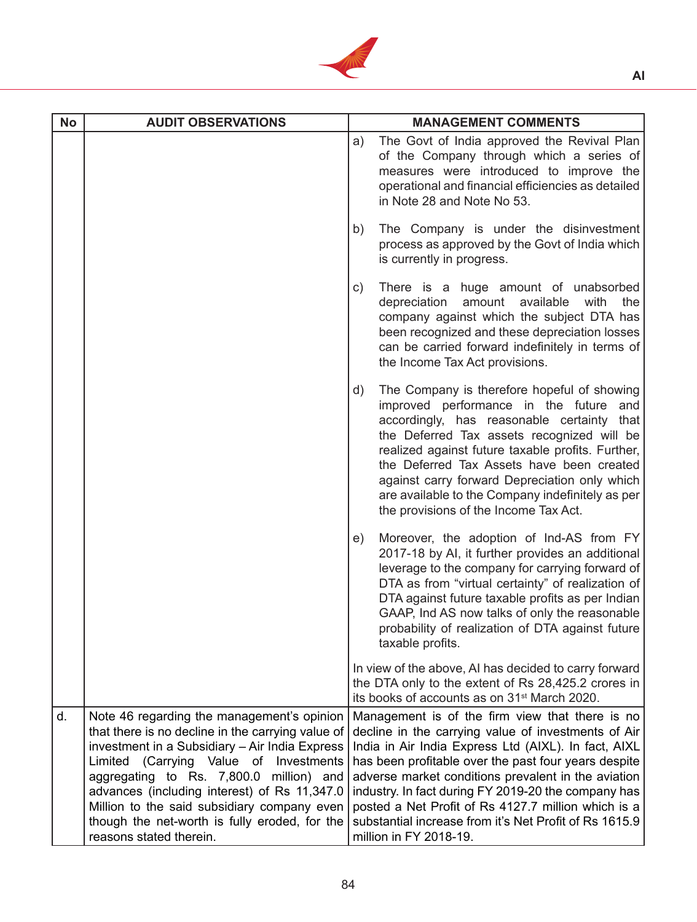

| <b>No</b> | <b>AUDIT OBSERVATIONS</b>                                                                                                                                                                                                                                                                                                                                                                                         | <b>MANAGEMENT COMMENTS</b>                                                                                                                                                                                                                                                                                                                                                                                                                                                      |     |
|-----------|-------------------------------------------------------------------------------------------------------------------------------------------------------------------------------------------------------------------------------------------------------------------------------------------------------------------------------------------------------------------------------------------------------------------|---------------------------------------------------------------------------------------------------------------------------------------------------------------------------------------------------------------------------------------------------------------------------------------------------------------------------------------------------------------------------------------------------------------------------------------------------------------------------------|-----|
|           |                                                                                                                                                                                                                                                                                                                                                                                                                   | The Govt of India approved the Revival Plan<br>a)<br>of the Company through which a series of<br>measures were introduced to improve the<br>operational and financial efficiencies as detailed<br>in Note 28 and Note No 53.                                                                                                                                                                                                                                                    |     |
|           |                                                                                                                                                                                                                                                                                                                                                                                                                   | The Company is under the disinvestment<br>b)<br>process as approved by the Govt of India which<br>is currently in progress.                                                                                                                                                                                                                                                                                                                                                     |     |
|           |                                                                                                                                                                                                                                                                                                                                                                                                                   | There is a huge amount of unabsorbed<br>C)<br>amount available<br>with<br>depreciation<br>company against which the subject DTA has<br>been recognized and these depreciation losses<br>can be carried forward indefinitely in terms of<br>the Income Tax Act provisions.                                                                                                                                                                                                       | the |
|           |                                                                                                                                                                                                                                                                                                                                                                                                                   | The Company is therefore hopeful of showing<br>d)<br>improved performance in the future and<br>accordingly, has reasonable certainty that<br>the Deferred Tax assets recognized will be<br>realized against future taxable profits. Further,<br>the Deferred Tax Assets have been created<br>against carry forward Depreciation only which<br>are available to the Company indefinitely as per<br>the provisions of the Income Tax Act.                                         |     |
|           |                                                                                                                                                                                                                                                                                                                                                                                                                   | Moreover, the adoption of Ind-AS from FY<br>e)<br>2017-18 by AI, it further provides an additional<br>leverage to the company for carrying forward of<br>DTA as from "virtual certainty" of realization of<br>DTA against future taxable profits as per Indian<br>GAAP, Ind AS now talks of only the reasonable<br>probability of realization of DTA against future<br>taxable profits.                                                                                         |     |
|           |                                                                                                                                                                                                                                                                                                                                                                                                                   | In view of the above, AI has decided to carry forward<br>the DTA only to the extent of Rs 28,425.2 crores in<br>its books of accounts as on 31 <sup>st</sup> March 2020.                                                                                                                                                                                                                                                                                                        |     |
| d.        | Note 46 regarding the management's opinion<br>that there is no decline in the carrying value of<br>investment in a Subsidiary - Air India Express<br>Limited (Carrying Value of Investments<br>aggregating to Rs. 7,800.0 million) and<br>advances (including interest) of Rs 11,347.0<br>Million to the said subsidiary company even<br>though the net-worth is fully eroded, for the<br>reasons stated therein. | Management is of the firm view that there is no<br>decline in the carrying value of investments of Air<br>India in Air India Express Ltd (AIXL). In fact, AIXL<br>has been profitable over the past four years despite<br>adverse market conditions prevalent in the aviation<br>industry. In fact during FY 2019-20 the company has<br>posted a Net Profit of Rs 4127.7 million which is a<br>substantial increase from it's Net Profit of Rs 1615.9<br>million in FY 2018-19. |     |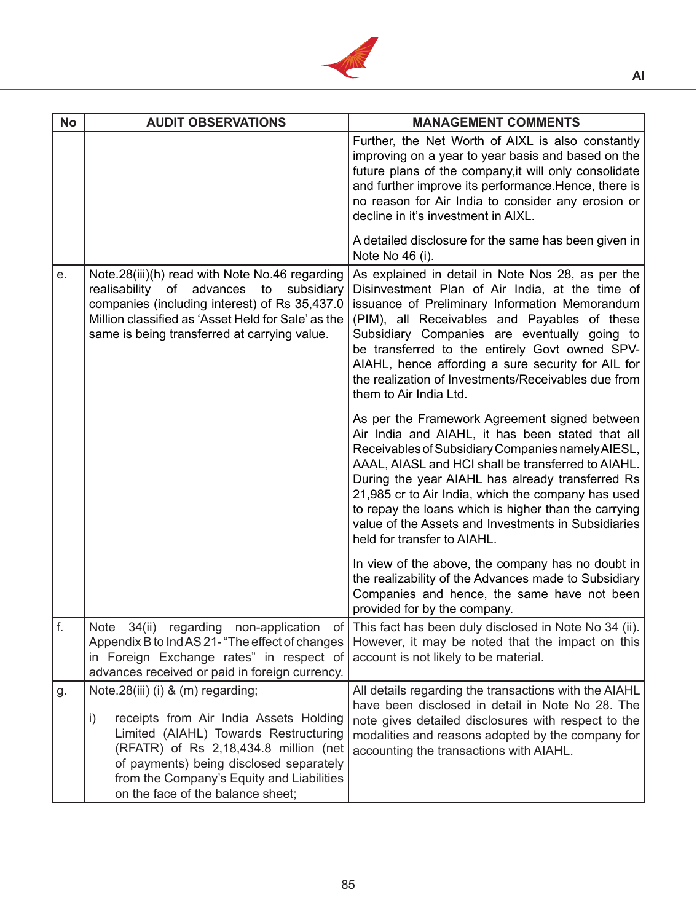

| <b>No</b> | <b>AUDIT OBSERVATIONS</b>                                                                                                                                                                                                                                                                                  | <b>MANAGEMENT COMMENTS</b>                                                                                                                                                                                                                                                                                                                                                                                                                                           |
|-----------|------------------------------------------------------------------------------------------------------------------------------------------------------------------------------------------------------------------------------------------------------------------------------------------------------------|----------------------------------------------------------------------------------------------------------------------------------------------------------------------------------------------------------------------------------------------------------------------------------------------------------------------------------------------------------------------------------------------------------------------------------------------------------------------|
|           |                                                                                                                                                                                                                                                                                                            | Further, the Net Worth of AIXL is also constantly<br>improving on a year to year basis and based on the<br>future plans of the company, it will only consolidate<br>and further improve its performance. Hence, there is<br>no reason for Air India to consider any erosion or<br>decline in it's investment in AIXL.                                                                                                                                                |
|           |                                                                                                                                                                                                                                                                                                            | A detailed disclosure for the same has been given in<br>Note No 46 (i).                                                                                                                                                                                                                                                                                                                                                                                              |
| e.        | Note.28(iii)(h) read with Note No.46 regarding<br>realisability of advances<br>to<br>subsidiary<br>companies (including interest) of Rs 35,437.0<br>Million classified as 'Asset Held for Sale' as the<br>same is being transferred at carrying value.                                                     | As explained in detail in Note Nos 28, as per the<br>Disinvestment Plan of Air India, at the time of<br>issuance of Preliminary Information Memorandum<br>(PIM), all Receivables and Payables of these<br>Subsidiary Companies are eventually going to<br>be transferred to the entirely Govt owned SPV-<br>AIAHL, hence affording a sure security for AIL for<br>the realization of Investments/Receivables due from<br>them to Air India Ltd.                      |
|           |                                                                                                                                                                                                                                                                                                            | As per the Framework Agreement signed between<br>Air India and AIAHL, it has been stated that all<br>Receivables of Subsidiary Companies namely AIESL,<br>AAAL, AIASL and HCI shall be transferred to AIAHL.<br>During the year AIAHL has already transferred Rs<br>21,985 cr to Air India, which the company has used<br>to repay the loans which is higher than the carrying<br>value of the Assets and Investments in Subsidiaries<br>held for transfer to AIAHL. |
|           |                                                                                                                                                                                                                                                                                                            | In view of the above, the company has no doubt in<br>the realizability of the Advances made to Subsidiary<br>Companies and hence, the same have not been<br>provided for by the company.                                                                                                                                                                                                                                                                             |
| f.        | Note 34(ii) regarding non-application<br>ОT<br>Appendix B to Ind AS 21- "The effect of changes<br>in Foreign Exchange rates" in respect of<br>advances received or paid in foreign currency.                                                                                                               | This fact has been duly disclosed in Note No 34 (ii).<br>However, it may be noted that the impact on this<br>account is not likely to be material.                                                                                                                                                                                                                                                                                                                   |
| g.        | Note.28(iii) (i) & (m) regarding;<br>receipts from Air India Assets Holding<br>$\mathbf{i}$<br>Limited (AIAHL) Towards Restructuring<br>(RFATR) of Rs 2,18,434.8 million (net<br>of payments) being disclosed separately<br>from the Company's Equity and Liabilities<br>on the face of the balance sheet; | All details regarding the transactions with the AIAHL<br>have been disclosed in detail in Note No 28. The<br>note gives detailed disclosures with respect to the<br>modalities and reasons adopted by the company for<br>accounting the transactions with AIAHL.                                                                                                                                                                                                     |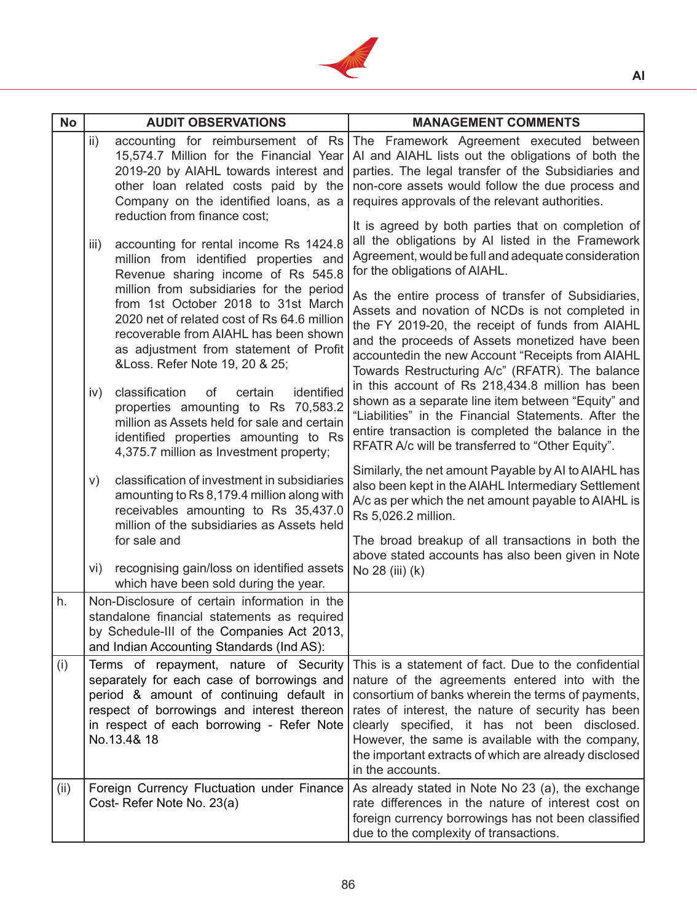

| <b>No</b> |                 | <b>AUDIT OBSERVATIONS</b>                                                                                                                                                                                                                  | <b>MANAGEMENT COMMENTS</b>                                                                                                                                                                                                                                                                                                                                                                           |
|-----------|-----------------|--------------------------------------------------------------------------------------------------------------------------------------------------------------------------------------------------------------------------------------------|------------------------------------------------------------------------------------------------------------------------------------------------------------------------------------------------------------------------------------------------------------------------------------------------------------------------------------------------------------------------------------------------------|
|           | $\mathsf{ii}$ ) | accounting for reimbursement of Rs<br>15,574.7 Million for the Financial Year<br>2019-20 by AIAHL towards interest and<br>other loan related costs paid by the<br>Company on the identified loans, as a<br>reduction from finance cost;    | The Framework Agreement executed between<br>AI and AIAHL lists out the obligations of both the<br>parties. The legal transfer of the Subsidiaries and<br>non-core assets would follow the due process and<br>requires approvals of the relevant authorities.                                                                                                                                         |
|           | iii)            | accounting for rental income Rs 1424.8<br>million from identified properties and<br>Revenue sharing income of Rs 545.8<br>million from subsidiaries for the period                                                                         | It is agreed by both parties that on completion of<br>all the obligations by AI listed in the Framework<br>Agreement, would be full and adequate consideration<br>for the obligations of AIAHL.                                                                                                                                                                                                      |
|           |                 | from 1st October 2018 to 31st March<br>2020 net of related cost of Rs 64.6 million<br>recoverable from AIAHL has been shown<br>as adjustment from statement of Profit<br>&Loss. Refer Note 19, 20 & 25;                                    | As the entire process of transfer of Subsidiaries,<br>Assets and novation of NCDs is not completed in<br>the FY 2019-20, the receipt of funds from AIAHL<br>and the proceeds of Assets monetized have been<br>accountedin the new Account "Receipts from AIAHL<br>Towards Restructuring A/c" (RFATR). The balance                                                                                    |
|           | iv)             | identified<br>classification<br>of<br>certain<br>properties amounting to Rs 70,583.2<br>million as Assets held for sale and certain<br>identified properties amounting to Rs<br>4,375.7 million as Investment property;                    | in this account of Rs 218,434.8 million has been<br>shown as a separate line item between "Equity" and<br>"Liabilities" in the Financial Statements. After the<br>entire transaction is completed the balance in the<br>RFATR A/c will be transferred to "Other Equity".                                                                                                                             |
|           | V)              | classification of investment in subsidiaries<br>amounting to Rs 8,179.4 million along with<br>receivables amounting to Rs 35,437.0<br>million of the subsidiaries as Assets held<br>for sale and                                           | Similarly, the net amount Payable by AI to AIAHL has<br>also been kept in the AIAHL Intermediary Settlement<br>A/c as per which the net amount payable to AIAHL is<br>Rs 5,026.2 million.<br>The broad breakup of all transactions in both the                                                                                                                                                       |
|           | vi)             | recognising gain/loss on identified assets<br>which have been sold during the year.                                                                                                                                                        | above stated accounts has also been given in Note<br>No 28 (iii) (k)                                                                                                                                                                                                                                                                                                                                 |
| h.        |                 | Non-Disclosure of certain information in the<br>standalone financial statements as required<br>by Schedule-III of the Companies Act 2013,<br>and Indian Accounting Standards (Ind AS):                                                     |                                                                                                                                                                                                                                                                                                                                                                                                      |
| (i)       |                 | Terms of repayment, nature of Security<br>separately for each case of borrowings and<br>period & amount of continuing default in<br>respect of borrowings and interest thereon<br>in respect of each borrowing - Refer Note<br>No.13.4& 18 | This is a statement of fact. Due to the confidential<br>nature of the agreements entered into with the<br>consortium of banks wherein the terms of payments,<br>rates of interest, the nature of security has been<br>clearly specified, it has not been disclosed.<br>However, the same is available with the company,<br>the important extracts of which are already disclosed<br>in the accounts. |
| (ii)      |                 | Foreign Currency Fluctuation under Finance<br>Cost- Refer Note No. 23(a)                                                                                                                                                                   | As already stated in Note No 23 (a), the exchange<br>rate differences in the nature of interest cost on<br>foreign currency borrowings has not been classified<br>due to the complexity of transactions.                                                                                                                                                                                             |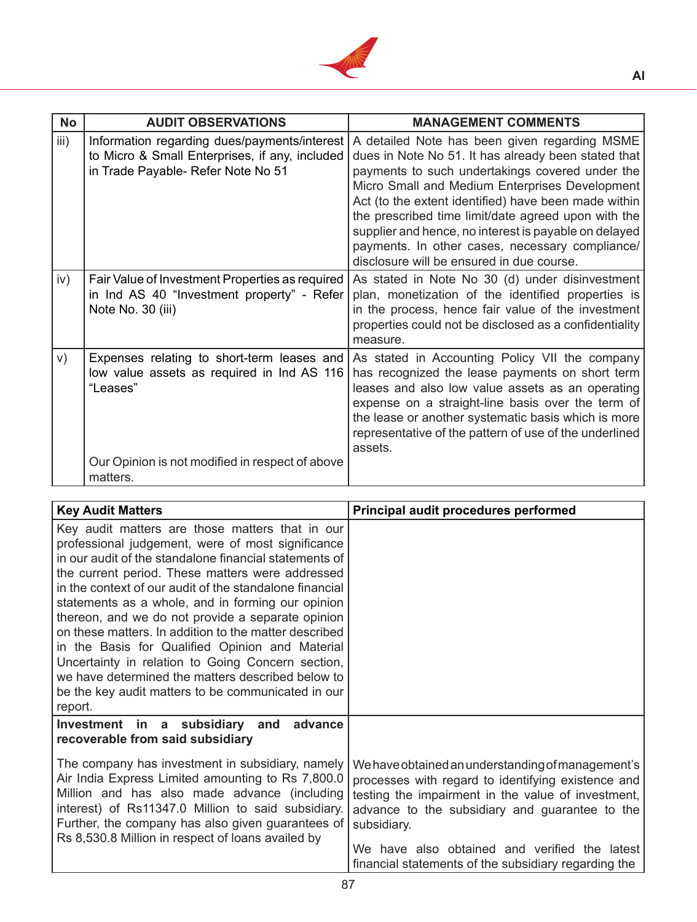

| <b>No</b> | <b>AUDIT OBSERVATIONS</b>                                                                                                                                           | <b>MANAGEMENT COMMENTS</b>                                                                                                                                                                                                                                                                                                                                                                                                                                                        |
|-----------|---------------------------------------------------------------------------------------------------------------------------------------------------------------------|-----------------------------------------------------------------------------------------------------------------------------------------------------------------------------------------------------------------------------------------------------------------------------------------------------------------------------------------------------------------------------------------------------------------------------------------------------------------------------------|
| iii)      | Information regarding dues/payments/interest<br>to Micro & Small Enterprises, if any, included<br>in Trade Payable- Refer Note No 51                                | A detailed Note has been given regarding MSME<br>dues in Note No 51. It has already been stated that<br>payments to such undertakings covered under the<br>Micro Small and Medium Enterprises Development<br>Act (to the extent identified) have been made within<br>the prescribed time limit/date agreed upon with the<br>supplier and hence, no interest is payable on delayed<br>payments. In other cases, necessary compliance/<br>disclosure will be ensured in due course. |
| iv)       | Fair Value of Investment Properties as required<br>in Ind AS 40 "Investment property" - Refer<br>Note No. 30 (iii)                                                  | As stated in Note No 30 (d) under disinvestment<br>plan, monetization of the identified properties is<br>in the process, hence fair value of the investment<br>properties could not be disclosed as a confidentiality<br>measure.                                                                                                                                                                                                                                                 |
| V)        | Expenses relating to short-term leases and<br>low value assets as required in Ind AS 116<br>"Leases"<br>Our Opinion is not modified in respect of above<br>matters. | As stated in Accounting Policy VII the company<br>has recognized the lease payments on short term<br>leases and also low value assets as an operating<br>expense on a straight-line basis over the term of<br>the lease or another systematic basis which is more<br>representative of the pattern of use of the underlined<br>assets.                                                                                                                                            |

| <b>Key Audit Matters</b>                                                                                                                                                                                                                                                                                                                                                                                                                                                                                                                                                                                                                                                       | Principal audit procedures performed                                                                                                                                                                                           |
|--------------------------------------------------------------------------------------------------------------------------------------------------------------------------------------------------------------------------------------------------------------------------------------------------------------------------------------------------------------------------------------------------------------------------------------------------------------------------------------------------------------------------------------------------------------------------------------------------------------------------------------------------------------------------------|--------------------------------------------------------------------------------------------------------------------------------------------------------------------------------------------------------------------------------|
| Key audit matters are those matters that in our<br>professional judgement, were of most significance<br>in our audit of the standalone financial statements of<br>the current period. These matters were addressed<br>in the context of our audit of the standalone financial<br>statements as a whole, and in forming our opinion<br>thereon, and we do not provide a separate opinion<br>on these matters. In addition to the matter described<br>in the Basis for Qualified Opinion and Material<br>Uncertainty in relation to Going Concern section,<br>we have determined the matters described below to<br>be the key audit matters to be communicated in our<br>report. |                                                                                                                                                                                                                                |
| Investment in a subsidiary and<br>advance<br>recoverable from said subsidiary<br>The company has investment in subsidiary, namely<br>Air India Express Limited amounting to Rs 7,800.0<br>Million and has also made advance (including<br>interest) of Rs11347.0 Million to said subsidiary.<br>Further, the company has also given guarantees of<br>Rs 8,530.8 Million in respect of loans availed by                                                                                                                                                                                                                                                                         | We have obtained an understanding of management's<br>processes with regard to identifying existence and<br>testing the impairment in the value of investment,<br>advance to the subsidiary and guarantee to the<br>subsidiary. |
|                                                                                                                                                                                                                                                                                                                                                                                                                                                                                                                                                                                                                                                                                | We have also obtained and verified the latest<br>financial statements of the subsidiary regarding the                                                                                                                          |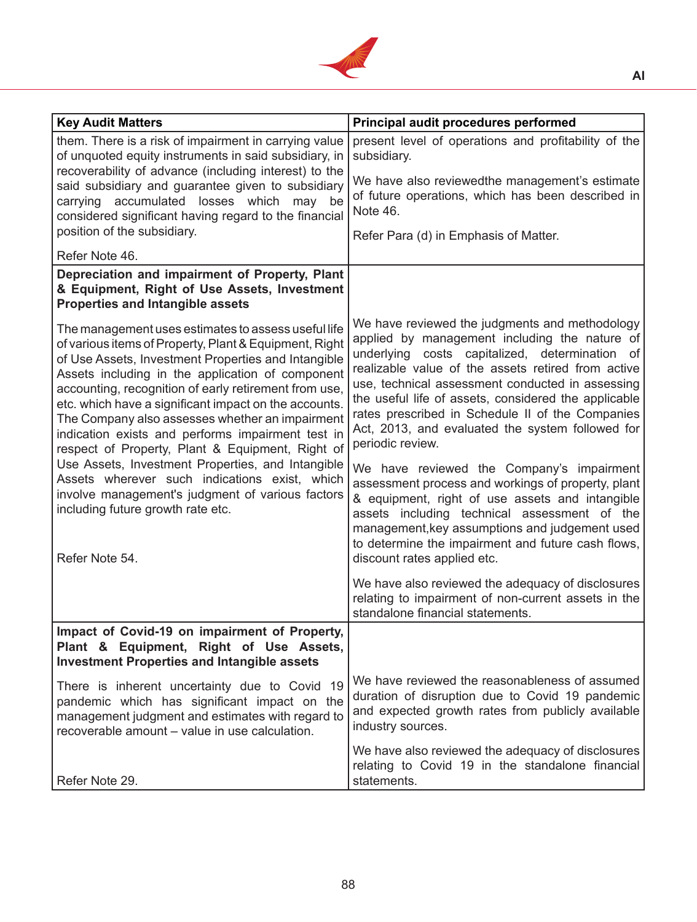

| <b>Key Audit Matters</b>                                                                                                                                                                                                                                                                                                                                                                                                                                                                               | Principal audit procedures performed                                                                                                                                                                                                                                                                                                                                                                                                            |
|--------------------------------------------------------------------------------------------------------------------------------------------------------------------------------------------------------------------------------------------------------------------------------------------------------------------------------------------------------------------------------------------------------------------------------------------------------------------------------------------------------|-------------------------------------------------------------------------------------------------------------------------------------------------------------------------------------------------------------------------------------------------------------------------------------------------------------------------------------------------------------------------------------------------------------------------------------------------|
| them. There is a risk of impairment in carrying value<br>of unquoted equity instruments in said subsidiary, in                                                                                                                                                                                                                                                                                                                                                                                         | present level of operations and profitability of the<br>subsidiary.                                                                                                                                                                                                                                                                                                                                                                             |
| recoverability of advance (including interest) to the<br>said subsidiary and guarantee given to subsidiary<br>carrying accumulated losses which may be<br>considered significant having regard to the financial                                                                                                                                                                                                                                                                                        | We have also reviewedthe management's estimate<br>of future operations, which has been described in<br>Note 46.                                                                                                                                                                                                                                                                                                                                 |
| position of the subsidiary.                                                                                                                                                                                                                                                                                                                                                                                                                                                                            | Refer Para (d) in Emphasis of Matter.                                                                                                                                                                                                                                                                                                                                                                                                           |
| Refer Note 46.                                                                                                                                                                                                                                                                                                                                                                                                                                                                                         |                                                                                                                                                                                                                                                                                                                                                                                                                                                 |
| Depreciation and impairment of Property, Plant<br>& Equipment, Right of Use Assets, Investment<br><b>Properties and Intangible assets</b>                                                                                                                                                                                                                                                                                                                                                              |                                                                                                                                                                                                                                                                                                                                                                                                                                                 |
| The management uses estimates to assess useful life<br>of various items of Property, Plant & Equipment, Right<br>of Use Assets, Investment Properties and Intangible<br>Assets including in the application of component<br>accounting, recognition of early retirement from use,<br>etc. which have a significant impact on the accounts.<br>The Company also assesses whether an impairment<br>indication exists and performs impairment test in<br>respect of Property, Plant & Equipment, Right of | We have reviewed the judgments and methodology<br>applied by management including the nature of<br>underlying costs capitalized, determination of<br>realizable value of the assets retired from active<br>use, technical assessment conducted in assessing<br>the useful life of assets, considered the applicable<br>rates prescribed in Schedule II of the Companies<br>Act, 2013, and evaluated the system followed for<br>periodic review. |
| Use Assets, Investment Properties, and Intangible<br>Assets wherever such indications exist, which<br>involve management's judgment of various factors<br>including future growth rate etc.<br>Refer Note 54.                                                                                                                                                                                                                                                                                          | We have reviewed the Company's impairment<br>assessment process and workings of property, plant<br>& equipment, right of use assets and intangible<br>assets including technical assessment of the<br>management, key assumptions and judgement used<br>to determine the impairment and future cash flows,<br>discount rates applied etc.                                                                                                       |
|                                                                                                                                                                                                                                                                                                                                                                                                                                                                                                        | We have also reviewed the adequacy of disclosures<br>relating to impairment of non-current assets in the<br>standalone financial statements.                                                                                                                                                                                                                                                                                                    |
| Impact of Covid-19 on impairment of Property,<br>Plant & Equipment, Right of Use Assets,<br><b>Investment Properties and Intangible assets</b>                                                                                                                                                                                                                                                                                                                                                         |                                                                                                                                                                                                                                                                                                                                                                                                                                                 |
| There is inherent uncertainty due to Covid 19<br>pandemic which has significant impact on the<br>management judgment and estimates with regard to<br>recoverable amount – value in use calculation.                                                                                                                                                                                                                                                                                                    | We have reviewed the reasonableness of assumed<br>duration of disruption due to Covid 19 pandemic<br>and expected growth rates from publicly available<br>industry sources.                                                                                                                                                                                                                                                                     |
| Refer Note 29.                                                                                                                                                                                                                                                                                                                                                                                                                                                                                         | We have also reviewed the adequacy of disclosures<br>relating to Covid 19 in the standalone financial<br>statements.                                                                                                                                                                                                                                                                                                                            |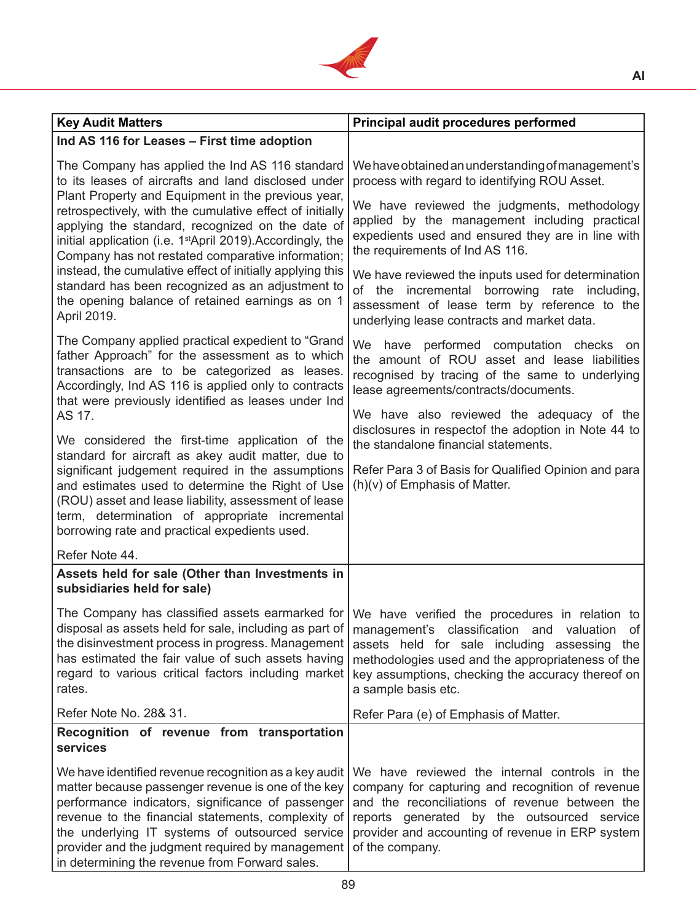

| <b>Key Audit Matters</b>                                                                                                                                                                                                                                                                                                                                                        | Principal audit procedures performed                                                                                                                                                                                                                                                                                                  |  |
|---------------------------------------------------------------------------------------------------------------------------------------------------------------------------------------------------------------------------------------------------------------------------------------------------------------------------------------------------------------------------------|---------------------------------------------------------------------------------------------------------------------------------------------------------------------------------------------------------------------------------------------------------------------------------------------------------------------------------------|--|
| Ind AS 116 for Leases - First time adoption                                                                                                                                                                                                                                                                                                                                     |                                                                                                                                                                                                                                                                                                                                       |  |
| The Company has applied the Ind AS 116 standard<br>to its leases of aircrafts and land disclosed under                                                                                                                                                                                                                                                                          | We have obtained an understanding of management's<br>process with regard to identifying ROU Asset.                                                                                                                                                                                                                                    |  |
| Plant Property and Equipment in the previous year,<br>retrospectively, with the cumulative effect of initially<br>applying the standard, recognized on the date of<br>initial application (i.e. 1 <sup>st</sup> April 2019). Accordingly, the<br>Company has not restated comparative information;                                                                              | We have reviewed the judgments, methodology<br>applied by the management including practical<br>expedients used and ensured they are in line with<br>the requirements of Ind AS 116.                                                                                                                                                  |  |
| instead, the cumulative effect of initially applying this<br>standard has been recognized as an adjustment to<br>the opening balance of retained earnings as on 1<br>April 2019.                                                                                                                                                                                                | We have reviewed the inputs used for determination<br>of the incremental borrowing rate including,<br>assessment of lease term by reference to the<br>underlying lease contracts and market data.                                                                                                                                     |  |
| The Company applied practical expedient to "Grand<br>father Approach" for the assessment as to which<br>transactions are to be categorized as leases.<br>Accordingly, Ind AS 116 is applied only to contracts<br>that were previously identified as leases under Ind                                                                                                            | We have performed computation checks on<br>the amount of ROU asset and lease liabilities<br>recognised by tracing of the same to underlying<br>lease agreements/contracts/documents.                                                                                                                                                  |  |
| AS 17.<br>We considered the first-time application of the<br>standard for aircraft as akey audit matter, due to                                                                                                                                                                                                                                                                 | We have also reviewed the adequacy of the<br>disclosures in respectof the adoption in Note 44 to<br>the standalone financial statements.                                                                                                                                                                                              |  |
| significant judgement required in the assumptions<br>and estimates used to determine the Right of Use<br>(ROU) asset and lease liability, assessment of lease<br>term, determination of appropriate incremental<br>borrowing rate and practical expedients used.                                                                                                                | Refer Para 3 of Basis for Qualified Opinion and para<br>$(h)(v)$ of Emphasis of Matter.                                                                                                                                                                                                                                               |  |
| Refer Note 44.                                                                                                                                                                                                                                                                                                                                                                  |                                                                                                                                                                                                                                                                                                                                       |  |
| Assets held for sale (Other than Investments in<br>subsidiaries held for sale)                                                                                                                                                                                                                                                                                                  |                                                                                                                                                                                                                                                                                                                                       |  |
| disposal as assets held for sale, including as part of<br>the disinvestment process in progress. Management<br>has estimated the fair value of such assets having<br>regard to various critical factors including market<br>rates.                                                                                                                                              | The Company has classified assets earmarked for We have verified the procedures in relation to<br>management's classification and valuation<br>of<br>assets held for sale including assessing<br>the<br>methodologies used and the appropriateness of the<br>key assumptions, checking the accuracy thereof on<br>a sample basis etc. |  |
| Refer Note No. 28& 31.                                                                                                                                                                                                                                                                                                                                                          | Refer Para (e) of Emphasis of Matter.                                                                                                                                                                                                                                                                                                 |  |
| Recognition of revenue from transportation<br>services                                                                                                                                                                                                                                                                                                                          |                                                                                                                                                                                                                                                                                                                                       |  |
| We have identified revenue recognition as a key audit<br>matter because passenger revenue is one of the key<br>performance indicators, significance of passenger<br>revenue to the financial statements, complexity of<br>the underlying IT systems of outsourced service<br>provider and the judgment required by management<br>in determining the revenue from Forward sales. | We have reviewed the internal controls in the<br>company for capturing and recognition of revenue<br>and the reconciliations of revenue between the<br>reports generated by the outsourced service<br>provider and accounting of revenue in ERP system<br>of the company.                                                             |  |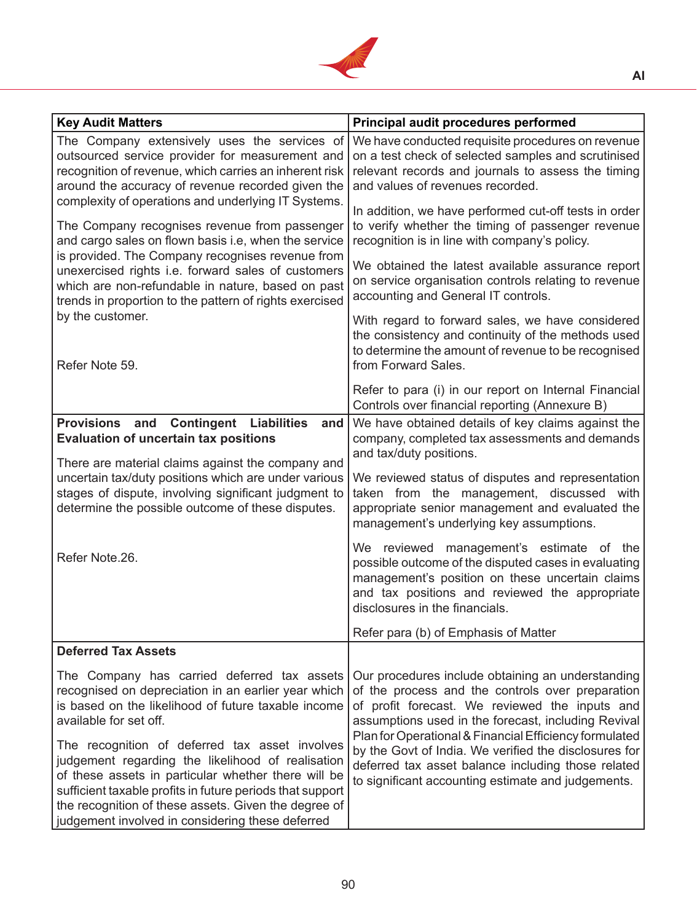

| <b>Key Audit Matters</b>                                                                                                                                                                                                                                                                                                            | Principal audit procedures performed                                                                                                                                                                                                                                                                                                                                                                                                          |  |
|-------------------------------------------------------------------------------------------------------------------------------------------------------------------------------------------------------------------------------------------------------------------------------------------------------------------------------------|-----------------------------------------------------------------------------------------------------------------------------------------------------------------------------------------------------------------------------------------------------------------------------------------------------------------------------------------------------------------------------------------------------------------------------------------------|--|
| The Company extensively uses the services of<br>outsourced service provider for measurement and<br>recognition of revenue, which carries an inherent risk<br>around the accuracy of revenue recorded given the<br>complexity of operations and underlying IT Systems.                                                               | We have conducted requisite procedures on revenue<br>on a test check of selected samples and scrutinised<br>relevant records and journals to assess the timing<br>and values of revenues recorded.                                                                                                                                                                                                                                            |  |
| The Company recognises revenue from passenger<br>and cargo sales on flown basis i.e, when the service                                                                                                                                                                                                                               | In addition, we have performed cut-off tests in order<br>to verify whether the timing of passenger revenue<br>recognition is in line with company's policy.                                                                                                                                                                                                                                                                                   |  |
| is provided. The Company recognises revenue from<br>unexercised rights i.e. forward sales of customers<br>which are non-refundable in nature, based on past<br>trends in proportion to the pattern of rights exercised                                                                                                              | We obtained the latest available assurance report<br>on service organisation controls relating to revenue<br>accounting and General IT controls.                                                                                                                                                                                                                                                                                              |  |
| by the customer.<br>Refer Note 59.                                                                                                                                                                                                                                                                                                  | With regard to forward sales, we have considered<br>the consistency and continuity of the methods used<br>to determine the amount of revenue to be recognised<br>from Forward Sales.                                                                                                                                                                                                                                                          |  |
|                                                                                                                                                                                                                                                                                                                                     | Refer to para (i) in our report on Internal Financial<br>Controls over financial reporting (Annexure B)                                                                                                                                                                                                                                                                                                                                       |  |
| Provisions and<br><b>Contingent Liabilities</b><br>and<br><b>Evaluation of uncertain tax positions</b>                                                                                                                                                                                                                              | We have obtained details of key claims against the<br>company, completed tax assessments and demands                                                                                                                                                                                                                                                                                                                                          |  |
| There are material claims against the company and<br>uncertain tax/duty positions which are under various<br>stages of dispute, involving significant judgment to<br>determine the possible outcome of these disputes.                                                                                                              | and tax/duty positions.<br>We reviewed status of disputes and representation<br>taken from the management, discussed with<br>appropriate senior management and evaluated the<br>management's underlying key assumptions.                                                                                                                                                                                                                      |  |
| Refer Note.26.                                                                                                                                                                                                                                                                                                                      | We reviewed management's estimate of the<br>possible outcome of the disputed cases in evaluating<br>management's position on these uncertain claims<br>and tax positions and reviewed the appropriate<br>disclosures in the financials.                                                                                                                                                                                                       |  |
|                                                                                                                                                                                                                                                                                                                                     | Refer para (b) of Emphasis of Matter                                                                                                                                                                                                                                                                                                                                                                                                          |  |
| <b>Deferred Tax Assets</b>                                                                                                                                                                                                                                                                                                          |                                                                                                                                                                                                                                                                                                                                                                                                                                               |  |
| The Company has carried deferred tax assets<br>recognised on depreciation in an earlier year which<br>is based on the likelihood of future taxable income<br>available for set off.                                                                                                                                                 | Our procedures include obtaining an understanding<br>of the process and the controls over preparation<br>of profit forecast. We reviewed the inputs and<br>assumptions used in the forecast, including Revival<br>Plan for Operational & Financial Efficiency formulated<br>by the Govt of India. We verified the disclosures for<br>deferred tax asset balance including those related<br>to significant accounting estimate and judgements. |  |
| The recognition of deferred tax asset involves<br>judgement regarding the likelihood of realisation<br>of these assets in particular whether there will be<br>sufficient taxable profits in future periods that support<br>the recognition of these assets. Given the degree of<br>judgement involved in considering these deferred |                                                                                                                                                                                                                                                                                                                                                                                                                                               |  |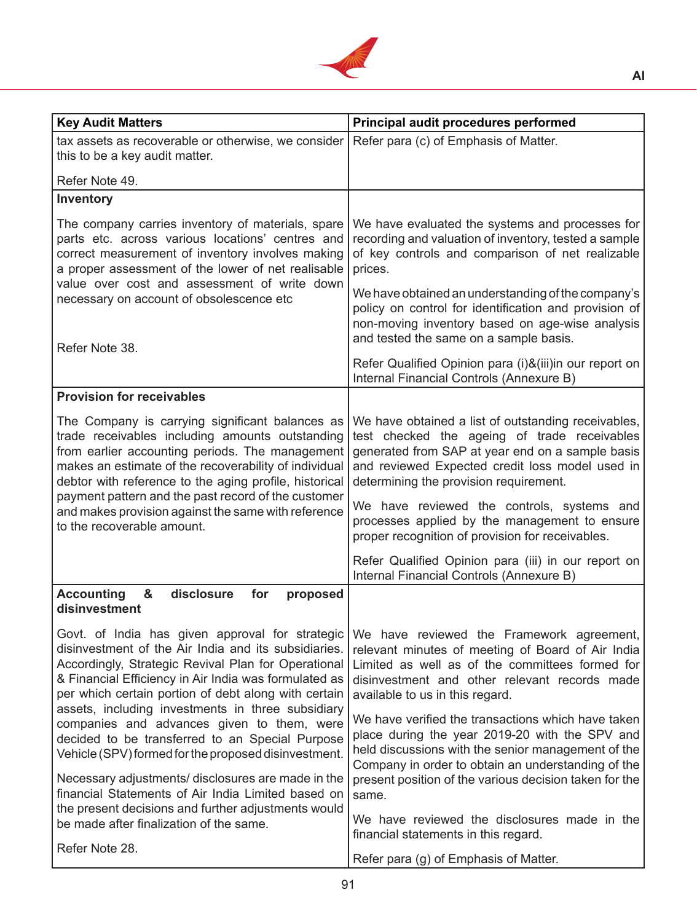

| <b>Key Audit Matters</b>                                                                                                                                                                                                                                                                                                        | Principal audit procedures performed                                                                                                                                                                                                                 |  |
|---------------------------------------------------------------------------------------------------------------------------------------------------------------------------------------------------------------------------------------------------------------------------------------------------------------------------------|------------------------------------------------------------------------------------------------------------------------------------------------------------------------------------------------------------------------------------------------------|--|
| tax assets as recoverable or otherwise, we consider<br>this to be a key audit matter.                                                                                                                                                                                                                                           | Refer para (c) of Emphasis of Matter.                                                                                                                                                                                                                |  |
| Refer Note 49.                                                                                                                                                                                                                                                                                                                  |                                                                                                                                                                                                                                                      |  |
| Inventory                                                                                                                                                                                                                                                                                                                       |                                                                                                                                                                                                                                                      |  |
| The company carries inventory of materials, spare<br>parts etc. across various locations' centres and<br>correct measurement of inventory involves making<br>a proper assessment of the lower of net realisable                                                                                                                 | We have evaluated the systems and processes for<br>recording and valuation of inventory, tested a sample<br>of key controls and comparison of net realizable<br>prices.                                                                              |  |
| value over cost and assessment of write down<br>necessary on account of obsolescence etc<br>Refer Note 38.                                                                                                                                                                                                                      | We have obtained an understanding of the company's<br>policy on control for identification and provision of<br>non-moving inventory based on age-wise analysis<br>and tested the same on a sample basis.                                             |  |
|                                                                                                                                                                                                                                                                                                                                 | Refer Qualified Opinion para (i)&(iii)in our report on<br>Internal Financial Controls (Annexure B)                                                                                                                                                   |  |
| <b>Provision for receivables</b>                                                                                                                                                                                                                                                                                                |                                                                                                                                                                                                                                                      |  |
| The Company is carrying significant balances as<br>trade receivables including amounts outstanding<br>from earlier accounting periods. The management<br>makes an estimate of the recoverability of individual<br>debtor with reference to the aging profile, historical<br>payment pattern and the past record of the customer | We have obtained a list of outstanding receivables,<br>test checked the ageing of trade receivables<br>generated from SAP at year end on a sample basis<br>and reviewed Expected credit loss model used in<br>determining the provision requirement. |  |
| and makes provision against the same with reference<br>to the recoverable amount.                                                                                                                                                                                                                                               | We have reviewed the controls, systems and<br>processes applied by the management to ensure<br>proper recognition of provision for receivables.                                                                                                      |  |
|                                                                                                                                                                                                                                                                                                                                 | Refer Qualified Opinion para (iii) in our report on<br>Internal Financial Controls (Annexure B)                                                                                                                                                      |  |
| <b>Accounting</b><br>&<br>disclosure<br>for<br>proposed<br>disinvestment                                                                                                                                                                                                                                                        |                                                                                                                                                                                                                                                      |  |
| Govt. of India has given approval for strategic<br>disinvestment of the Air India and its subsidiaries.<br>Accordingly, Strategic Revival Plan for Operational<br>& Financial Efficiency in Air India was formulated as<br>per which certain portion of debt along with certain                                                 | We have reviewed the Framework agreement,<br>relevant minutes of meeting of Board of Air India<br>Limited as well as of the committees formed for<br>disinvestment and other relevant records made<br>available to us in this regard.                |  |
| assets, including investments in three subsidiary<br>companies and advances given to them, were<br>decided to be transferred to an Special Purpose<br>Vehicle (SPV) formed for the proposed disinvestment.                                                                                                                      | We have verified the transactions which have taken<br>place during the year 2019-20 with the SPV and<br>held discussions with the senior management of the<br>Company in order to obtain an understanding of the                                     |  |
| Necessary adjustments/ disclosures are made in the<br>financial Statements of Air India Limited based on<br>the present decisions and further adjustments would<br>be made after finalization of the same.                                                                                                                      | present position of the various decision taken for the<br>same.<br>We have reviewed the disclosures made in the                                                                                                                                      |  |
| Refer Note 28.                                                                                                                                                                                                                                                                                                                  | financial statements in this regard.<br>Refer para (g) of Emphasis of Matter.                                                                                                                                                                        |  |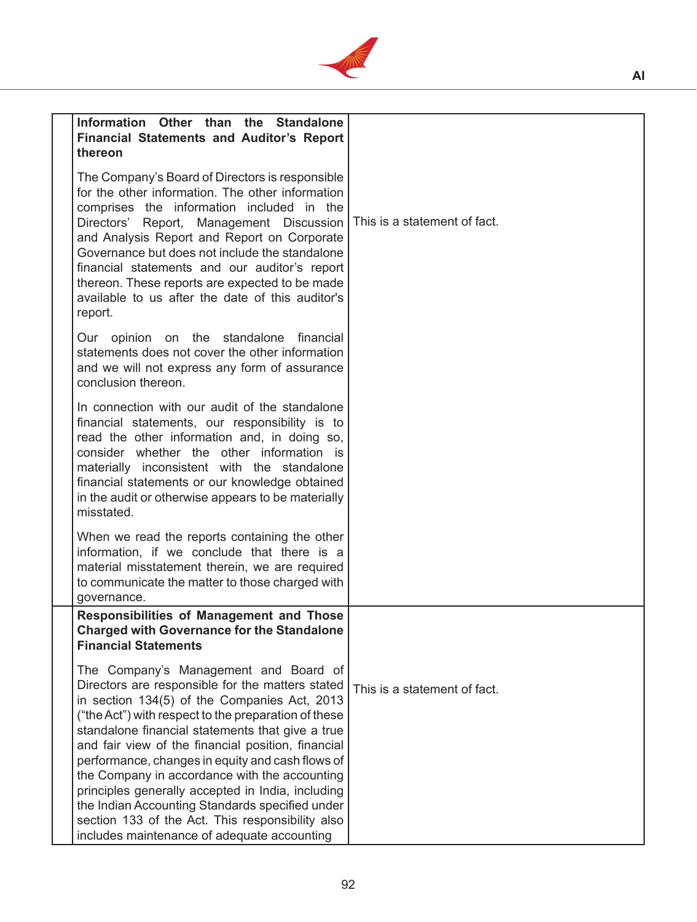

| Information Other than the Standalone<br><b>Financial Statements and Auditor's Report</b><br>thereon                                                                                                                                                                                                                                                                                                                                                                                                                                                                                                                        |                              |
|-----------------------------------------------------------------------------------------------------------------------------------------------------------------------------------------------------------------------------------------------------------------------------------------------------------------------------------------------------------------------------------------------------------------------------------------------------------------------------------------------------------------------------------------------------------------------------------------------------------------------------|------------------------------|
| The Company's Board of Directors is responsible<br>for the other information. The other information<br>comprises the information included in the<br>Report, Management Discussion   This is a statement of fact.<br>Directors'<br>and Analysis Report and Report on Corporate<br>Governance but does not include the standalone<br>financial statements and our auditor's report<br>thereon. These reports are expected to be made<br>available to us after the date of this auditor's<br>report.                                                                                                                           |                              |
| Our opinion on the standalone financial<br>statements does not cover the other information<br>and we will not express any form of assurance<br>conclusion thereon.                                                                                                                                                                                                                                                                                                                                                                                                                                                          |                              |
| In connection with our audit of the standalone<br>financial statements, our responsibility is to<br>read the other information and, in doing so,<br>consider whether the other information is<br>materially inconsistent with the standalone<br>financial statements or our knowledge obtained<br>in the audit or otherwise appears to be materially<br>misstated.                                                                                                                                                                                                                                                          |                              |
| When we read the reports containing the other<br>information, if we conclude that there is a<br>material misstatement therein, we are required<br>to communicate the matter to those charged with<br>governance.                                                                                                                                                                                                                                                                                                                                                                                                            |                              |
| <b>Responsibilities of Management and Those</b><br><b>Charged with Governance for the Standalone</b><br><b>Financial Statements</b>                                                                                                                                                                                                                                                                                                                                                                                                                                                                                         |                              |
| The Company's Management and Board of<br>Directors are responsible for the matters stated<br>in section 134(5) of the Companies Act, 2013<br>("the Act") with respect to the preparation of these<br>standalone financial statements that give a true<br>and fair view of the financial position, financial<br>performance, changes in equity and cash flows of<br>the Company in accordance with the accounting<br>principles generally accepted in India, including<br>the Indian Accounting Standards specified under<br>section 133 of the Act. This responsibility also<br>includes maintenance of adequate accounting | This is a statement of fact. |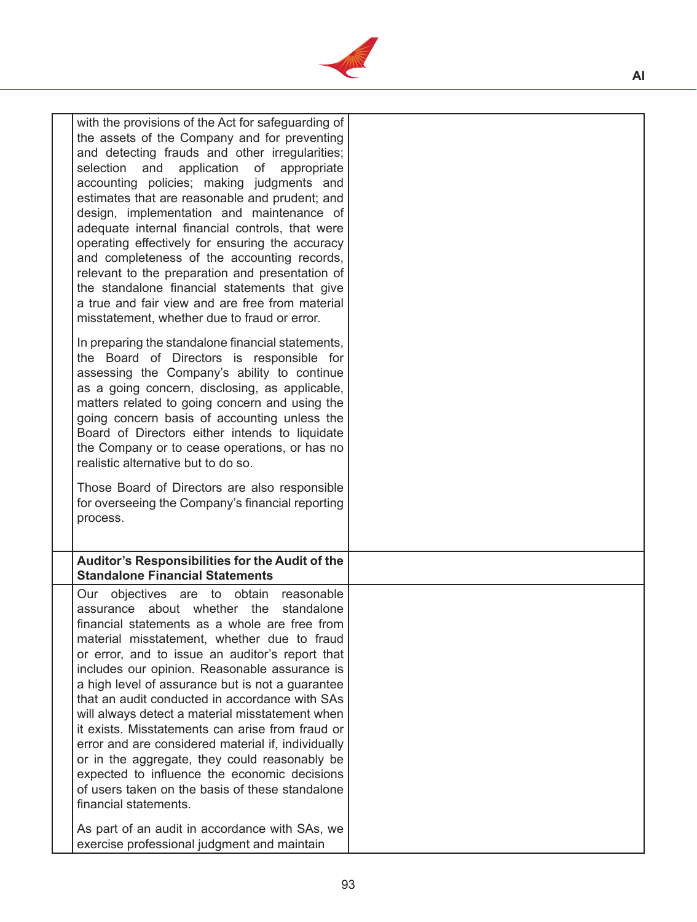

| with the provisions of the Act for safeguarding of<br>the assets of the Company and for preventing<br>and detecting frauds and other irregularities;<br>selection and<br>application of appropriate<br>accounting policies; making judgments and<br>estimates that are reasonable and prudent; and<br>design, implementation and maintenance of<br>adequate internal financial controls, that were<br>operating effectively for ensuring the accuracy<br>and completeness of the accounting records,<br>relevant to the preparation and presentation of<br>the standalone financial statements that give<br>a true and fair view and are free from material<br>misstatement, whether due to fraud or error.                                 |  |
|---------------------------------------------------------------------------------------------------------------------------------------------------------------------------------------------------------------------------------------------------------------------------------------------------------------------------------------------------------------------------------------------------------------------------------------------------------------------------------------------------------------------------------------------------------------------------------------------------------------------------------------------------------------------------------------------------------------------------------------------|--|
| In preparing the standalone financial statements,<br>the Board of Directors is responsible for<br>assessing the Company's ability to continue<br>as a going concern, disclosing, as applicable,<br>matters related to going concern and using the<br>going concern basis of accounting unless the<br>Board of Directors either intends to liquidate<br>the Company or to cease operations, or has no<br>realistic alternative but to do so.<br>Those Board of Directors are also responsible<br>for overseeing the Company's financial reporting<br>process.                                                                                                                                                                                |  |
| Auditor's Responsibilities for the Audit of the                                                                                                                                                                                                                                                                                                                                                                                                                                                                                                                                                                                                                                                                                             |  |
| <b>Standalone Financial Statements</b>                                                                                                                                                                                                                                                                                                                                                                                                                                                                                                                                                                                                                                                                                                      |  |
| Our objectives are to obtain<br>reasonable<br>standalone<br>assurance about whether the<br>financial statements as a whole are free from<br>material misstatement, whether due to fraud<br>or error, and to issue an auditor's report that<br>includes our opinion. Reasonable assurance is<br>a high level of assurance but is not a guarantee<br>that an audit conducted in accordance with SAs<br>will always detect a material misstatement when<br>it exists. Misstatements can arise from fraud or<br>error and are considered material if, individually<br>or in the aggregate, they could reasonably be<br>expected to influence the economic decisions<br>of users taken on the basis of these standalone<br>financial statements. |  |
| As part of an audit in accordance with SAs, we<br>exercise professional judgment and maintain                                                                                                                                                                                                                                                                                                                                                                                                                                                                                                                                                                                                                                               |  |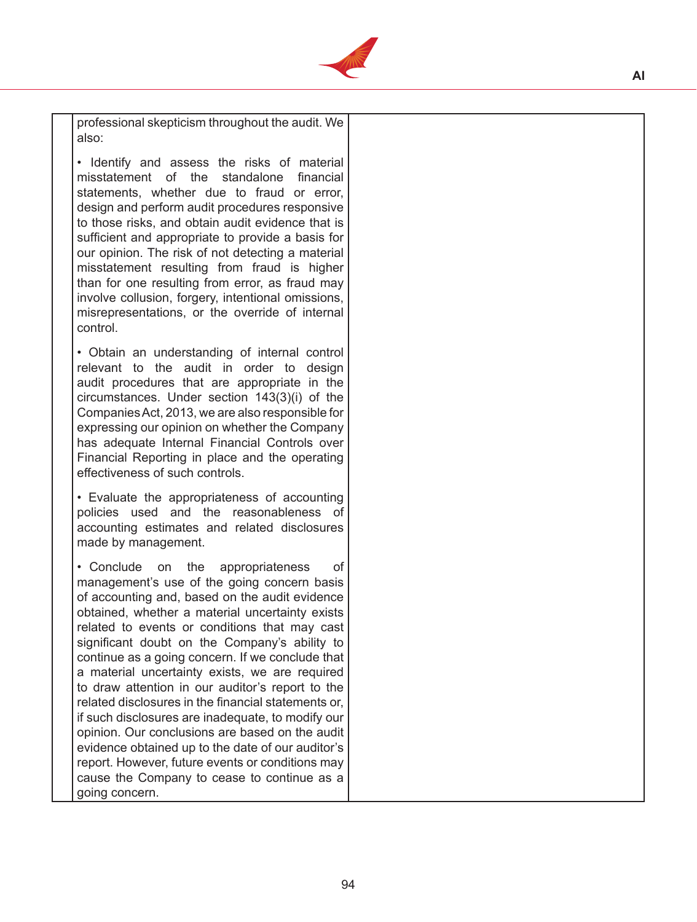

professional skepticism throughout the audit. We also:

• Identify and assess the risks of material misstatement of the standalone financial statements, whether due to fraud or error, design and perform audit procedures responsive to those risks, and obtain audit evidence that is sufficient and appropriate to provide a basis for our opinion. The risk of not detecting a material misstatement resulting from fraud is higher than for one resulting from error, as fraud may involve collusion, forgery, intentional omissions, misrepresentations, or the override of internal control.

• Obtain an understanding of internal control relevant to the audit in order to design audit procedures that are appropriate in the circumstances. Under section 143(3)(i) of the CompaniesAct, 2013, we are also responsible for expressing our opinion on whether the Company has adequate Internal Financial Controls over Financial Reporting in place and the operating effectiveness of such controls.

• Evaluate the appropriateness of accounting policies used and the reasonableness of accounting estimates and related disclosures made by management.

• Conclude on the appropriateness of management's use of the going concern basis of accounting and, based on the audit evidence obtained, whether a material uncertainty exists related to events or conditions that may cast significant doubt on the Company's ability to continue as a going concern. If we conclude that a material uncertainty exists, we are required to draw attention in our auditor's report to the related disclosures in the financial statements or, if such disclosures are inadequate, to modify our opinion. Our conclusions are based on the audit evidence obtained up to the date of our auditor's report. However, future events or conditions may cause the Company to cease to continue as a going concern.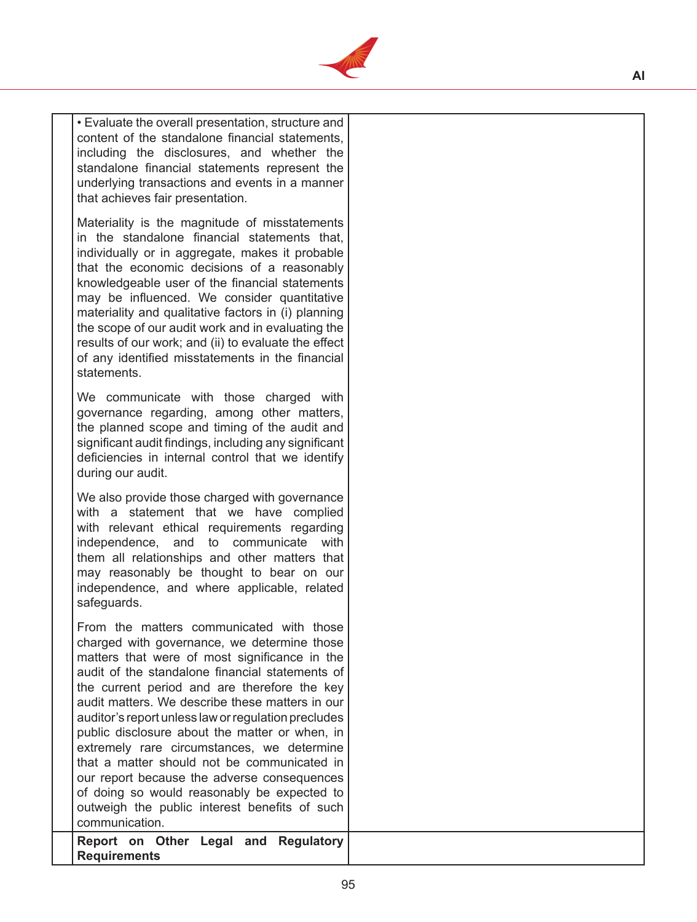

• Evaluate the overall presentation, structure and content of the standalone financial statements, including the disclosures, and whether the standalone financial statements represent the underlying transactions and events in a manner that achieves fair presentation.

Materiality is the magnitude of misstatements in the standalone financial statements that, individually or in aggregate, makes it probable that the economic decisions of a reasonably knowledgeable user of the financial statements may be influenced. We consider quantitative materiality and qualitative factors in (i) planning the scope of our audit work and in evaluating the results of our work; and (ii) to evaluate the effect of any identified misstatements in the financial statements.

We communicate with those charged with governance regarding, among other matters, the planned scope and timing of the audit and significant audit findings, including any significant deficiencies in internal control that we identify during our audit.

We also provide those charged with governance with a statement that we have complied with relevant ethical requirements regarding independence, and to communicate with them all relationships and other matters that may reasonably be thought to bear on our independence, and where applicable, related safeguards.

From the matters communicated with those charged with governance, we determine those matters that were of most significance in the audit of the standalone financial statements of the current period and are therefore the key audit matters. We describe these matters in our auditor's report unless law or regulation precludes public disclosure about the matter or when, in extremely rare circumstances, we determine that a matter should not be communicated in our report because the adverse consequences of doing so would reasonably be expected to outweigh the public interest benefits of such communication.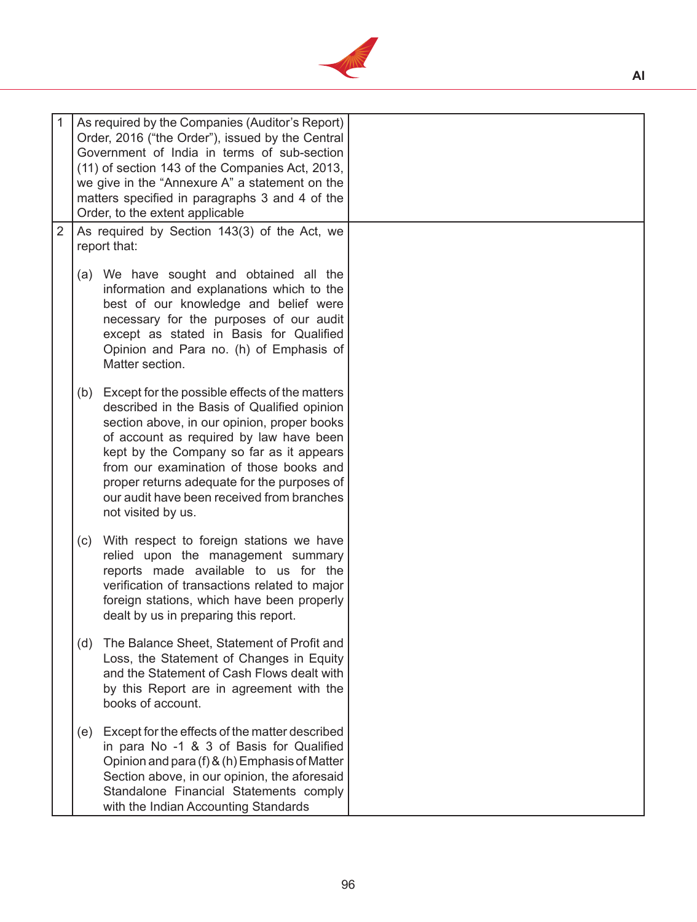

| 1<br>$\overline{2}$ | As required by the Companies (Auditor's Report)<br>Order, 2016 ("the Order"), issued by the Central<br>Government of India in terms of sub-section<br>(11) of section 143 of the Companies Act, 2013,<br>we give in the "Annexure A" a statement on the<br>matters specified in paragraphs 3 and 4 of the<br>Order, to the extent applicable<br>As required by Section 143(3) of the Act, we             |  |
|---------------------|----------------------------------------------------------------------------------------------------------------------------------------------------------------------------------------------------------------------------------------------------------------------------------------------------------------------------------------------------------------------------------------------------------|--|
|                     | report that:                                                                                                                                                                                                                                                                                                                                                                                             |  |
|                     | (a) We have sought and obtained all the<br>information and explanations which to the<br>best of our knowledge and belief were<br>necessary for the purposes of our audit<br>except as stated in Basis for Qualified<br>Opinion and Para no. (h) of Emphasis of<br>Matter section.                                                                                                                        |  |
|                     | Except for the possible effects of the matters<br>(b)<br>described in the Basis of Qualified opinion<br>section above, in our opinion, proper books<br>of account as required by law have been<br>kept by the Company so far as it appears<br>from our examination of those books and<br>proper returns adequate for the purposes of<br>our audit have been received from branches<br>not visited by us. |  |
|                     | With respect to foreign stations we have<br>(c)<br>relied upon the management summary<br>reports made available to us for the<br>verification of transactions related to major<br>foreign stations, which have been properly<br>dealt by us in preparing this report.                                                                                                                                    |  |
|                     | (d)<br>The Balance Sheet, Statement of Profit and<br>Loss, the Statement of Changes in Equity<br>and the Statement of Cash Flows dealt with<br>by this Report are in agreement with the<br>books of account.                                                                                                                                                                                             |  |
|                     | Except for the effects of the matter described<br>(e)<br>in para No -1 & 3 of Basis for Qualified<br>Opinion and para (f) & (h) Emphasis of Matter<br>Section above, in our opinion, the aforesaid<br>Standalone Financial Statements comply<br>with the Indian Accounting Standards                                                                                                                     |  |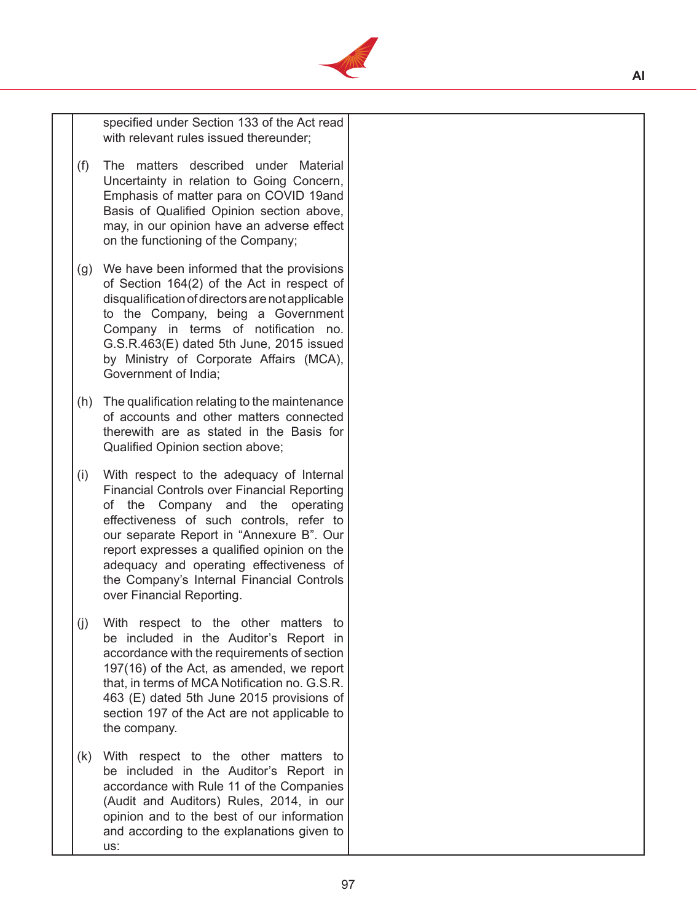

 specified under Section 133 of the Act read with relevant rules issued thereunder;

- (f) The matters described under Material Uncertainty in relation to Going Concern, Emphasis of matter para on COVID 19and Basis of Qualified Opinion section above, may, in our opinion have an adverse effect on the functioning of the Company;
- (g) We have been informed that the provisions of Section 164(2) of the Act in respect of disqualification of directors are not applicable to the Company, being a Government Company in terms of notification no. G.S.R.463(E) dated 5th June, 2015 issued by Ministry of Corporate Affairs (MCA), Government of India;
- (h) The qualification relating to the maintenance of accounts and other matters connected therewith are as stated in the Basis for Qualified Opinion section above;
- (i) With respect to the adequacy of Internal Financial Controls over Financial Reporting of the Company and the operating effectiveness of such controls, refer to our separate Report in "Annexure B". Our report expresses a qualified opinion on the adequacy and operating effectiveness of the Company's Internal Financial Controls over Financial Reporting.
- (j) With respect to the other matters to be included in the Auditor's Report in accordance with the requirements of section 197(16) of the Act, as amended, we report that, in terms of MCA Notification no. G.S.R. 463 (E) dated 5th June 2015 provisions of section 197 of the Act are not applicable to the company.
- (k) With respect to the other matters to be included in the Auditor's Report in accordance with Rule 11 of the Companies (Audit and Auditors) Rules, 2014, in our opinion and to the best of our information and according to the explanations given to us: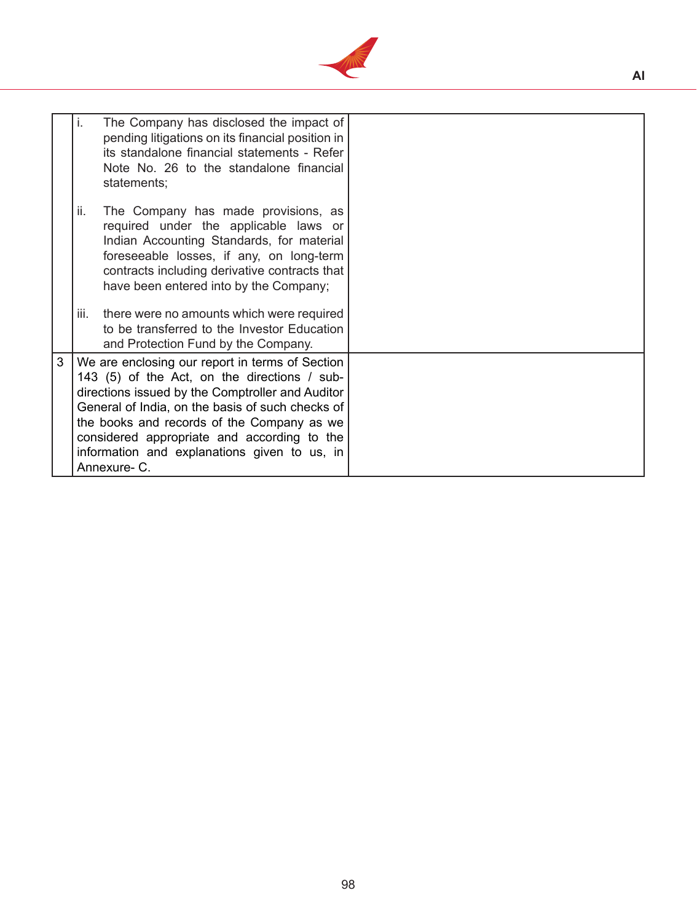

|   | i.                                                                                                                                                                                                                                                                                                                                                                   | The Company has disclosed the impact of<br>pending litigations on its financial position in<br>its standalone financial statements - Refer<br>Note No. 26 to the standalone financial<br>statements;                                                             |  |
|---|----------------------------------------------------------------------------------------------------------------------------------------------------------------------------------------------------------------------------------------------------------------------------------------------------------------------------------------------------------------------|------------------------------------------------------------------------------------------------------------------------------------------------------------------------------------------------------------------------------------------------------------------|--|
|   | ii.                                                                                                                                                                                                                                                                                                                                                                  | The Company has made provisions, as<br>required under the applicable laws or<br>Indian Accounting Standards, for material<br>foreseeable losses, if any, on long-term<br>contracts including derivative contracts that<br>have been entered into by the Company; |  |
|   | iii.                                                                                                                                                                                                                                                                                                                                                                 | there were no amounts which were required<br>to be transferred to the Investor Education<br>and Protection Fund by the Company.                                                                                                                                  |  |
| 3 | We are enclosing our report in terms of Section<br>143 (5) of the Act, on the directions / sub-<br>directions issued by the Comptroller and Auditor<br>General of India, on the basis of such checks of<br>the books and records of the Company as we<br>considered appropriate and according to the<br>information and explanations given to us, in<br>Annexure- C. |                                                                                                                                                                                                                                                                  |  |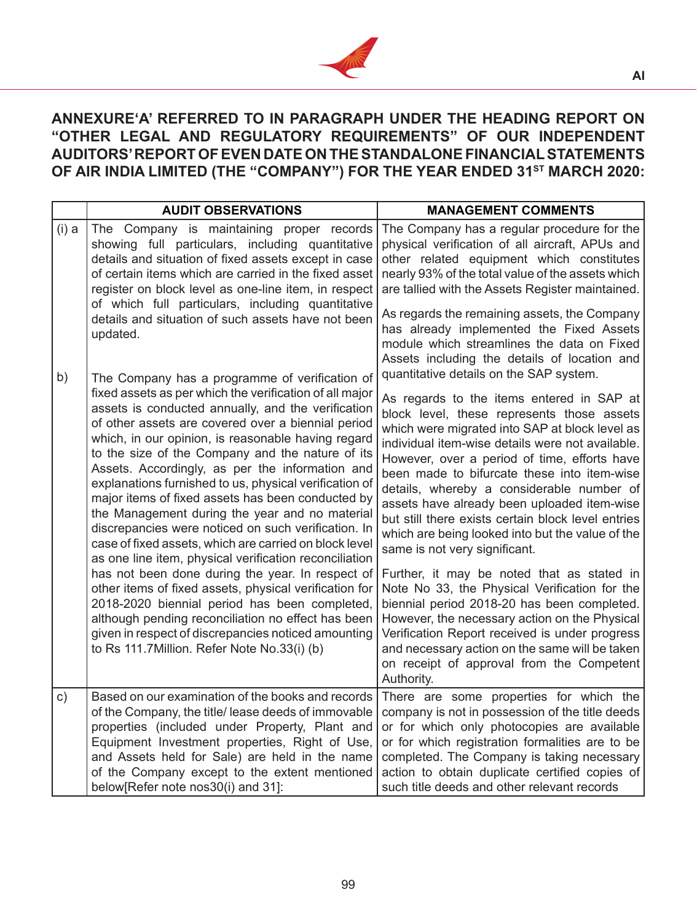

# **ANNEXURE'A' REFERRED TO IN PARAGRAPH UNDER THE HEADING REPORT ON "OTHER LEGAL AND REGULATORY REQUIREMENTS" OF OUR INDEPENDENT AUDITORS' REPORT OF EVEN DATE ON THE STANDALONE FINANCIAL STATEMENTS**  OF AIR INDIA LIMITED (THE "COMPANY") FOR THE YEAR ENDED 31<sup>ST</sup> MARCH 2020:

|               | <b>AUDIT OBSERVATIONS</b>                                                                                                                                                                                                                                                                                                                                                                                                                                                                                                                                                                                                                                                                                                                                                                                                                                                                                                                                                                                                                                 | <b>MANAGEMENT COMMENTS</b>                                                                                                                                                                                                                                                                                                                                                                                                                                                                                                                                                                                                                                                                                                                                                                                                                                                                                                                                                                   |  |
|---------------|-----------------------------------------------------------------------------------------------------------------------------------------------------------------------------------------------------------------------------------------------------------------------------------------------------------------------------------------------------------------------------------------------------------------------------------------------------------------------------------------------------------------------------------------------------------------------------------------------------------------------------------------------------------------------------------------------------------------------------------------------------------------------------------------------------------------------------------------------------------------------------------------------------------------------------------------------------------------------------------------------------------------------------------------------------------|----------------------------------------------------------------------------------------------------------------------------------------------------------------------------------------------------------------------------------------------------------------------------------------------------------------------------------------------------------------------------------------------------------------------------------------------------------------------------------------------------------------------------------------------------------------------------------------------------------------------------------------------------------------------------------------------------------------------------------------------------------------------------------------------------------------------------------------------------------------------------------------------------------------------------------------------------------------------------------------------|--|
| $(i)$ a       | The Company is maintaining proper records<br>showing full particulars, including quantitative<br>details and situation of fixed assets except in case<br>of certain items which are carried in the fixed asset<br>register on block level as one-line item, in respect<br>of which full particulars, including quantitative<br>details and situation of such assets have not been<br>updated.                                                                                                                                                                                                                                                                                                                                                                                                                                                                                                                                                                                                                                                             | The Company has a regular procedure for the<br>physical verification of all aircraft, APUs and<br>other related equipment which constitutes<br>nearly 93% of the total value of the assets which<br>are tallied with the Assets Register maintained.<br>As regards the remaining assets, the Company<br>has already implemented the Fixed Assets<br>module which streamlines the data on Fixed                                                                                                                                                                                                                                                                                                                                                                                                                                                                                                                                                                                               |  |
| b)            | The Company has a programme of verification of<br>fixed assets as per which the verification of all major<br>assets is conducted annually, and the verification<br>of other assets are covered over a biennial period<br>which, in our opinion, is reasonable having regard<br>to the size of the Company and the nature of its<br>Assets. Accordingly, as per the information and<br>explanations furnished to us, physical verification of<br>major items of fixed assets has been conducted by<br>the Management during the year and no material<br>discrepancies were noticed on such verification. In<br>case of fixed assets, which are carried on block level<br>as one line item, physical verification reconciliation<br>has not been done during the year. In respect of<br>other items of fixed assets, physical verification for<br>2018-2020 biennial period has been completed,<br>although pending reconciliation no effect has been<br>given in respect of discrepancies noticed amounting<br>to Rs 111.7Million. Refer Note No.33(i) (b) | Assets including the details of location and<br>quantitative details on the SAP system.<br>As regards to the items entered in SAP at<br>block level, these represents those assets<br>which were migrated into SAP at block level as<br>individual item-wise details were not available.<br>However, over a period of time, efforts have<br>been made to bifurcate these into item-wise<br>details, whereby a considerable number of<br>assets have already been uploaded item-wise<br>but still there exists certain block level entries<br>which are being looked into but the value of the<br>same is not very significant.<br>Further, it may be noted that as stated in<br>Note No 33, the Physical Verification for the<br>biennial period 2018-20 has been completed.<br>However, the necessary action on the Physical<br>Verification Report received is under progress<br>and necessary action on the same will be taken<br>on receipt of approval from the Competent<br>Authority. |  |
| $\mathsf{c})$ | Based on our examination of the books and records   There are some properties for which the<br>of the Company, the title/ lease deeds of immovable<br>properties (included under Property, Plant and<br>Equipment Investment properties, Right of Use,<br>and Assets held for Sale) are held in the name<br>of the Company except to the extent mentioned<br>below[Refer note nos30(i) and 31]:                                                                                                                                                                                                                                                                                                                                                                                                                                                                                                                                                                                                                                                           | company is not in possession of the title deeds<br>or for which only photocopies are available<br>or for which registration formalities are to be<br>completed. The Company is taking necessary<br>action to obtain duplicate certified copies of<br>such title deeds and other relevant records                                                                                                                                                                                                                                                                                                                                                                                                                                                                                                                                                                                                                                                                                             |  |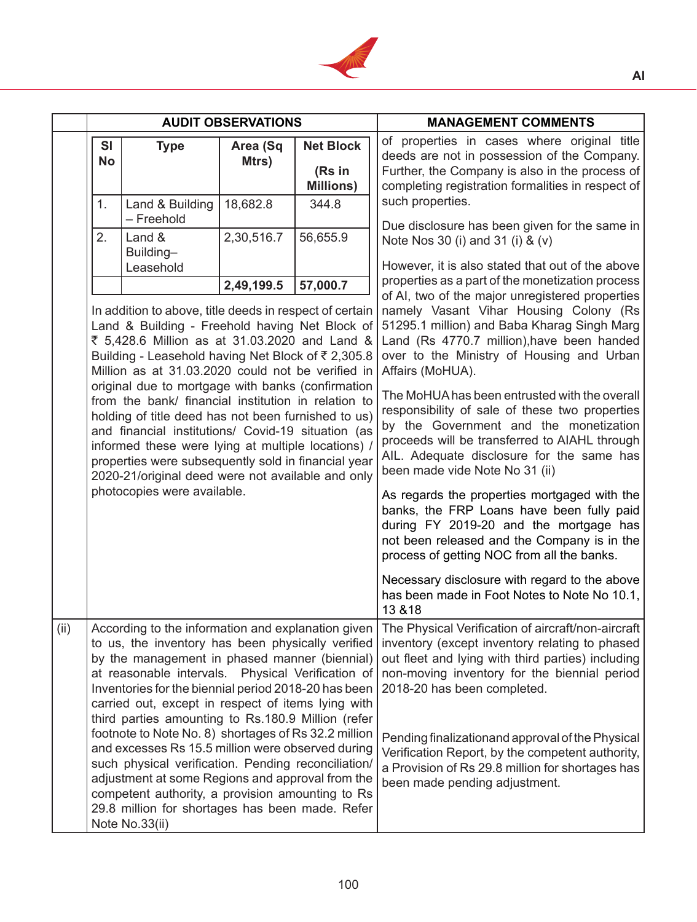

|      | <b>AUDIT OBSERVATIONS</b>                                                                                                                                                                                                                                                                                                                                                                                                                                                                                                                                                                                                                                                                                                 |                               |                                                                                                                                                                                                                                                                                                                                                                                                                                                                                                                                                                                                                                                                                                                                                                                                                                                                                      |                                                | <b>MANAGEMENT COMMENTS</b>                                                                                                                                                                                                               |
|------|---------------------------------------------------------------------------------------------------------------------------------------------------------------------------------------------------------------------------------------------------------------------------------------------------------------------------------------------------------------------------------------------------------------------------------------------------------------------------------------------------------------------------------------------------------------------------------------------------------------------------------------------------------------------------------------------------------------------------|-------------------------------|--------------------------------------------------------------------------------------------------------------------------------------------------------------------------------------------------------------------------------------------------------------------------------------------------------------------------------------------------------------------------------------------------------------------------------------------------------------------------------------------------------------------------------------------------------------------------------------------------------------------------------------------------------------------------------------------------------------------------------------------------------------------------------------------------------------------------------------------------------------------------------------|------------------------------------------------|------------------------------------------------------------------------------------------------------------------------------------------------------------------------------------------------------------------------------------------|
|      | SI<br><b>No</b>                                                                                                                                                                                                                                                                                                                                                                                                                                                                                                                                                                                                                                                                                                           | <b>Type</b>                   | Area (Sq<br>Mtrs)                                                                                                                                                                                                                                                                                                                                                                                                                                                                                                                                                                                                                                                                                                                                                                                                                                                                    | <b>Net Block</b><br>(Rs in<br><b>Millions)</b> | of properties in cases where original title<br>deeds are not in possession of the Company.<br>Further, the Company is also in the process of<br>completing registration formalities in respect of                                        |
|      | 1.                                                                                                                                                                                                                                                                                                                                                                                                                                                                                                                                                                                                                                                                                                                        | Land & Building<br>- Freehold | 18,682.8                                                                                                                                                                                                                                                                                                                                                                                                                                                                                                                                                                                                                                                                                                                                                                                                                                                                             | 344.8                                          | such properties.                                                                                                                                                                                                                         |
|      | 2.                                                                                                                                                                                                                                                                                                                                                                                                                                                                                                                                                                                                                                                                                                                        | Land &<br>Building-           | 2,30,516.7                                                                                                                                                                                                                                                                                                                                                                                                                                                                                                                                                                                                                                                                                                                                                                                                                                                                           | 56,655.9                                       | Due disclosure has been given for the same in<br>Note Nos 30 (i) and 31 (i) & (v)                                                                                                                                                        |
|      |                                                                                                                                                                                                                                                                                                                                                                                                                                                                                                                                                                                                                                                                                                                           | Leasehold                     |                                                                                                                                                                                                                                                                                                                                                                                                                                                                                                                                                                                                                                                                                                                                                                                                                                                                                      |                                                | However, it is also stated that out of the above<br>properties as a part of the monetization process                                                                                                                                     |
|      | 2,49,199.5<br>57,000.7<br>In addition to above, title deeds in respect of certain<br>Land & Building - Freehold having Net Block of<br>₹ 5,428.6 Million as at 31.03.2020 and Land &<br>Building - Leasehold having Net Block of ₹ 2,305.8<br>Million as at 31.03.2020 could not be verified in<br>original due to mortgage with banks (confirmation<br>from the bank/ financial institution in relation to<br>holding of title deed has not been furnished to us)<br>and financial institutions/ Covid-19 situation (as<br>informed these were lying at multiple locations) /<br>properties were subsequently sold in financial year<br>2020-21/original deed were not available and only<br>photocopies were available. |                               | of AI, two of the major unregistered properties<br>namely Vasant Vihar Housing Colony (Rs<br>51295.1 million) and Baba Kharag Singh Marg<br>Land (Rs 4770.7 million), have been handed<br>over to the Ministry of Housing and Urban<br>Affairs (MoHUA).<br>The MoHUA has been entrusted with the overall<br>responsibility of sale of these two properties<br>by the Government and the monetization<br>proceeds will be transferred to AIAHL through<br>AIL. Adequate disclosure for the same has<br>been made vide Note No 31 (ii)<br>As regards the properties mortgaged with the<br>banks, the FRP Loans have been fully paid<br>during FY 2019-20 and the mortgage has<br>not been released and the Company is in the<br>process of getting NOC from all the banks.<br>Necessary disclosure with regard to the above<br>has been made in Foot Notes to Note No 10.1,<br>13 & 18 |                                                |                                                                                                                                                                                                                                          |
| (ii) | According to the information and explanation given<br>to us, the inventory has been physically verified<br>by the management in phased manner (biennial)<br>at reasonable intervals. Physical Verification of<br>Inventories for the biennial period 2018-20 has been<br>carried out, except in respect of items lying with<br>third parties amounting to Rs.180.9 Million (refer                                                                                                                                                                                                                                                                                                                                         |                               |                                                                                                                                                                                                                                                                                                                                                                                                                                                                                                                                                                                                                                                                                                                                                                                                                                                                                      |                                                | The Physical Verification of aircraft/non-aircraft<br>inventory (except inventory relating to phased<br>out fleet and lying with third parties) including<br>non-moving inventory for the biennial period<br>2018-20 has been completed. |
|      | footnote to Note No. 8) shortages of Rs 32.2 million<br>and excesses Rs 15.5 million were observed during<br>such physical verification. Pending reconciliation/<br>adjustment at some Regions and approval from the<br>competent authority, a provision amounting to Rs<br>29.8 million for shortages has been made. Refer<br>Note No.33(ii)                                                                                                                                                                                                                                                                                                                                                                             |                               | Pending finalizationand approval of the Physical<br>Verification Report, by the competent authority,<br>a Provision of Rs 29.8 million for shortages has<br>been made pending adjustment.                                                                                                                                                                                                                                                                                                                                                                                                                                                                                                                                                                                                                                                                                            |                                                |                                                                                                                                                                                                                                          |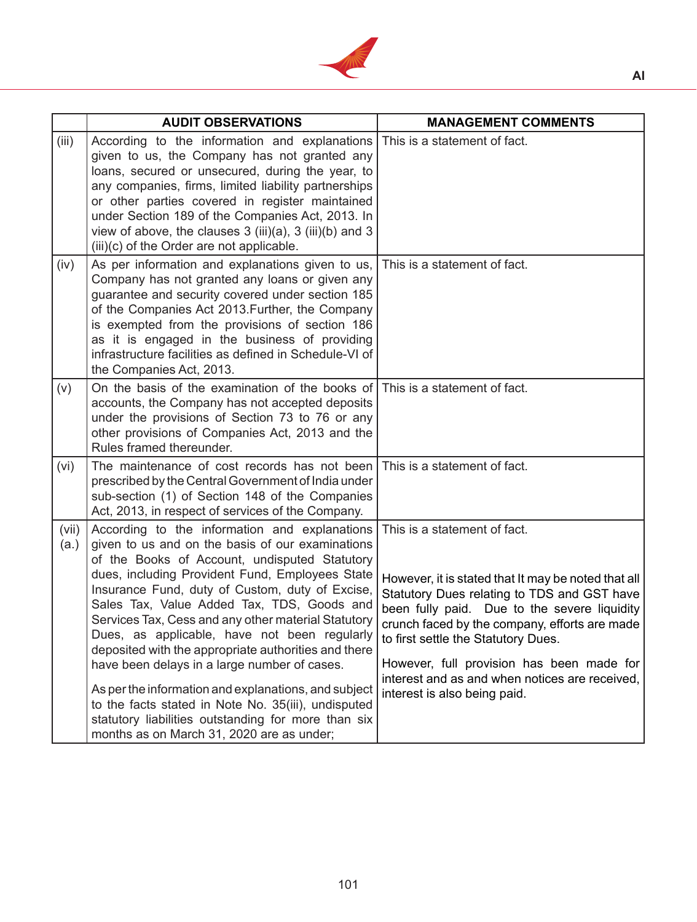

|               | <b>AUDIT OBSERVATIONS</b>                                                                                                                                                                                                                                                                                                                                                                                                                                                                                                                                                                                                                                                                                                                | <b>MANAGEMENT COMMENTS</b>                                                                                                                                                                                                                                                                                                                                                                                |
|---------------|------------------------------------------------------------------------------------------------------------------------------------------------------------------------------------------------------------------------------------------------------------------------------------------------------------------------------------------------------------------------------------------------------------------------------------------------------------------------------------------------------------------------------------------------------------------------------------------------------------------------------------------------------------------------------------------------------------------------------------------|-----------------------------------------------------------------------------------------------------------------------------------------------------------------------------------------------------------------------------------------------------------------------------------------------------------------------------------------------------------------------------------------------------------|
| (iii)         | According to the information and explanations This is a statement of fact.<br>given to us, the Company has not granted any<br>loans, secured or unsecured, during the year, to<br>any companies, firms, limited liability partnerships<br>or other parties covered in register maintained<br>under Section 189 of the Companies Act, 2013. In<br>view of above, the clauses $3$ (iii)(a), $3$ (iii)(b) and $3$<br>(iii)(c) of the Order are not applicable.                                                                                                                                                                                                                                                                              |                                                                                                                                                                                                                                                                                                                                                                                                           |
| (iv)          | As per information and explanations given to us,<br>Company has not granted any loans or given any<br>guarantee and security covered under section 185<br>of the Companies Act 2013. Further, the Company<br>is exempted from the provisions of section 186<br>as it is engaged in the business of providing<br>infrastructure facilities as defined in Schedule-VI of<br>the Companies Act, 2013.                                                                                                                                                                                                                                                                                                                                       | This is a statement of fact.                                                                                                                                                                                                                                                                                                                                                                              |
| (v)           | On the basis of the examination of the books of This is a statement of fact.<br>accounts, the Company has not accepted deposits<br>under the provisions of Section 73 to 76 or any<br>other provisions of Companies Act, 2013 and the<br>Rules framed thereunder.                                                                                                                                                                                                                                                                                                                                                                                                                                                                        |                                                                                                                                                                                                                                                                                                                                                                                                           |
| (vi)          | The maintenance of cost records has not been<br>prescribed by the Central Government of India under<br>sub-section (1) of Section 148 of the Companies<br>Act, 2013, in respect of services of the Company.                                                                                                                                                                                                                                                                                                                                                                                                                                                                                                                              | This is a statement of fact.                                                                                                                                                                                                                                                                                                                                                                              |
| (vii)<br>(a.) | According to the information and explanations<br>given to us and on the basis of our examinations<br>of the Books of Account, undisputed Statutory<br>dues, including Provident Fund, Employees State<br>Insurance Fund, duty of Custom, duty of Excise,<br>Sales Tax, Value Added Tax, TDS, Goods and<br>Services Tax, Cess and any other material Statutory<br>Dues, as applicable, have not been regularly<br>deposited with the appropriate authorities and there<br>have been delays in a large number of cases.<br>As per the information and explanations, and subject<br>to the facts stated in Note No. 35(iii), undisputed<br>statutory liabilities outstanding for more than six<br>months as on March 31, 2020 are as under; | This is a statement of fact.<br>However, it is stated that It may be noted that all<br>Statutory Dues relating to TDS and GST have<br>been fully paid. Due to the severe liquidity<br>crunch faced by the company, efforts are made<br>to first settle the Statutory Dues.<br>However, full provision has been made for<br>interest and as and when notices are received,<br>interest is also being paid. |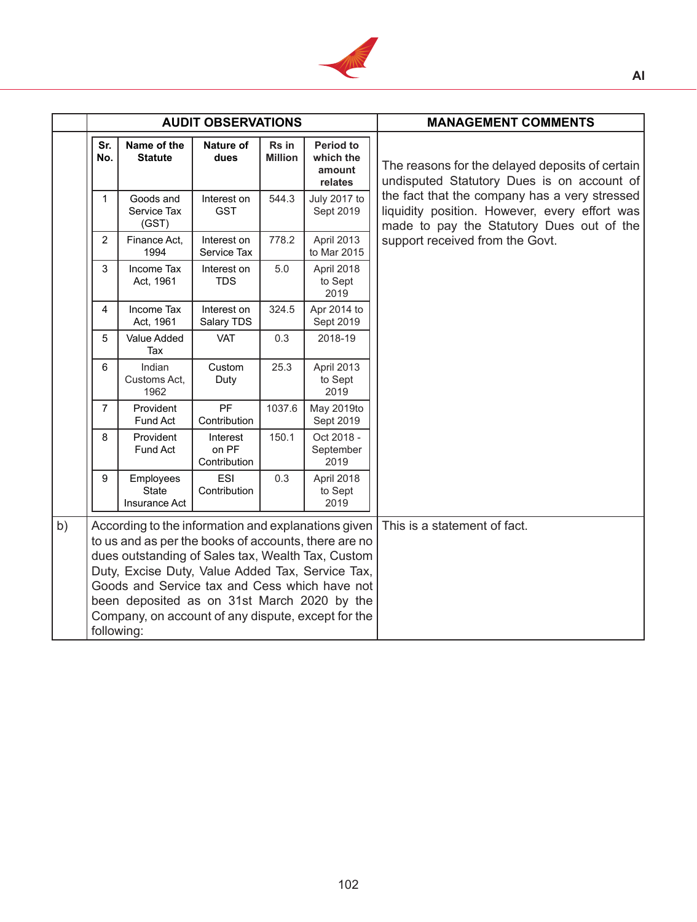

|    | <b>AUDIT OBSERVATIONS</b> |                                                                                                                                                                                                                                                                                                                                                                            |                                   |                         | <b>MANAGEMENT COMMENTS</b>                         |                                                                                                                                             |
|----|---------------------------|----------------------------------------------------------------------------------------------------------------------------------------------------------------------------------------------------------------------------------------------------------------------------------------------------------------------------------------------------------------------------|-----------------------------------|-------------------------|----------------------------------------------------|---------------------------------------------------------------------------------------------------------------------------------------------|
|    | Sr.<br>No.                | Name of the<br><b>Statute</b>                                                                                                                                                                                                                                                                                                                                              | Nature of<br>dues                 | Rs in<br><b>Million</b> | <b>Period to</b><br>which the<br>amount<br>relates | The reasons for the delayed deposits of certain<br>undisputed Statutory Dues is on account of                                               |
|    | $\mathbf{1}$              | Goods and<br>Service Tax<br>(GST)                                                                                                                                                                                                                                                                                                                                          | Interest on<br><b>GST</b>         | 544.3                   | July 2017 to<br>Sept 2019                          | the fact that the company has a very stressed<br>liquidity position. However, every effort was<br>made to pay the Statutory Dues out of the |
|    | $\overline{2}$            | Finance Act,<br>1994                                                                                                                                                                                                                                                                                                                                                       | Interest on<br>Service Tax        | 778.2                   | April 2013<br>to Mar 2015                          | support received from the Govt.                                                                                                             |
|    | 3                         | Income Tax<br>Act, 1961                                                                                                                                                                                                                                                                                                                                                    | Interest on<br><b>TDS</b>         | 5.0                     | April 2018<br>to Sept<br>2019                      |                                                                                                                                             |
|    | 4                         | Income Tax<br>Act, 1961                                                                                                                                                                                                                                                                                                                                                    | Interest on<br>Salary TDS         | 324.5                   | Apr 2014 to<br>Sept 2019                           |                                                                                                                                             |
|    | 5                         | Value Added<br>Tax                                                                                                                                                                                                                                                                                                                                                         | <b>VAT</b>                        | 0.3                     | 2018-19                                            |                                                                                                                                             |
|    | 6                         | Indian<br>Customs Act,<br>1962                                                                                                                                                                                                                                                                                                                                             | Custom<br>Duty                    | 25.3                    | April 2013<br>to Sept<br>2019                      |                                                                                                                                             |
|    | $\overline{7}$            | Provident<br>Fund Act                                                                                                                                                                                                                                                                                                                                                      | <b>PF</b><br>Contribution         | 1037.6                  | May 2019to<br>Sept 2019                            |                                                                                                                                             |
|    | 8                         | Provident<br>Fund Act                                                                                                                                                                                                                                                                                                                                                      | Interest<br>on PF<br>Contribution | 150.1                   | Oct 2018 -<br>September<br>2019                    |                                                                                                                                             |
|    | 9                         | Employees<br><b>State</b><br>Insurance Act                                                                                                                                                                                                                                                                                                                                 | ESI<br>Contribution               | 0.3                     | April 2018<br>to Sept<br>2019                      |                                                                                                                                             |
| b) | following:                | According to the information and explanations given<br>to us and as per the books of accounts, there are no<br>dues outstanding of Sales tax, Wealth Tax, Custom<br>Duty, Excise Duty, Value Added Tax, Service Tax,<br>Goods and Service tax and Cess which have not<br>been deposited as on 31st March 2020 by the<br>Company, on account of any dispute, except for the |                                   |                         |                                                    | This is a statement of fact.                                                                                                                |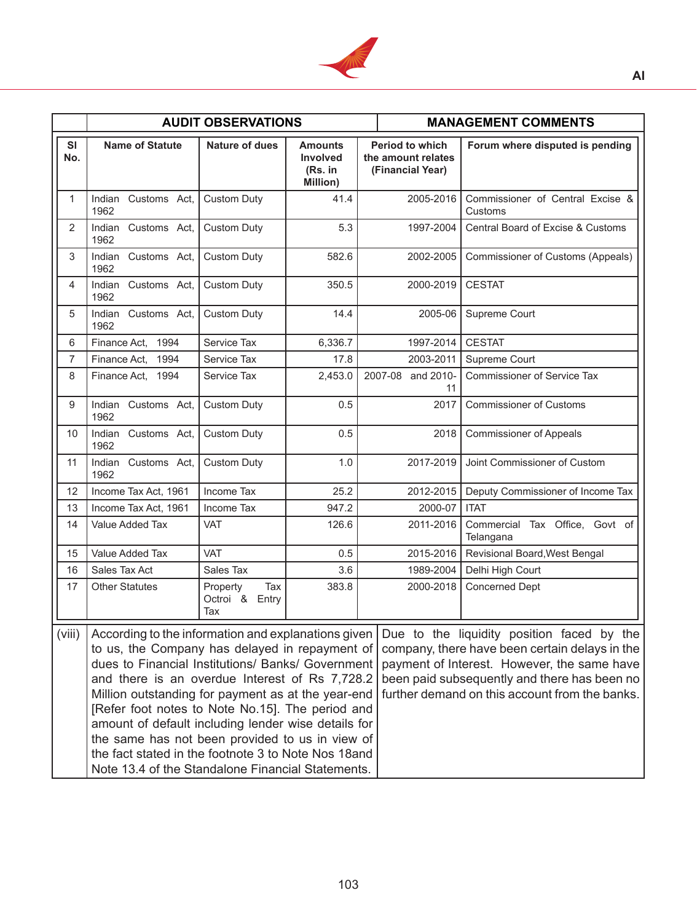

|                  |                                                                                                                                                                                                                                                                                                                                                                                                                                                                                                                                                                                                                                                                                                                                                                                                | <b>AUDIT OBSERVATIONS</b>                   |                                                   |                                                                  | <b>MANAGEMENT COMMENTS</b>                  |
|------------------|------------------------------------------------------------------------------------------------------------------------------------------------------------------------------------------------------------------------------------------------------------------------------------------------------------------------------------------------------------------------------------------------------------------------------------------------------------------------------------------------------------------------------------------------------------------------------------------------------------------------------------------------------------------------------------------------------------------------------------------------------------------------------------------------|---------------------------------------------|---------------------------------------------------|------------------------------------------------------------------|---------------------------------------------|
| <b>SI</b><br>No. | <b>Name of Statute</b>                                                                                                                                                                                                                                                                                                                                                                                                                                                                                                                                                                                                                                                                                                                                                                         | <b>Nature of dues</b>                       | <b>Amounts</b><br>Involved<br>(Rs. in<br>Million) | <b>Period to which</b><br>the amount relates<br>(Financial Year) | Forum where disputed is pending             |
| 1                | Indian Customs Act,<br>1962                                                                                                                                                                                                                                                                                                                                                                                                                                                                                                                                                                                                                                                                                                                                                                    | <b>Custom Duty</b>                          | 41.4                                              | 2005-2016                                                        | Commissioner of Central Excise &<br>Customs |
| $\overline{2}$   | Indian Customs Act,<br>1962                                                                                                                                                                                                                                                                                                                                                                                                                                                                                                                                                                                                                                                                                                                                                                    | <b>Custom Duty</b>                          | 5.3                                               | 1997-2004                                                        | Central Board of Excise & Customs           |
| 3                | Indian Customs Act,<br>1962                                                                                                                                                                                                                                                                                                                                                                                                                                                                                                                                                                                                                                                                                                                                                                    | <b>Custom Duty</b>                          | 582.6                                             | 2002-2005                                                        | Commissioner of Customs (Appeals)           |
| 4                | Indian Customs Act,<br>1962                                                                                                                                                                                                                                                                                                                                                                                                                                                                                                                                                                                                                                                                                                                                                                    | <b>Custom Duty</b>                          | 350.5                                             | 2000-2019                                                        | <b>CESTAT</b>                               |
| 5                | Indian Customs Act,<br>1962                                                                                                                                                                                                                                                                                                                                                                                                                                                                                                                                                                                                                                                                                                                                                                    | <b>Custom Duty</b>                          | 14.4                                              | 2005-06                                                          | Supreme Court                               |
| 6                | 1994<br>Finance Act,                                                                                                                                                                                                                                                                                                                                                                                                                                                                                                                                                                                                                                                                                                                                                                           | Service Tax                                 | 6,336.7                                           | 1997-2014                                                        | <b>CESTAT</b>                               |
| $\overline{7}$   | 1994<br>Finance Act.                                                                                                                                                                                                                                                                                                                                                                                                                                                                                                                                                                                                                                                                                                                                                                           | Service Tax                                 | 17.8                                              | 2003-2011                                                        | Supreme Court                               |
| 8                | Finance Act, 1994                                                                                                                                                                                                                                                                                                                                                                                                                                                                                                                                                                                                                                                                                                                                                                              | Service Tax                                 | 2,453.0                                           | 2007-08 and 2010-<br>11                                          | <b>Commissioner of Service Tax</b>          |
| 9                | Indian Customs Act,<br>1962                                                                                                                                                                                                                                                                                                                                                                                                                                                                                                                                                                                                                                                                                                                                                                    | <b>Custom Duty</b>                          | 0.5                                               | 2017                                                             | <b>Commissioner of Customs</b>              |
| 10               | Indian Customs Act,<br>1962                                                                                                                                                                                                                                                                                                                                                                                                                                                                                                                                                                                                                                                                                                                                                                    | <b>Custom Duty</b>                          | 0.5                                               | 2018                                                             | <b>Commissioner of Appeals</b>              |
| 11               | Indian Customs Act,<br>1962                                                                                                                                                                                                                                                                                                                                                                                                                                                                                                                                                                                                                                                                                                                                                                    | <b>Custom Duty</b>                          | 1.0                                               | 2017-2019                                                        | Joint Commissioner of Custom                |
| 12               | Income Tax Act, 1961                                                                                                                                                                                                                                                                                                                                                                                                                                                                                                                                                                                                                                                                                                                                                                           | Income Tax                                  | 25.2                                              | 2012-2015                                                        | Deputy Commissioner of Income Tax           |
| 13               | Income Tax Act, 1961                                                                                                                                                                                                                                                                                                                                                                                                                                                                                                                                                                                                                                                                                                                                                                           | Income Tax                                  | 947.2                                             | 2000-07                                                          | <b>ITAT</b>                                 |
| 14               | Value Added Tax                                                                                                                                                                                                                                                                                                                                                                                                                                                                                                                                                                                                                                                                                                                                                                                | VAT                                         | 126.6                                             | 2011-2016                                                        | Commercial Tax Office, Govt of<br>Telangana |
| 15               | Value Added Tax                                                                                                                                                                                                                                                                                                                                                                                                                                                                                                                                                                                                                                                                                                                                                                                | VAT                                         | 0.5                                               | 2015-2016                                                        | Revisional Board, West Bengal               |
| 16               | Sales Tax Act                                                                                                                                                                                                                                                                                                                                                                                                                                                                                                                                                                                                                                                                                                                                                                                  | Sales Tax                                   | 3.6                                               | 1989-2004                                                        | Delhi High Court                            |
| 17               | <b>Other Statutes</b>                                                                                                                                                                                                                                                                                                                                                                                                                                                                                                                                                                                                                                                                                                                                                                          | Tax<br>Property<br>Octroi &<br>Entry<br>Tax | 383.8                                             | 2000-2018                                                        | Concerned Dept                              |
| (viii)           | According to the information and explanations given<br>Due to the liquidity position faced by the<br>to us, the Company has delayed in repayment of<br>company, there have been certain delays in the<br>dues to Financial Institutions/ Banks/ Government<br>payment of Interest. However, the same have<br>and there is an overdue Interest of Rs 7,728.2<br>been paid subsequently and there has been no<br>further demand on this account from the banks.<br>Million outstanding for payment as at the year-end<br>[Refer foot notes to Note No.15]. The period and<br>amount of default including lender wise details for<br>the same has not been provided to us in view of<br>the fact stated in the footnote 3 to Note Nos 18 and<br>Note 13.4 of the Standalone Financial Statements. |                                             |                                                   |                                                                  |                                             |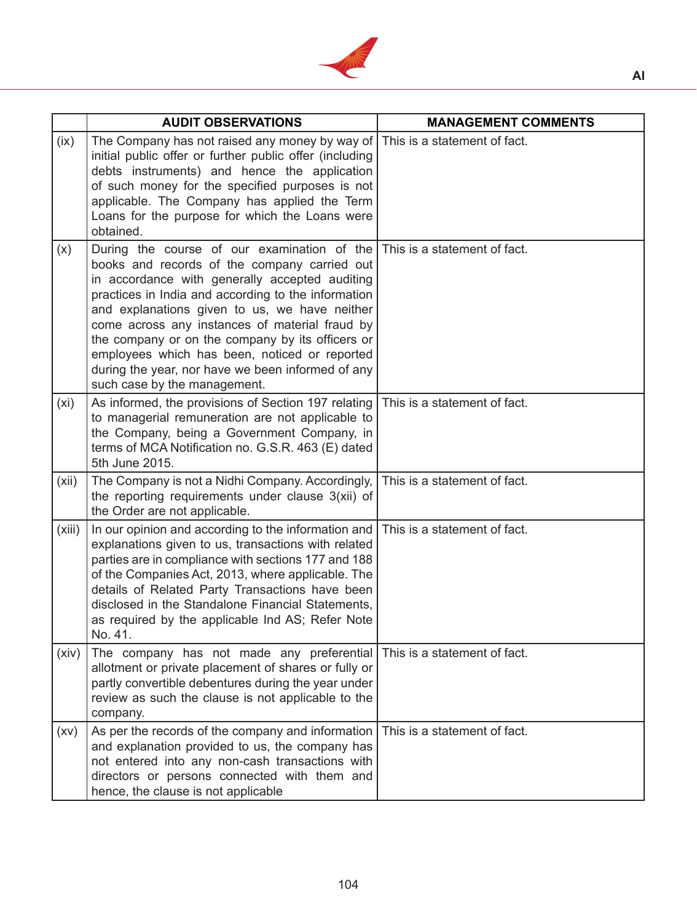

|        | <b>AUDIT OBSERVATIONS</b>                                                                                                                                                                                                                                                                                                                                                                                                                                                                         | <b>MANAGEMENT COMMENTS</b>   |
|--------|---------------------------------------------------------------------------------------------------------------------------------------------------------------------------------------------------------------------------------------------------------------------------------------------------------------------------------------------------------------------------------------------------------------------------------------------------------------------------------------------------|------------------------------|
| (ix)   | The Company has not raised any money by way of<br>initial public offer or further public offer (including<br>debts instruments) and hence the application<br>of such money for the specified purposes is not<br>applicable. The Company has applied the Term<br>Loans for the purpose for which the Loans were<br>obtained.                                                                                                                                                                       | This is a statement of fact. |
| (x)    | During the course of our examination of the<br>books and records of the company carried out<br>in accordance with generally accepted auditing<br>practices in India and according to the information<br>and explanations given to us, we have neither<br>come across any instances of material fraud by<br>the company or on the company by its officers or<br>employees which has been, noticed or reported<br>during the year, nor have we been informed of any<br>such case by the management. | This is a statement of fact. |
| (xi)   | As informed, the provisions of Section 197 relating<br>to managerial remuneration are not applicable to<br>the Company, being a Government Company, in<br>terms of MCA Notification no. G.S.R. 463 (E) dated<br>5th June 2015.                                                                                                                                                                                                                                                                    | This is a statement of fact. |
| (xii)  | The Company is not a Nidhi Company. Accordingly,<br>the reporting requirements under clause 3(xii) of<br>the Order are not applicable.                                                                                                                                                                                                                                                                                                                                                            | This is a statement of fact. |
| (xiii) | In our opinion and according to the information and<br>explanations given to us, transactions with related<br>parties are in compliance with sections 177 and 188<br>of the Companies Act, 2013, where applicable. The<br>details of Related Party Transactions have been<br>disclosed in the Standalone Financial Statements,<br>as required by the applicable Ind AS; Refer Note<br>No. 41.                                                                                                     | This is a statement of fact. |
| (xiv)  | The company has not made any preferential<br>allotment or private placement of shares or fully or<br>partly convertible debentures during the year under<br>review as such the clause is not applicable to the<br>company.                                                                                                                                                                                                                                                                        | This is a statement of fact. |
| (xv)   | As per the records of the company and information<br>and explanation provided to us, the company has<br>not entered into any non-cash transactions with<br>directors or persons connected with them and<br>hence, the clause is not applicable                                                                                                                                                                                                                                                    | This is a statement of fact. |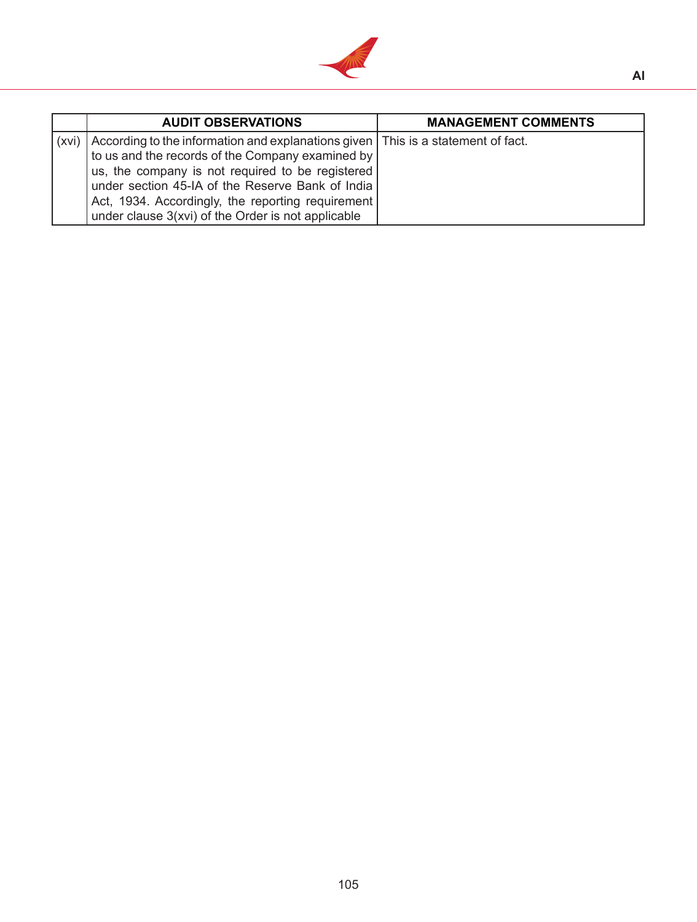

|       | <b>AUDIT OBSERVATIONS</b>                                                          | <b>MANAGEMENT COMMENTS</b> |
|-------|------------------------------------------------------------------------------------|----------------------------|
| (xvi) | According to the information and explanations given   This is a statement of fact. |                            |
|       | to us and the records of the Company examined by                                   |                            |
|       | us, the company is not required to be registered                                   |                            |
|       | under section 45-IA of the Reserve Bank of India                                   |                            |
|       | Act, 1934. Accordingly, the reporting requirement                                  |                            |
|       | under clause 3(xvi) of the Order is not applicable                                 |                            |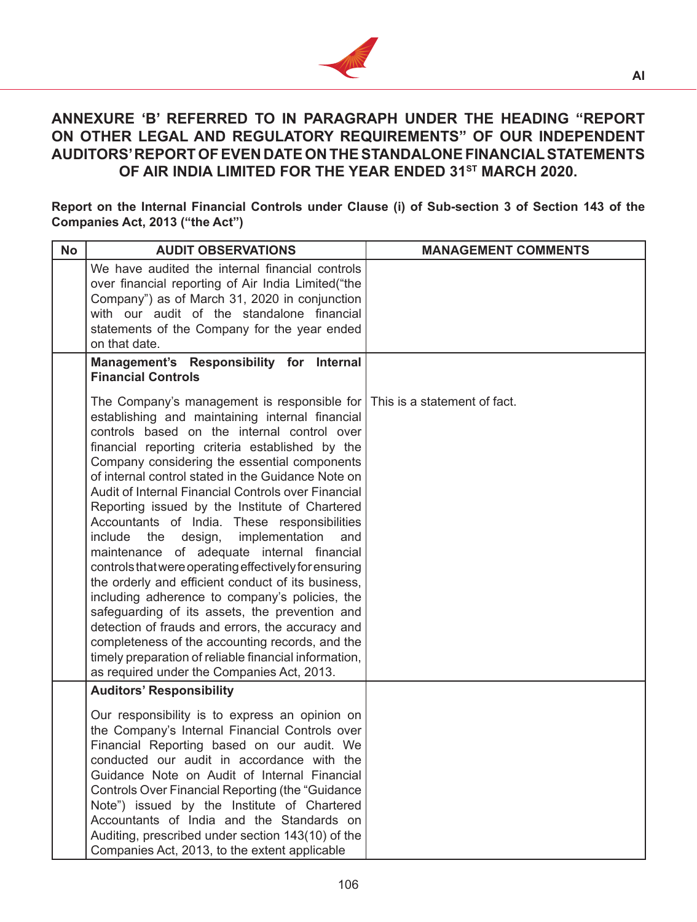

# **ANNEXURE 'B' REFERRED TO IN PARAGRAPH UNDER THE HEADING "REPORT ON OTHER LEGAL AND REGULATORY REQUIREMENTS" OF OUR INDEPENDENT AUDITORS' REPORT OF EVEN DATE ON THE STANDALONE FINANCIAL STATEMENTS OF AIR INDIA LIMITED FOR THE YEAR ENDED 31ST MARCH 2020.**

**Report on the Internal Financial Controls under Clause (i) of Sub-section 3 of Section 143 of the Companies Act, 2013 ("the Act")**

| <b>No</b> | <b>AUDIT OBSERVATIONS</b>                                                                                                                                                                                                                                                                                                                                                                                                                                                                                                                                                                                                                                                                                                                                                                                                                                                                                                                                                                                                         | <b>MANAGEMENT COMMENTS</b> |
|-----------|-----------------------------------------------------------------------------------------------------------------------------------------------------------------------------------------------------------------------------------------------------------------------------------------------------------------------------------------------------------------------------------------------------------------------------------------------------------------------------------------------------------------------------------------------------------------------------------------------------------------------------------------------------------------------------------------------------------------------------------------------------------------------------------------------------------------------------------------------------------------------------------------------------------------------------------------------------------------------------------------------------------------------------------|----------------------------|
|           | We have audited the internal financial controls<br>over financial reporting of Air India Limited ("the<br>Company") as of March 31, 2020 in conjunction<br>with our audit of the standalone financial<br>statements of the Company for the year ended<br>on that date.                                                                                                                                                                                                                                                                                                                                                                                                                                                                                                                                                                                                                                                                                                                                                            |                            |
|           | Management's Responsibility for Internal<br><b>Financial Controls</b>                                                                                                                                                                                                                                                                                                                                                                                                                                                                                                                                                                                                                                                                                                                                                                                                                                                                                                                                                             |                            |
|           | The Company's management is responsible for This is a statement of fact.<br>establishing and maintaining internal financial<br>controls based on the internal control over<br>financial reporting criteria established by the<br>Company considering the essential components<br>of internal control stated in the Guidance Note on<br>Audit of Internal Financial Controls over Financial<br>Reporting issued by the Institute of Chartered<br>Accountants of India. These responsibilities<br>the<br>design,<br>include<br>implementation<br>and<br>maintenance of adequate internal financial<br>controls that were operating effectively for ensuring<br>the orderly and efficient conduct of its business,<br>including adherence to company's policies, the<br>safeguarding of its assets, the prevention and<br>detection of frauds and errors, the accuracy and<br>completeness of the accounting records, and the<br>timely preparation of reliable financial information,<br>as required under the Companies Act, 2013. |                            |
|           | <b>Auditors' Responsibility</b>                                                                                                                                                                                                                                                                                                                                                                                                                                                                                                                                                                                                                                                                                                                                                                                                                                                                                                                                                                                                   |                            |
|           | Our responsibility is to express an opinion on<br>the Company's Internal Financial Controls over<br>Financial Reporting based on our audit. We<br>conducted our audit in accordance with the<br>Guidance Note on Audit of Internal Financial<br>Controls Over Financial Reporting (the "Guidance"<br>Note") issued by the Institute of Chartered<br>Accountants of India and the Standards on<br>Auditing, prescribed under section 143(10) of the<br>Companies Act, 2013, to the extent applicable                                                                                                                                                                                                                                                                                                                                                                                                                                                                                                                               |                            |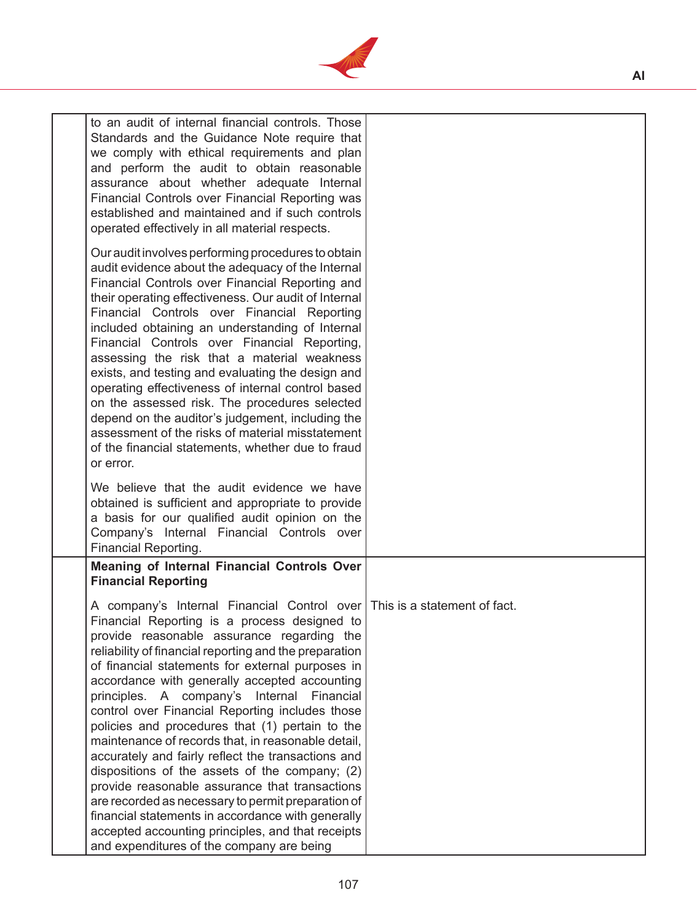

| to an audit of internal financial controls. Those<br>Standards and the Guidance Note require that<br>we comply with ethical requirements and plan<br>and perform the audit to obtain reasonable<br>assurance about whether adequate Internal<br>Financial Controls over Financial Reporting was<br>established and maintained and if such controls<br>operated effectively in all material respects.                                                                                                                                                                                                                                                                                                                                                                                             |                                                                                                                         |
|--------------------------------------------------------------------------------------------------------------------------------------------------------------------------------------------------------------------------------------------------------------------------------------------------------------------------------------------------------------------------------------------------------------------------------------------------------------------------------------------------------------------------------------------------------------------------------------------------------------------------------------------------------------------------------------------------------------------------------------------------------------------------------------------------|-------------------------------------------------------------------------------------------------------------------------|
| Our audit involves performing procedures to obtain<br>audit evidence about the adequacy of the Internal<br>Financial Controls over Financial Reporting and<br>their operating effectiveness. Our audit of Internal<br>Financial Controls over Financial Reporting<br>included obtaining an understanding of Internal<br>Financial Controls over Financial Reporting,<br>assessing the risk that a material weakness<br>exists, and testing and evaluating the design and<br>operating effectiveness of internal control based<br>on the assessed risk. The procedures selected<br>depend on the auditor's judgement, including the<br>assessment of the risks of material misstatement<br>of the financial statements, whether due to fraud<br>or error.                                         |                                                                                                                         |
| We believe that the audit evidence we have<br>obtained is sufficient and appropriate to provide<br>a basis for our qualified audit opinion on the<br>Company's Internal Financial Controls over<br>Financial Reporting.                                                                                                                                                                                                                                                                                                                                                                                                                                                                                                                                                                          |                                                                                                                         |
| <b>Meaning of Internal Financial Controls Over</b><br><b>Financial Reporting</b>                                                                                                                                                                                                                                                                                                                                                                                                                                                                                                                                                                                                                                                                                                                 |                                                                                                                         |
| Financial Reporting is a process designed to<br>provide reasonable assurance regarding the<br>reliability of financial reporting and the preparation<br>of financial statements for external purposes in<br>accordance with generally accepted accounting<br>principles. A company's Internal<br>Financial<br>control over Financial Reporting includes those<br>policies and procedures that (1) pertain to the<br>maintenance of records that, in reasonable detail,<br>accurately and fairly reflect the transactions and<br>dispositions of the assets of the company; (2)<br>provide reasonable assurance that transactions<br>are recorded as necessary to permit preparation of<br>financial statements in accordance with generally<br>accepted accounting principles, and that receipts |                                                                                                                         |
|                                                                                                                                                                                                                                                                                                                                                                                                                                                                                                                                                                                                                                                                                                                                                                                                  | A company's Internal Financial Control over   This is a statement of fact.<br>and expenditures of the company are being |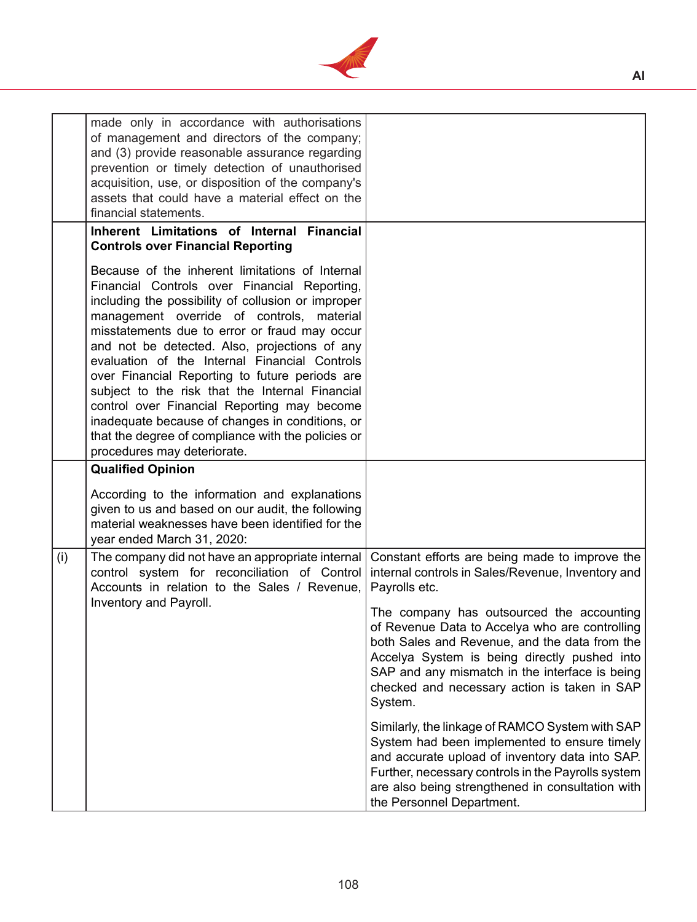

|     | made only in accordance with authorisations<br>of management and directors of the company;<br>and (3) provide reasonable assurance regarding<br>prevention or timely detection of unauthorised<br>acquisition, use, or disposition of the company's<br>assets that could have a material effect on the<br>financial statements.<br>Inherent Limitations of Internal Financial                                                                                                                                                                                                                                                                                                                 |                                                                                                                                                                                                                                                                                                                                                                                                                                   |
|-----|-----------------------------------------------------------------------------------------------------------------------------------------------------------------------------------------------------------------------------------------------------------------------------------------------------------------------------------------------------------------------------------------------------------------------------------------------------------------------------------------------------------------------------------------------------------------------------------------------------------------------------------------------------------------------------------------------|-----------------------------------------------------------------------------------------------------------------------------------------------------------------------------------------------------------------------------------------------------------------------------------------------------------------------------------------------------------------------------------------------------------------------------------|
|     | <b>Controls over Financial Reporting</b><br>Because of the inherent limitations of Internal<br>Financial Controls over Financial Reporting,<br>including the possibility of collusion or improper<br>management override of controls, material<br>misstatements due to error or fraud may occur<br>and not be detected. Also, projections of any<br>evaluation of the Internal Financial Controls<br>over Financial Reporting to future periods are<br>subject to the risk that the Internal Financial<br>control over Financial Reporting may become<br>inadequate because of changes in conditions, or<br>that the degree of compliance with the policies or<br>procedures may deteriorate. |                                                                                                                                                                                                                                                                                                                                                                                                                                   |
|     | <b>Qualified Opinion</b><br>According to the information and explanations<br>given to us and based on our audit, the following<br>material weaknesses have been identified for the<br>year ended March 31, 2020:                                                                                                                                                                                                                                                                                                                                                                                                                                                                              |                                                                                                                                                                                                                                                                                                                                                                                                                                   |
| (i) | The company did not have an appropriate internal<br>control system for reconciliation of Control<br>Accounts in relation to the Sales / Revenue,<br>Inventory and Payroll.                                                                                                                                                                                                                                                                                                                                                                                                                                                                                                                    | Constant efforts are being made to improve the<br>internal controls in Sales/Revenue, Inventory and<br>Payrolls etc.<br>The company has outsourced the accounting<br>of Revenue Data to Accelya who are controlling<br>both Sales and Revenue, and the data from the<br>Accelya System is being directly pushed into<br>SAP and any mismatch in the interface is being<br>checked and necessary action is taken in SAP<br>System. |
|     |                                                                                                                                                                                                                                                                                                                                                                                                                                                                                                                                                                                                                                                                                               | Similarly, the linkage of RAMCO System with SAP<br>System had been implemented to ensure timely<br>and accurate upload of inventory data into SAP.<br>Further, necessary controls in the Payrolls system<br>are also being strengthened in consultation with<br>the Personnel Department.                                                                                                                                         |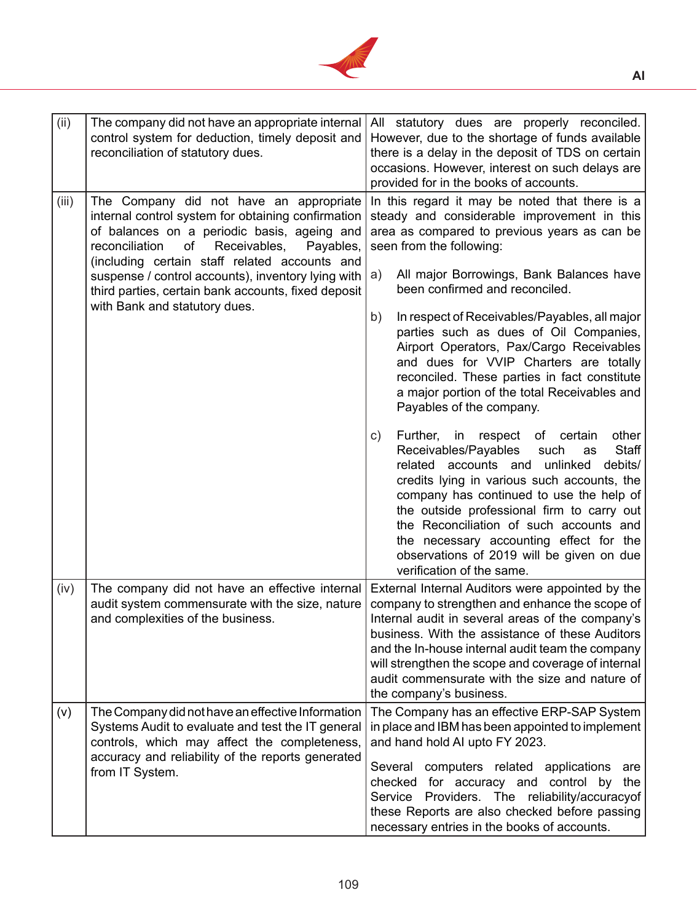

| (ii)  | The company did not have an appropriate internal<br>control system for deduction, timely deposit and<br>reconciliation of statutory dues.                                                                                                          | All statutory dues are properly reconciled.<br>However, due to the shortage of funds available<br>there is a delay in the deposit of TDS on certain<br>occasions. However, interest on such delays are<br>provided for in the books of accounts.                                                                                                                                                                                                     |
|-------|----------------------------------------------------------------------------------------------------------------------------------------------------------------------------------------------------------------------------------------------------|------------------------------------------------------------------------------------------------------------------------------------------------------------------------------------------------------------------------------------------------------------------------------------------------------------------------------------------------------------------------------------------------------------------------------------------------------|
| (iii) | The Company did not have an appropriate<br>internal control system for obtaining confirmation<br>of balances on a periodic basis, ageing and<br>reconciliation<br>of<br>Receivables,<br>Payables,<br>(including certain staff related accounts and | In this regard it may be noted that there is a<br>steady and considerable improvement in this<br>area as compared to previous years as can be<br>seen from the following:                                                                                                                                                                                                                                                                            |
|       | suspense / control accounts), inventory lying with<br>third parties, certain bank accounts, fixed deposit<br>with Bank and statutory dues.                                                                                                         | All major Borrowings, Bank Balances have<br>a)<br>been confirmed and reconciled.                                                                                                                                                                                                                                                                                                                                                                     |
|       |                                                                                                                                                                                                                                                    | In respect of Receivables/Payables, all major<br>b)<br>parties such as dues of Oil Companies,<br>Airport Operators, Pax/Cargo Receivables<br>and dues for VVIP Charters are totally<br>reconciled. These parties in fact constitute<br>a major portion of the total Receivables and<br>Payables of the company.                                                                                                                                      |
|       |                                                                                                                                                                                                                                                    | Further,<br>in respect of certain<br>other<br>C)<br>Receivables/Payables<br>Staff<br>such<br>as<br>related accounts and unlinked<br>debits/<br>credits lying in various such accounts, the<br>company has continued to use the help of<br>the outside professional firm to carry out<br>the Reconciliation of such accounts and<br>the necessary accounting effect for the<br>observations of 2019 will be given on due<br>verification of the same. |
| (iv)  | The company did not have an effective internal<br>audit system commensurate with the size, nature<br>and complexities of the business.                                                                                                             | External Internal Auditors were appointed by the<br>company to strengthen and enhance the scope of<br>Internal audit in several areas of the company's<br>business. With the assistance of these Auditors<br>and the In-house internal audit team the company<br>will strengthen the scope and coverage of internal<br>audit commensurate with the size and nature of<br>the company's business.                                                     |
| (v)   | The Company did not have an effective Information<br>Systems Audit to evaluate and test the IT general<br>controls, which may affect the completeness,<br>accuracy and reliability of the reports generated<br>from IT System.                     | The Company has an effective ERP-SAP System<br>in place and IBM has been appointed to implement<br>and hand hold AI upto FY 2023.<br>Several computers related applications<br>are<br>checked for accuracy and control by<br>the<br>Service Providers. The reliability/accuracyof<br>these Reports are also checked before passing<br>necessary entries in the books of accounts.                                                                    |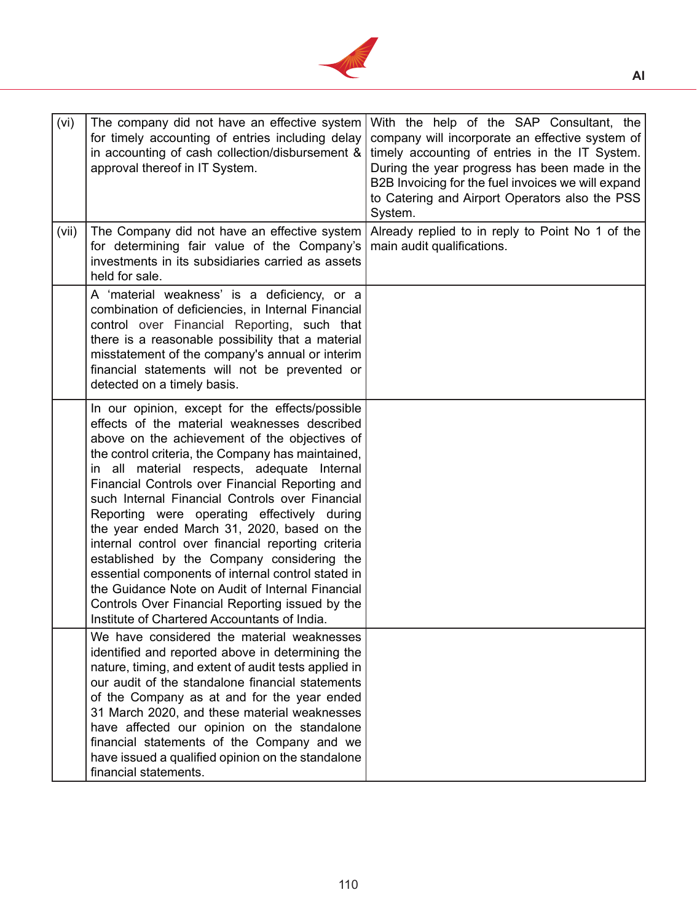

| (vi)  | The company did not have an effective system<br>for timely accounting of entries including delay<br>in accounting of cash collection/disbursement &<br>approval thereof in IT System.                                                                                                                                                                                                                                                                                                                                                                                                                                                                                                                                                                                     | With the help of the SAP Consultant, the<br>company will incorporate an effective system of<br>timely accounting of entries in the IT System.<br>During the year progress has been made in the<br>B2B Invoicing for the fuel invoices we will expand<br>to Catering and Airport Operators also the PSS<br>System. |
|-------|---------------------------------------------------------------------------------------------------------------------------------------------------------------------------------------------------------------------------------------------------------------------------------------------------------------------------------------------------------------------------------------------------------------------------------------------------------------------------------------------------------------------------------------------------------------------------------------------------------------------------------------------------------------------------------------------------------------------------------------------------------------------------|-------------------------------------------------------------------------------------------------------------------------------------------------------------------------------------------------------------------------------------------------------------------------------------------------------------------|
| (vii) | The Company did not have an effective system<br>for determining fair value of the Company's<br>investments in its subsidiaries carried as assets<br>held for sale.                                                                                                                                                                                                                                                                                                                                                                                                                                                                                                                                                                                                        | Already replied to in reply to Point No 1 of the<br>main audit qualifications.                                                                                                                                                                                                                                    |
|       | A 'material weakness' is a deficiency, or a<br>combination of deficiencies, in Internal Financial<br>control over Financial Reporting, such that<br>there is a reasonable possibility that a material<br>misstatement of the company's annual or interim<br>financial statements will not be prevented or<br>detected on a timely basis.                                                                                                                                                                                                                                                                                                                                                                                                                                  |                                                                                                                                                                                                                                                                                                                   |
|       | In our opinion, except for the effects/possible<br>effects of the material weaknesses described<br>above on the achievement of the objectives of<br>the control criteria, the Company has maintained,<br>in all material respects, adequate Internal<br>Financial Controls over Financial Reporting and<br>such Internal Financial Controls over Financial<br>Reporting were operating effectively during<br>the year ended March 31, 2020, based on the<br>internal control over financial reporting criteria<br>established by the Company considering the<br>essential components of internal control stated in<br>the Guidance Note on Audit of Internal Financial<br>Controls Over Financial Reporting issued by the<br>Institute of Chartered Accountants of India. |                                                                                                                                                                                                                                                                                                                   |
|       | We have considered the material weaknesses<br>identified and reported above in determining the<br>nature, timing, and extent of audit tests applied in<br>our audit of the standalone financial statements<br>of the Company as at and for the year ended<br>31 March 2020, and these material weaknesses<br>have affected our opinion on the standalone<br>financial statements of the Company and we<br>have issued a qualified opinion on the standalone<br>financial statements.                                                                                                                                                                                                                                                                                      |                                                                                                                                                                                                                                                                                                                   |